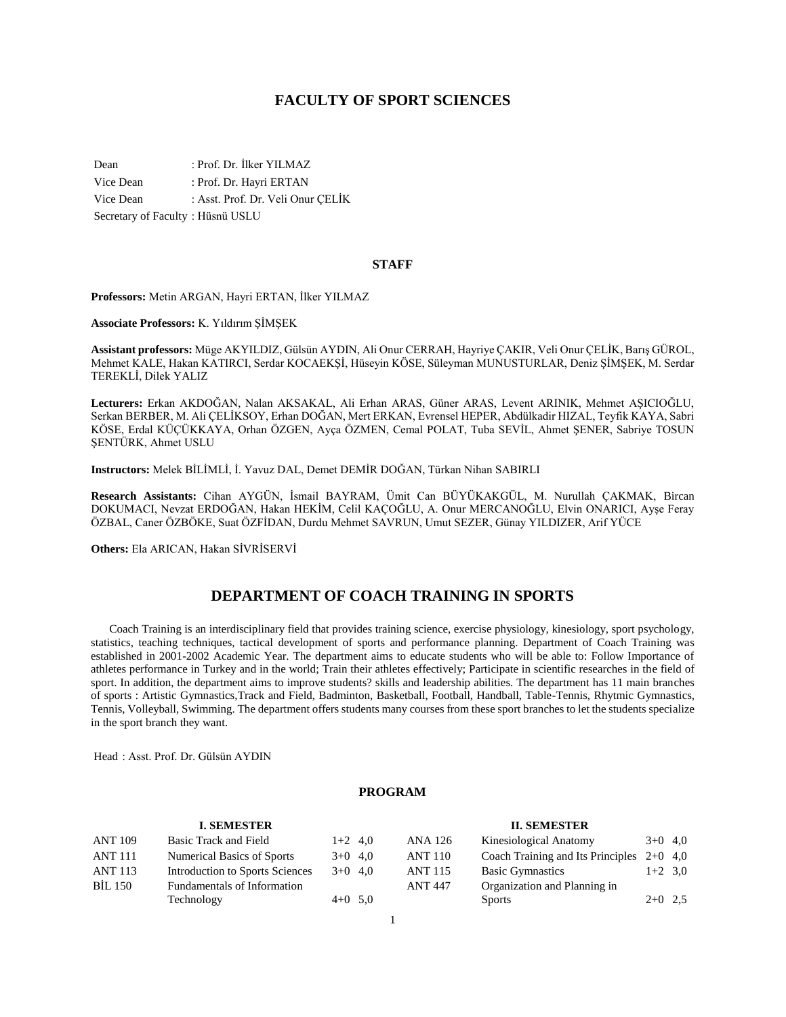## **FACULTY OF SPORT SCIENCES**

Dean : Prof. Dr. İlker YILMAZ Vice Dean : Prof. Dr. Hayri ERTAN Vice Dean : Asst. Prof. Dr. Veli Onur ÇELİK Secretary of Faculty : Hüsnü USLU

#### **STAFF**

**Professors:** Metin ARGAN, Hayri ERTAN, İlker YILMAZ

**Associate Professors:** K. Yıldırım ŞİMŞEK

**Assistant professors:** Müge AKYILDIZ, Gülsün AYDIN, Ali Onur CERRAH, Hayriye ÇAKIR, Veli Onur ÇELİK, Barış GÜROL, Mehmet KALE, Hakan KATIRCI, Serdar KOCAEKŞİ, Hüseyin KÖSE, Süleyman MUNUSTURLAR, Deniz ŞİMŞEK, M. Serdar TEREKLİ, Dilek YALIZ

**Lecturers:** Erkan AKDOĞAN, Nalan AKSAKAL, Ali Erhan ARAS, Güner ARAS, Levent ARINIK, Mehmet AŞICIOĞLU, Serkan BERBER, M. Ali ÇELİKSOY, Erhan DOĞAN, Mert ERKAN, Evrensel HEPER, Abdülkadir HIZAL, Teyfik KAYA, Sabri KÖSE, Erdal KÜÇÜKKAYA, Orhan ÖZGEN, Ayça ÖZMEN, Cemal POLAT, Tuba SEVİL, Ahmet ŞENER, Sabriye TOSUN ŞENTÜRK, Ahmet USLU

**Instructors:** Melek BİLİMLİ, İ. Yavuz DAL, Demet DEMİR DOĞAN, Türkan Nihan SABIRLI

**Research Assistants:** Cihan AYGÜN, İsmail BAYRAM, Ümit Can BÜYÜKAKGÜL, M. Nurullah ÇAKMAK, Bircan DOKUMACI, Nevzat ERDOĞAN, Hakan HEKİM, Celil KAÇOĞLU, A. Onur MERCANOĞLU, Elvin ONARICI, Ayşe Feray ÖZBAL, Caner ÖZBÖKE, Suat ÖZFİDAN, Durdu Mehmet SAVRUN, Umut SEZER, Günay YILDIZER, Arif YÜCE

**Others:** Ela ARICAN, Hakan SİVRİSERVİ

## **DEPARTMENT OF COACH TRAINING IN SPORTS**

 Coach Training is an interdisciplinary field that provides training science, exercise physiology, kinesiology, sport psychology, statistics, teaching techniques, tactical development of sports and performance planning. Department of Coach Training was established in 2001-2002 Academic Year. The department aims to educate students who will be able to: Follow Importance of athletes performance in Turkey and in the world; Train their athletes effectively; Participate in scientific researches in the field of sport. In addition, the department aims to improve students? skills and leadership abilities. The department has 11 main branches of sports : Artistic Gymnastics,Track and Field, Badminton, Basketball, Football, Handball, Table-Tennis, Rhytmic Gymnastics, Tennis, Volleyball, Swimming. The department offers students many courses from these sport branches to let the students specialize in the sport branch they want.

Head : Asst. Prof. Dr. Gülsün AYDIN

## **PROGRAM**

#### **I. SEMESTER** ANT 109 Basic Track and Field 1+2 4,0 ANT 111 Numerical Basics of Sports  $3+0$  4,0 ANT 113 Introduction to Sports Sciences 3+0 4,0 BİL 150 Fundamentals of Information Technology  $4+0$  5,0 **II. SEMESTER** ANA 126 Kinesiological Anatomy 3+0 4,0 ANT 110 Coach Training and Its Principles 2+0 4,0 ANT 115 Basic Gymnastics 1+2 3,0 ANT 447 Organization and Planning in Sports  $2+0$  2,5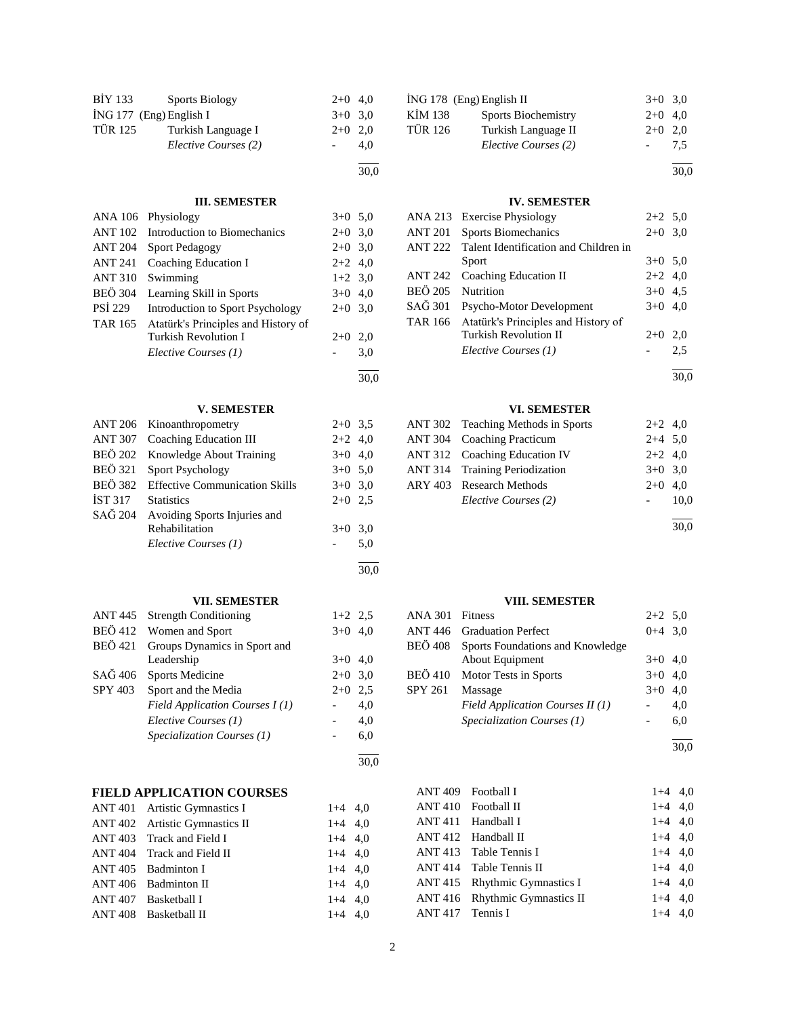| BİY 133        | <b>Sports Biology</b>   | $2+0$ 4,0 |     |
|----------------|-------------------------|-----------|-----|
|                | İNG 177 (Eng) English I | $3+0$ 3.0 |     |
| <b>TÜR 125</b> | Turkish Language I      | $2+0$ 2.0 |     |
|                | Elective Courses (2)    |           | 4.0 |
|                |                         |           |     |

## **III. SEMESTER**

30,0

30,0

l  $\frac{30,0}{ }$ 

> l 30,0

|                | ANA 106 Physiology                  | $3+0$ 5.0 |     |
|----------------|-------------------------------------|-----------|-----|
| <b>ANT 102</b> | Introduction to Biomechanics        | $2+0$ 3.0 |     |
| <b>ANT 204</b> | <b>Sport Pedagogy</b>               | $2+0$ 3.0 |     |
| ANT 241        | Coaching Education I                | $2+2$ 4,0 |     |
| <b>ANT 310</b> | Swimming                            | $1+2$ 3,0 |     |
| <b>BEÖ</b> 304 | Learning Skill in Sports            | $3+0$ 4.0 |     |
| <b>PSI 229</b> | Introduction to Sport Psychology    | $2+0$ 3.0 |     |
| TAR 165        | Atatürk's Principles and History of |           |     |
|                | Turkish Revolution I                | $2+0$     | 2.0 |
|                | Elective Courses (1)                |           | 3,0 |
|                |                                     |           |     |

#### **V. SEMESTER**

|                | ANT 206 Kinoanthropometry              | $2+0$ 3.5 |     |
|----------------|----------------------------------------|-----------|-----|
|                | ANT 307 Coaching Education III         | $2+2$ 4,0 |     |
|                | BEÖ 202 Knowledge About Training       | $3+0$ 4,0 |     |
|                | BEÖ 321 Sport Psychology               | $3+0$ 5,0 |     |
|                | BEÖ 382 Effective Communication Skills | $3+0$ 3,0 |     |
| <b>IST 317</b> | <b>Statistics</b>                      | $2+0$ 2.5 |     |
|                | SAĞ 204 Avoiding Sports Injuries and   |           |     |
|                | Rehabilitation                         | $3+0$ 3,0 |     |
|                | Elective Courses (1)                   |           | 5,0 |
|                |                                        |           |     |

## **VII. SEMESTER**

|                | ANT 445 Strength Conditioning  | $1+2$ 2.5 |     |
|----------------|--------------------------------|-----------|-----|
|                | BEÖ 412 Women and Sport        | $3+0$ 4,0 |     |
| <b>BEÖ</b> 421 | Groups Dynamics in Sport and   |           |     |
|                | Leadership                     | $3+0$ 4.0 |     |
| SAĞ 406        | <b>Sports Medicine</b>         | $2+0$ 3.0 |     |
| SPY 403        | Sport and the Media            | $2+0$     | 2.5 |
|                | Field Application Courses I(1) |           | 4.0 |
|                | Elective Courses (1)           |           | 4.0 |
|                | Specialization Courses (1)     |           | 6,0 |

#### **FIELD APPLICATION COURSES** ANT 401 Artistic Gymnastics I 1+4 4.0

| ANT 401 Artistic Gymnastics I  | $1+4$ 4.0 |  |
|--------------------------------|-----------|--|
| ANT 402 Artistic Gymnastics II | $1+4$ 4,0 |  |
| ANT 403 Track and Field I      | $1+4$ 4,0 |  |
| ANT 404 Track and Field II     | $1+4$ 4,0 |  |
| ANT 405 Badminton I            | $1+4$ 4,0 |  |
| ANT 406 Badminton II           | $1+4$ 4,0 |  |
| ANT 407 Basketball I           | $1+4$ 4.0 |  |
| ANT 408 Basketball II          | $1+4$ 4,0 |  |

|                | İNG 178 (Eng) English II   | $3+0$ 3.0 |     |
|----------------|----------------------------|-----------|-----|
| <b>KİM 138</b> | <b>Sports Biochemistry</b> | $2+0$ 4,0 |     |
| <b>TÜR 126</b> | Turkish Language II        | $2+0$ 2,0 |     |
|                | Elective Courses (2)       |           | 7.5 |
|                |                            |           |     |

## **IV. SEMESTER**

|                  | ANA 213 Exercise Physiology                 | $2+2$ 5.0 |     |
|------------------|---------------------------------------------|-----------|-----|
| ANT 201          | Sports Biomechanics                         | $2+0$ 3,0 |     |
| <b>ANT 222</b>   | Talent Identification and Children in       |           |     |
|                  | Sport                                       | $3+0$ 5.0 |     |
| ANT 242          | Coaching Education II                       | $2+2$ 4,0 |     |
| <b>BEÖ 205</b>   | Nutrition                                   | $3+0$ 4.5 |     |
| $SA\tilde{G}301$ | Psycho-Motor Development                    | $3+0$ 4,0 |     |
|                  | TAR 166 Atatürk's Principles and History of |           |     |
|                  | <b>Turkish Revolution II</b>                | $2+0$     | 2,0 |
|                  | Elective Courses (1)                        |           | 2.5 |
|                  |                                             |           |     |

30,0

30,0

## **VI. SEMESTER**

| ANT 302 Teaching Methods in Sports    | $2+2$ 4,0 |      |
|---------------------------------------|-----------|------|
| ANT 304 Coaching Practicum            | $2+4$ 5,0 |      |
| ANT 312 Coaching Education IV         | $2+2$ 4,0 |      |
| <b>ANT 314</b> Training Periodization | $3+0$ 3.0 |      |
| ARY 403 Research Methods              | $2+0$ 4,0 |      |
| Elective Courses (2)                  |           | 10,0 |
|                                       |           |      |
|                                       |           | 30,0 |

#### **VIII. SEMESTER**

| ANA 301 Fitness |                                   | $2+2$ 5,0 |     |
|-----------------|-----------------------------------|-----------|-----|
|                 | <b>ANT 446</b> Graduation Perfect | $0+4$ 3.0 |     |
| BEÖ 408         | Sports Foundations and Knowledge  |           |     |
|                 | About Equipment                   | $3+0$ 4.0 |     |
|                 | BEÖ 410 Motor Tests in Sports     | $3+0$     | 4.0 |
| <b>SPY 261</b>  | Massage                           | $3+0$     | 4.0 |
|                 | Field Application Courses II (1)  |           | 4.0 |
|                 | Specialization Courses (1)        |           | 6,0 |
|                 |                                   |           |     |

30,0

| ANT 409 Football I |                                | $1+4$ 4,0 |  |
|--------------------|--------------------------------|-----------|--|
|                    | ANT 410 Football II            | $1+4$ 4,0 |  |
|                    | ANT 411 Handball I             | $1+4$ 4,0 |  |
|                    | ANT 412 Handball II            | $1+4$ 4,0 |  |
|                    | ANT 413 Table Tennis I         | $1+4$ 4,0 |  |
|                    | ANT 414 Table Tennis II        | $1+4$ 4,0 |  |
|                    | ANT 415 Rhythmic Gymnastics I  | $1+4$ 4,0 |  |
|                    | ANT 416 Rhythmic Gymnastics II | $1+4$ 4.0 |  |
| ANT 417 Tennis I   |                                | $1+4$ 4.0 |  |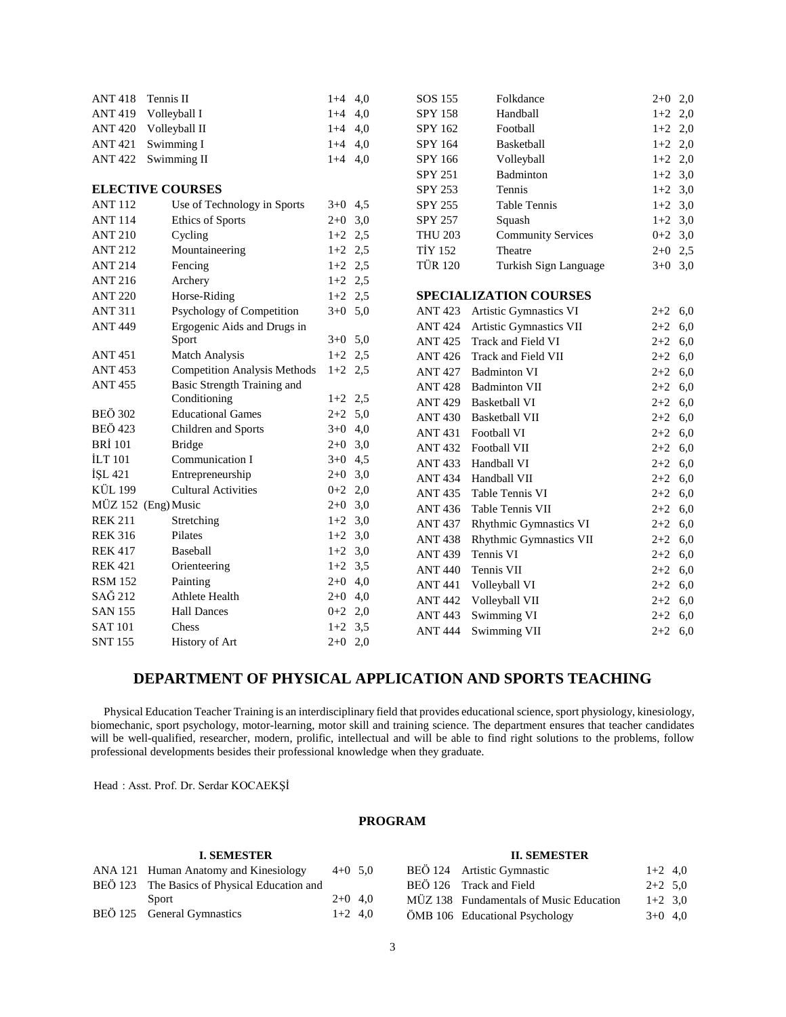| <b>ANT 418</b> | Tennis II                           | $1+4$ 4,0 |     | SOS 155        | Folkdance                     | $2 + 0$   | 2,0 |
|----------------|-------------------------------------|-----------|-----|----------------|-------------------------------|-----------|-----|
| <b>ANT419</b>  | Volleyball I                        | $1+4$     | 4,0 | <b>SPY 158</b> | Handball                      | $1+2$     | 2,0 |
| <b>ANT 420</b> | Volleyball II                       | $1+4$     | 4,0 | SPY 162        | Football                      | $1+2$     | 2,0 |
| <b>ANT 421</b> | Swimming I                          | $1+4$     | 4,0 | SPY 164        | Basketball                    | $1+2$     | 2,0 |
| <b>ANT 422</b> | Swimming II                         | $1+4$ 4,0 |     | SPY 166        | Volleyball                    | $1+2$     | 2,0 |
|                |                                     |           |     | <b>SPY 251</b> | Badminton                     | $1+2$     | 3,0 |
|                | <b>ELECTIVE COURSES</b>             |           |     | SPY 253        | Tennis                        | $1+2$     | 3,0 |
| <b>ANT 112</b> | Use of Technology in Sports         | $3+0$ 4,5 |     | SPY 255        | Table Tennis                  | $1+2$     | 3,0 |
| <b>ANT 114</b> | Ethics of Sports                    | $2+0$ 3,0 |     | SPY 257        | Squash                        | $1+2$ 3,0 |     |
| <b>ANT 210</b> | Cycling                             | $1+2$ 2.5 |     | <b>THU 203</b> | <b>Community Services</b>     | $0+2$ 3,0 |     |
| <b>ANT 212</b> | Mountaineering                      | $1+2$ 2,5 |     | <b>TİY 152</b> | Theatre                       | $2+0$ 2,5 |     |
| <b>ANT 214</b> | Fencing                             | $1+2$ 2,5 |     | <b>TÜR 120</b> | Turkish Sign Language         | $3+0$ 3,0 |     |
| <b>ANT 216</b> | Archery                             | $1+2$ 2,5 |     |                |                               |           |     |
| <b>ANT 220</b> | Horse-Riding                        | $1+2$ 2,5 |     |                | <b>SPECIALIZATION COURSES</b> |           |     |
| <b>ANT 311</b> | Psychology of Competition           | $3+0$ 5,0 |     | ANT 423        | Artistic Gymnastics VI        | $2+2$ 6,0 |     |
| <b>ANT 449</b> | Ergogenic Aids and Drugs in         |           |     | <b>ANT 424</b> | Artistic Gymnastics VII       | $2 + 2$   | 6,0 |
|                | Sport                               | $3+0$ 5,0 |     | <b>ANT425</b>  | Track and Field VI            | $2 + 2$   | 6,0 |
| <b>ANT 451</b> | <b>Match Analysis</b>               | $1+2$ 2,5 |     | <b>ANT 426</b> | Track and Field VII           | $2 + 2$   | 6,0 |
| <b>ANT 453</b> | <b>Competition Analysis Methods</b> | $1+2$ 2,5 |     | <b>ANT 427</b> | <b>Badminton VI</b>           | $2 + 2$   | 6,0 |
| <b>ANT 455</b> | <b>Basic Strength Training and</b>  |           |     | <b>ANT 428</b> | <b>Badminton VII</b>          | $2 + 2$   | 6,0 |
|                | Conditioning                        | $1+2$ 2,5 |     | <b>ANT 429</b> | <b>Basketball VI</b>          | $2 + 2$   | 6,0 |
| <b>BEÖ 302</b> | <b>Educational Games</b>            | $2+2$ 5,0 |     | <b>ANT 430</b> | <b>Basketball VII</b>         | $2 + 2$   | 6,0 |
| <b>BEÖ 423</b> | Children and Sports                 | $3+0$ 4,0 |     | <b>ANT 431</b> | Football VI                   | $2 + 2$   | 6,0 |
| <b>BRİ</b> 101 | <b>Bridge</b>                       | $2+0$     | 3,0 | <b>ANT 432</b> | Football VII                  | $2 + 2$   | 6,0 |
| <b>ILT 101</b> | Communication I                     | $3+0$     | 4,5 | <b>ANT 433</b> | Handball VI                   | $2 + 2$   | 6,0 |
| İŞL 421        | Entrepreneurship                    | $2 + 0$   | 3,0 | <b>ANT 434</b> | Handball VII                  | $2 + 2$   | 6,0 |
| <b>KÜL 199</b> | <b>Cultural Activities</b>          | $0 + 2$   | 2,0 | <b>ANT 435</b> | Table Tennis VI               | $2 + 2$   | 6,0 |
|                | MÜZ 152 (Eng) Music                 | $2+0$     | 3,0 | <b>ANT 436</b> | Table Tennis VII              | $2 + 2$   | 6,0 |
| <b>REK 211</b> | Stretching                          | $1+2$ 3,0 |     | <b>ANT 437</b> | <b>Rhythmic Gymnastics VI</b> | $2 + 2$   | 6,0 |
| <b>REK 316</b> | Pilates                             | $1+2$ 3,0 |     | <b>ANT 438</b> | Rhythmic Gymnastics VII       | $2 + 2$   | 6,0 |
| <b>REK 417</b> | Baseball                            | $1+2$ 3,0 |     | <b>ANT 439</b> | Tennis VI                     | $2 + 2$   | 6,0 |
| <b>REK 421</b> | Orienteering                        | $1+2$ 3,5 |     | <b>ANT 440</b> | Tennis VII                    | $2 + 2$   | 6,0 |
| <b>RSM 152</b> | Painting                            | $2+0$     | 4,0 | <b>ANT 441</b> | Volleyball VI                 | $2 + 2$   | 6,0 |
| SAĞ 212        | <b>Athlete Health</b>               | $2 + 0$   | 4,0 | <b>ANT 442</b> | Volleyball VII                | $2 + 2$   | 6,0 |
| <b>SAN 155</b> | <b>Hall Dances</b>                  | $0 + 2$   | 2,0 | <b>ANT 443</b> | Swimming VI                   | $2 + 2$   | 6,0 |
| <b>SAT 101</b> | Chess                               | $1+2$ 3,5 |     | <b>ANT 444</b> | Swimming VII                  | $2 + 2$   | 6,0 |
| <b>SNT 155</b> | History of Art                      | $2+0$ 2,0 |     |                |                               |           |     |

# **DEPARTMENT OF PHYSICAL APPLICATION AND SPORTS TEACHING**

 Physical Education Teacher Training is an interdisciplinary field that provides educational science, sport physiology, kinesiology, biomechanic, sport psychology, motor-learning, motor skill and training science. The department ensures that teacher candidates will be well-qualified, researcher, modern, prolific, intellectual and will be able to find right solutions to the problems, follow professional developments besides their professional knowledge when they graduate.

Head : Asst. Prof. Dr. Serdar KOCAEKŞİ

## **PROGRAM**

| 1. SEMESTER                                  |           |  |
|----------------------------------------------|-----------|--|
| ANA 121 Human Anatomy and Kinesiology        | $4+0$ 5.0 |  |
| BEÖ 123 The Basics of Physical Education and |           |  |
| Sport                                        | $2+0$ 4.0 |  |
| BEÖ 125 General Gymnastics                   | $1+2$ 4.0 |  |

**I. SEMESTER**

#### **II. SEMESTER**

| BEÖ 124 Artistic Gymnastic              | $1+2$ 4.0 |  |
|-----------------------------------------|-----------|--|
| BEÖ 126 Track and Field                 | $2+2$ 5.0 |  |
| MÜZ 138 Fundamentals of Music Education | $1+2$ 3.0 |  |
| ÖMB 106 Educational Psychology          | $3+0$ 4.0 |  |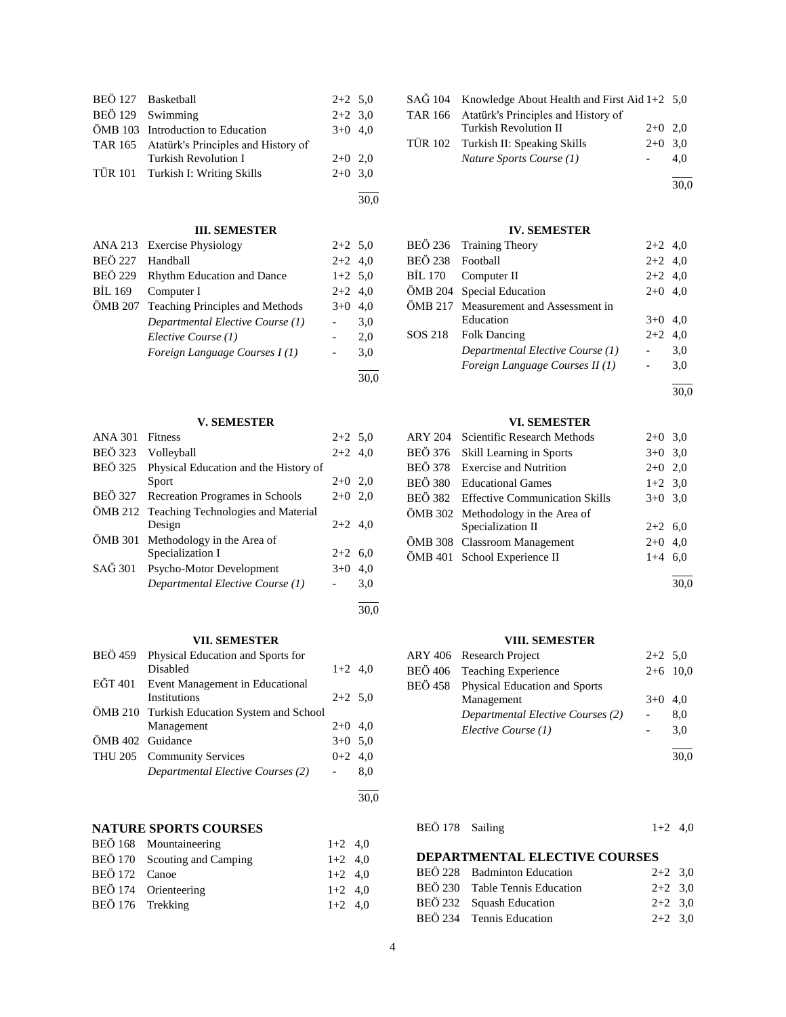| BEÖ 127 Basketball                          | $2+2$ 5.0 |  |
|---------------------------------------------|-----------|--|
| BEÖ 129 Swimming                            | $2+2$ 3.0 |  |
| ÖMB 103 Introduction to Education           | $3+0$ 4.0 |  |
| TAR 165 Atatürk's Principles and History of |           |  |
| Turkish Revolution I                        | $2+0$ 2.0 |  |
| TÜR 101 Turkish I: Writing Skills           | $2+0$ 3.0 |  |
|                                             |           |  |

#### **III. SEMESTER**

30,0

30,0

30,0

|                | ANA 213 Exercise Physiology      | $2+2$ 5.0 |           |
|----------------|----------------------------------|-----------|-----------|
| <b>BEÖ 227</b> | Handball                         | $2+2$ 4.0 |           |
| <b>BEÖ 229</b> | Rhythm Education and Dance       | $1+2$ 5,0 |           |
| <b>BIL 169</b> | Computer I                       | $2+2$ 4,0 |           |
| ÖMB 207        | Teaching Principles and Methods  |           | $3+0$ 4.0 |
|                | Departmental Elective Course (1) |           | 3,0       |
|                | Elective Course (1)              |           | 2,0       |
|                | Foreign Language Courses I(1)    |           | 3,0       |
|                |                                  |           |           |
|                |                                  |           | 30,0      |

## **V. SEMESTER**

| <b>ANA 301</b> | <b>Fitness</b>                             | $2+2$ 5.0 |     |
|----------------|--------------------------------------------|-----------|-----|
| <b>BEÖ</b> 323 | Volleyball                                 | $2+2$ 4,0 |     |
| <b>BEÖ</b> 325 | Physical Education and the History of      |           |     |
|                | Sport                                      | $2+0$ 2,0 |     |
| BEÖ 327        | Recreation Programes in Schools            | $2+0$ 2,0 |     |
|                | ÖMB 212 Teaching Technologies and Material |           |     |
|                | Design                                     | $2+2$ 4,0 |     |
| ÖMB 301        | Methodology in the Area of                 |           |     |
|                | Specialization I                           | $2+2$     | 6,0 |
| SAĞ 301        | Psycho-Motor Development                   | $3+0$     | 4,0 |
|                | Departmental Elective Course (1)           |           | 3,0 |
|                |                                            |           |     |

## **VII. SEMESTER**

| BEÖ 459          | Physical Education and Sports for           |           |     |
|------------------|---------------------------------------------|-----------|-----|
|                  | Disabled                                    | $1+2$ 4,0 |     |
|                  | EĞT 401 Event Management in Educational     |           |     |
|                  | <b>Institutions</b>                         | $2+2$ 5.0 |     |
|                  | ÖMB 210 Turkish Education System and School |           |     |
|                  | Management                                  | $2+0$ 4.0 |     |
| ÖMB 402 Guidance |                                             | $3+0$ 5,0 |     |
|                  | THU 205 Community Services                  | $0+2$ 4,0 |     |
|                  | Departmental Elective Courses (2)           |           | 8,0 |
|                  |                                             |           |     |

## **NATURE SPORTS COURSES**

|                  | BEÖ 168 Mountaineering       | $1+2$ 4,0 |  |
|------------------|------------------------------|-----------|--|
|                  | BEÖ 170 Scouting and Camping | $1+2$ 4.0 |  |
| BEÖ 172 Canoe    |                              | $1+2$ 4.0 |  |
|                  | BEÖ 174 Orienteering         | $1+2$ 4.0 |  |
| BEÖ 176 Trekking |                              | $1+2$ 4.0 |  |
|                  |                              |           |  |

| $SA\ddot{G}$ 104 Knowledge About Health and First Aid 1+2 5,0 |           |      |
|---------------------------------------------------------------|-----------|------|
| TAR 166 Atatürk's Principles and History of                   |           |      |
| <b>Turkish Revolution II</b>                                  | $2+0$ 2.0 |      |
| TÜR 102 Turkish II: Speaking Skills                           | $2+0$ 3.0 |      |
| Nature Sports Course (1)                                      |           | 4.0  |
|                                                               |           |      |
|                                                               |           | 30.0 |

#### **IV. SEMESTER**

|                  | BEÖ 236 Training Theory               | $2+2$ 4,0 |     |
|------------------|---------------------------------------|-----------|-----|
| BEÖ 238 Football |                                       | $2+2$ 4,0 |     |
|                  | BIL 170 Computer II                   | $2+2$ 4,0 |     |
|                  | ÖMB 204 Special Education             | $2+0$ 4,0 |     |
|                  | ÖMB 217 Measurement and Assessment in |           |     |
|                  | Education                             | $3+0$ 4,0 |     |
|                  | SOS 218 Folk Dancing                  | $2+2$ 4.0 |     |
|                  | Departmental Elective Course (1)      |           | 3,0 |
|                  | Foreign Language Courses II (1)       |           | 3,0 |
|                  |                                       |           |     |

30,0

l

## **VI. SEMESTER**

| ARY 204 | Scientific Research Methods            | $2+0$ 3,0 |           |
|---------|----------------------------------------|-----------|-----------|
|         | BEÖ 376 Skill Learning in Sports       |           | $3+0$ 3,0 |
|         | BEÖ 378 Exercise and Nutrition         | $2+0$ 2,0 |           |
|         | BEÖ 380 Educational Games              | $1+2$ 3,0 |           |
|         | BEÖ 382 Effective Communication Skills |           | $3+0$ 3,0 |
|         | ÖMB 302 Methodology in the Area of     |           |           |
|         | Specialization II                      | $2+2$ 6,0 |           |
|         | ÖMB 308 Classroom Management           | $2+0$ 4,0 |           |
|         | ÖMB 401 School Experience II           | $1+4$ 6,0 |           |
|         |                                        |           |           |

30,0

## **VIII. SEMESTER**

| ARY 406 Research Project              | $2+2$ 5,0 |            |
|---------------------------------------|-----------|------------|
| BEÖ 406 Teaching Experience           |           | $2+6$ 10,0 |
| BEÖ 458 Physical Education and Sports |           |            |
| Management                            | $3+0$ 4.0 |            |
| Departmental Elective Courses (2)     |           | 8,0        |
| Elective Course (1)                   |           | 3.0        |
|                                       |           |            |

 $\frac{30,0}{ }$ 

```
BEÖ 178 Sailing 1+2 4,0
```
## **DEPARTMENTAL ELECTIVE COURSES**

| BEÖ 228 Badminton Education    | $2+2$ 3.0 |  |
|--------------------------------|-----------|--|
| BEÖ 230 Table Tennis Education | $2+2$ 3.0 |  |
| BEÖ 232 Squash Education       | $2+2$ 3.0 |  |
| BEÖ 234 Tennis Education       | $2+2$ 3.0 |  |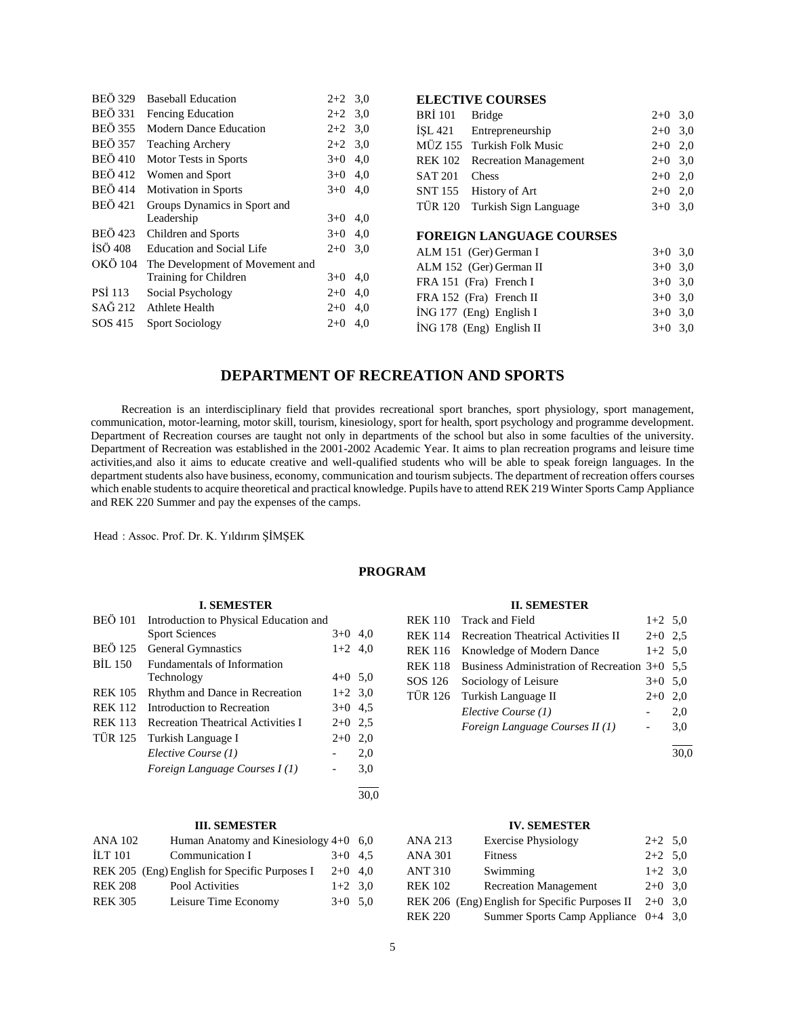| <b>BEÖ</b> 329 | <b>Baseball Education</b>        | $2+2$ 3.0 |                | <b>ELECTIVE COURSES</b>         |           |           |
|----------------|----------------------------------|-----------|----------------|---------------------------------|-----------|-----------|
| <b>BEÖ</b> 331 | Fencing Education                | $2+2$ 3.0 | <b>BRI</b> 101 | <b>Bridge</b>                   | $2+0$ 3,0 |           |
| <b>BEÖ 355</b> | Modern Dance Education           | $2+2$ 3.0 | ISL421         | Entrepreneurship                | $2+0$ 3.0 |           |
| <b>BEÖ 357</b> | <b>Teaching Archery</b>          | $2+2$ 3.0 | MÜZ 155        | Turkish Folk Music              | $2+0$ 2,0 |           |
| <b>BEÖ</b> 410 | Motor Tests in Sports            | $3+0$ 4,0 | <b>REK 102</b> | <b>Recreation Management</b>    | $2+0$ 3.0 |           |
| <b>BEÖ</b> 412 | Women and Sport                  | $3+0$ 4,0 | <b>SAT 201</b> | <b>Chess</b>                    | $2+0$ 2,0 |           |
| <b>BEÖ</b> 414 | Motivation in Sports             | $3+0$ 4,0 | <b>SNT 155</b> | History of Art                  | $2+0$ 2,0 |           |
| <b>BEÖ</b> 421 | Groups Dynamics in Sport and     |           | TÜR 120        | Turkish Sign Language           | $3+0$ 3.0 |           |
|                | Leadership                       | $3+0$ 4,0 |                |                                 |           |           |
| <b>BEÖ</b> 423 | Children and Sports              | $3+0$ 4,0 |                | <b>FOREIGN LANGUAGE COURSES</b> |           |           |
| İSÖ 408        | <b>Education and Social Life</b> | $2+0$ 3.0 |                | ALM 151 (Ger) German I          |           | $3+0$ 3.0 |
| OKÖ 104        | The Development of Movement and  |           |                | ALM 152 (Ger) German II         | $3+0$ 3.0 |           |
|                | Training for Children            | $3+0$ 4,0 |                | FRA 151 (Fra) French I          | $3+0$ 3.0 |           |
| <b>PSI</b> 113 | Social Psychology                | $2+0$ 4,0 |                | FRA 152 (Fra) French II         | $3+0$ 3,0 |           |
| SAĞ 212        | Athlete Health                   | $2+0$ 4,0 |                | $ING 177$ (Eng) English I       | $3+0$ 3.0 |           |
| SOS 415        | <b>Sport Sociology</b>           | $2+0$ 4,0 |                | $ING 178$ (Eng) English II      | $3+0$ 3,0 |           |

# **DEPARTMENT OF RECREATION AND SPORTS**

 Recreation is an interdisciplinary field that provides recreational sport branches, sport physiology, sport management, communication, motor-learning, motor skill, tourism, kinesiology, sport for health, sport psychology and programme development. Department of Recreation courses are taught not only in departments of the school but also in some faculties of the university. Department of Recreation was established in the 2001-2002 Academic Year. It aims to plan recreation programs and leisure time activities,and also it aims to educate creative and well-qualified students who will be able to speak foreign languages. In the department students also have business, economy, communication and tourism subjects. The department of recreation offers courses which enable students to acquire theoretical and practical knowledge. Pupils have to attend REK 219 Winter Sports Camp Appliance and REK 220 Summer and pay the expenses of the camps.

Head : Assoc. Prof. Dr. K. Yıldırım ŞİMŞEK

## **PROGRAM**

#### **I. SEMESTER**

| <b>BEÖ</b> 101 | Introduction to Physical Education and    |           |      |
|----------------|-------------------------------------------|-----------|------|
|                | <b>Sport Sciences</b>                     | $3+0$ 4.0 |      |
| <b>BEÖ 125</b> | <b>General Gymnastics</b>                 | $1+2$ 4,0 |      |
| <b>BIL 150</b> | Fundamentals of Information               |           |      |
|                | Technology                                | $4+0$ 5.0 |      |
| <b>REK 105</b> | Rhythm and Dance in Recreation            | $1+2$ 3.0 |      |
| <b>REK 112</b> | Introduction to Recreation                | $3+0$ 4.5 |      |
| <b>REK 113</b> | <b>Recreation Theatrical Activities I</b> | $2+0$ 2.5 |      |
| <b>TÜR 125</b> | Turkish Language I                        | $2+0$     | 2,0  |
|                | Elective Course (1)                       |           | 2,0  |
|                | Foreign Language Courses I(1)             |           | 3,0  |
|                |                                           |           | 30.0 |

## **III. SEMESTER**

| <b>ANA 102</b> | Human Anatomy and Kinesiology $4+0$ 6,0       |           |  |
|----------------|-----------------------------------------------|-----------|--|
| <b>ILT 101</b> | Communication I                               | $3+0$ 4.5 |  |
|                | REK 205 (Eng) English for Specific Purposes I | $2+0$ 4.0 |  |
| <b>REK 208</b> | Pool Activities                               | $1+2$ 3.0 |  |
| <b>REK 305</b> | Leisure Time Economy                          | $3+0$ 5.0 |  |

#### **II. SEMESTER**

|                | REK 110 Track and Field                       | $1+2$ 5,0 |     |
|----------------|-----------------------------------------------|-----------|-----|
| <b>REK 114</b> | <b>Recreation Theatrical Activities II</b>    | $2+0$ 2.5 |     |
| <b>REK 116</b> | Knowledge of Modern Dance                     | $1+2$ 5,0 |     |
| <b>REK 118</b> | Business Administration of Recreation 3+0 5.5 |           |     |
| SOS 126        | Sociology of Leisure                          | $3+0$ 5.0 |     |
|                | TÜR 126 Turkish Language II                   | $2+0$     | 2,0 |
|                | Elective Course (1)                           |           | 2,0 |
|                | Foreign Language Courses II (1)               |           | 3,0 |
|                |                                               |           |     |

30,0

## **IV. SEMESTER**

| <b>ANA 213</b> | <b>Exercise Physiology</b>                     | $2+2$ 5,0 |  |
|----------------|------------------------------------------------|-----------|--|
| <b>ANA 301</b> | Fitness                                        | $2+2$ 5.0 |  |
| <b>ANT 310</b> | Swimming                                       | $1+2$ 3.0 |  |
| <b>REK 102</b> | <b>Recreation Management</b>                   | $2+0$ 3.0 |  |
|                | REK 206 (Eng) English for Specific Purposes II | $2+0$ 3.0 |  |
| <b>REK 220</b> | Summer Sports Camp Appliance $0+4$ 3,0         |           |  |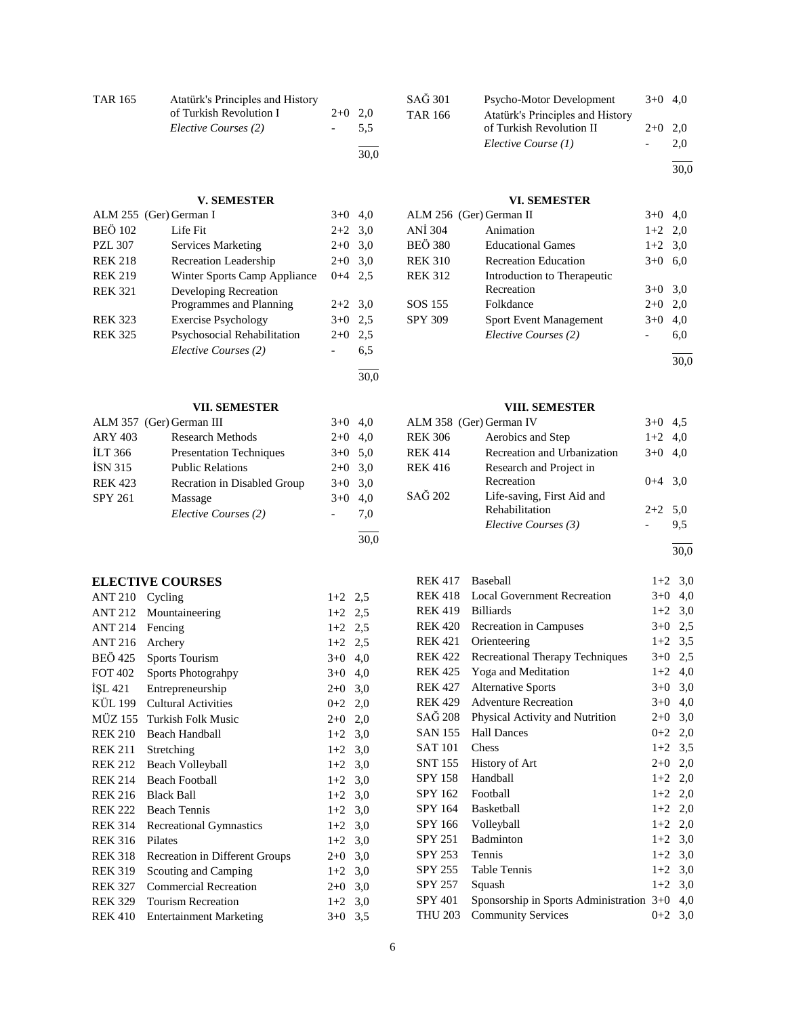| TAR 165 | Atatürk's Principles and History<br>of Turkish Revolution I<br>Elective Courses (2) | $2+0$ 2.0 | 5.5  |
|---------|-------------------------------------------------------------------------------------|-----------|------|
|         |                                                                                     |           | 30.0 |

## **V. SEMESTER**

|                | ALM 255 (Ger) German I       | $3+0$     | 4.0 |
|----------------|------------------------------|-----------|-----|
| <b>BEÖ 102</b> | Life Fit                     | $2+2$ 3.0 |     |
| <b>PZL 307</b> | Services Marketing           | $2+0$     | 3,0 |
| <b>REK 218</b> | Recreation Leadership        | $2+0$     | 3,0 |
| <b>REK 219</b> | Winter Sports Camp Appliance | $0 + 4$   | 2.5 |
| <b>REK 321</b> | Developing Recreation        |           |     |
|                | Programmes and Planning      | $2+2$ 3.0 |     |
| <b>REK 323</b> | <b>Exercise Psychology</b>   | $3+0$     | 2.5 |
| <b>REK 325</b> | Psychosocial Rehabilitation  | $2+0$     | 2,5 |
|                | Elective Courses (2)         |           | 6,5 |
|                |                              |           |     |

## **VII. SEMESTER**

|                | ALM 357 (Ger) German III       | $3+0$ 4,0 |     |
|----------------|--------------------------------|-----------|-----|
| <b>ARY 403</b> | Research Methods               | $2+0$ 4,0 |     |
| <b>ILT</b> 366 | <b>Presentation Techniques</b> | $3+0$ 5,0 |     |
| <b>ISN 315</b> | <b>Public Relations</b>        | $2+0$ 3,0 |     |
| <b>REK 423</b> | Recration in Disabled Group    | $3+0$ 3,0 |     |
| <b>SPY 261</b> | Massage                        | $3+0$     | 4,0 |
|                | Elective Courses (2)           |           | 7.0 |
|                |                                |           |     |

## **ELECTIVE COURSES**

| <b>ANT 210</b> | Cycling                        | $1+2$     | 2,5 |
|----------------|--------------------------------|-----------|-----|
| <b>ANT 212</b> | Mountaineering                 | $1+2$     | 2,5 |
| <b>ANT 214</b> | Fencing                        | $1+2$ 2,5 |     |
| ANT 216        | Archery                        | $1+2$ 2,5 |     |
| BEÖ 425        | <b>Sports Tourism</b>          | $3+0$     | 4,0 |
| <b>FOT 402</b> | Sports Photograhpy             | $3+0$     | 4,0 |
| ISL 421        | Entrepreneurship               | $2+0$     | 3,0 |
| KÜL 199        | <b>Cultural Activities</b>     | $0+2$ 2,0 |     |
| MÜZ 155        | Turkish Folk Music             | $2+0$     | 2,0 |
| <b>REK 210</b> | <b>Beach Handball</b>          | $1+2$     | 3,0 |
| <b>REK 211</b> | Stretching                     | $1+2$     | 3,0 |
| <b>REK 212</b> | Beach Volleyball               | $1+2$     | 3,0 |
| <b>REK 214</b> | <b>Beach Football</b>          | $1+2$     | 3,0 |
| <b>REK 216</b> | <b>Black Ball</b>              | $1+2$     | 3,0 |
| <b>REK 222</b> | <b>Beach Tennis</b>            | $1+2$     | 3,0 |
| <b>REK 314</b> | <b>Recreational Gymnastics</b> | $1+2$     | 3,0 |
| <b>REK 316</b> | Pilates                        | $1+2$     | 3,0 |
| <b>REK 318</b> | Recreation in Different Groups | $2+0$     | 3,0 |
| <b>REK 319</b> | Scouting and Camping           | $1+2$     | 3,0 |
| <b>REK 327</b> | <b>Commercial Recreation</b>   | $2+0$     | 3,0 |
| <b>REK 329</b> | <b>Tourism Recreation</b>      | $1+2$     | 3,0 |
| <b>REK 410</b> | <b>Entertainment Marketing</b> | $3+0$     | 3,5 |

| SAĞ 301        | Psycho-Motor Development         | $3+0$ 4.0 |      |
|----------------|----------------------------------|-----------|------|
| <b>TAR 166</b> | Atatürk's Principles and History |           |      |
|                | of Turkish Revolution II         | $2+0$     | 2.0  |
|                | Elective Course (1)              |           | 2.0  |
|                |                                  |           | 30.0 |
|                |                                  |           |      |

#### **VI. SEMESTER**

| ALM 256 (Ger) German II       | $3+0$     | 4,0  |
|-------------------------------|-----------|------|
| Animation                     | $1+2$ 2,0 |      |
| <b>Educational Games</b>      | $1+2$ 3.0 |      |
| <b>Recreation Education</b>   | $3+0$     | 6,0  |
| Introduction to Therapeutic   |           |      |
| Recreation                    | $3+0$     | 3,0  |
| Folkdance                     | $2+0$     | 2,0  |
| <b>Sport Event Management</b> | $3+0$     | 4,0  |
| Elective Courses (2)          |           | 6,0  |
|                               |           | 30.0 |
|                               |           |      |

# **VIII. SEMESTER**

|                | ALM 358 (Ger) German IV                      | $3+0$     | 4.5 |
|----------------|----------------------------------------------|-----------|-----|
| <b>REK 306</b> | Aerobics and Step                            | $1+2$ 4,0 |     |
| <b>REK 414</b> | Recreation and Urbanization                  | $3+0$     | 4.0 |
| <b>REK 416</b> | Research and Project in<br>Recreation        | $0+4$ 3.0 |     |
| SAĞ 202        | Life-saving, First Aid and<br>Rehabilitation | $2+2$ 5.0 |     |
|                | Elective Courses (3)                         |           | 9.5 |
|                |                                              |           |     |

30,0

| <b>REK 417</b> | Baseball                                 | $1+2$     | 3,0 |
|----------------|------------------------------------------|-----------|-----|
| <b>REK 418</b> | <b>Local Government Recreation</b>       | $3+0$     | 4,0 |
| <b>REK 419</b> | <b>Billiards</b>                         | $1+2$     | 3,0 |
| <b>REK 420</b> | Recreation in Campuses                   | $3+0$ 2,5 |     |
| <b>REK 421</b> | Orienteering                             | $1+2$     | 3,5 |
| <b>REK 422</b> | Recreational Therapy Techniques          | $3+0$     | 2,5 |
| <b>REK 425</b> | Yoga and Meditation                      | $1+2$     | 4,0 |
| <b>REK 427</b> | <b>Alternative Sports</b>                | $3+0$ 3,0 |     |
| <b>REK 429</b> | <b>Adventure Recreation</b>              | $3+0$     | 4,0 |
| SAĞ 208        | Physical Activity and Nutrition          | $2+0$     | 3,0 |
| <b>SAN 155</b> | <b>Hall Dances</b>                       | $0+2$     | 2,0 |
| <b>SAT 101</b> | Chess                                    | $1+2$ 3,5 |     |
| <b>SNT 155</b> | History of Art                           | $2+0$     | 2,0 |
| <b>SPY 158</b> | Handball                                 | $1+2$ 2,0 |     |
| SPY 162        | Football                                 | $1+2$ 2,0 |     |
| <b>SPY 164</b> | <b>Basketball</b>                        | $1+2$ 2,0 |     |
| SPY 166        | Volleyball                               | $1+2$     | 2,0 |
| <b>SPY 251</b> | Badminton                                | $1+2$     | 3,0 |
| SPY 253        | Tennis                                   | $1+2$     | 3,0 |
| SPY 255        | Table Tennis                             | $1+2$     | 3,0 |
| SPY 257        | Squash                                   | $1+2$     | 3,0 |
| <b>SPY 401</b> | Sponsorship in Sports Administration 3+0 |           | 4,0 |
| <b>THU 203</b> | <b>Community Services</b>                | $0 + 2$   | 3,0 |
|                |                                          |           |     |

30,0

 $\overline{a}$ 30,0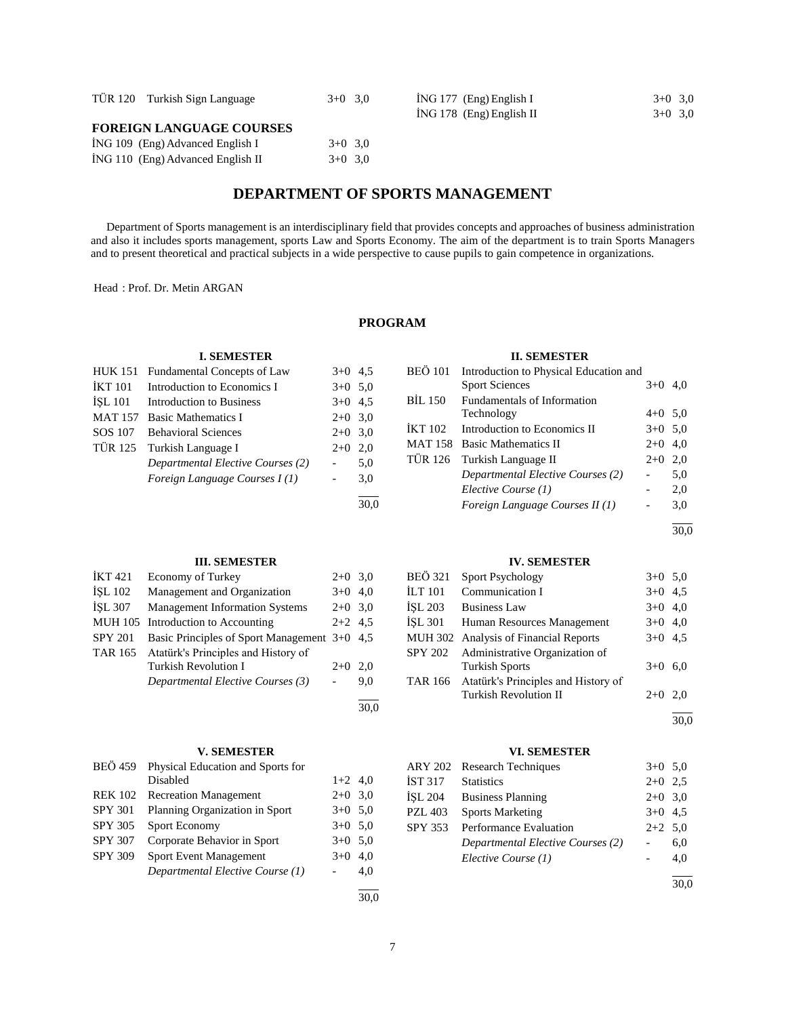| TÜR 120 Turkish Sign Language    | $3+0$ 3.0 | $ING 177$ (Eng) English I<br>$ING 178$ (Eng) English II | $3+0$ 3.0 |
|----------------------------------|-----------|---------------------------------------------------------|-----------|
| <b>FOREIGN LANGUAGE COURSES</b>  |           |                                                         | $3+0$ 3.0 |
| ING 109 (Eng) Advanced English I | $3+0$ 3.0 |                                                         |           |

|  |  | <b>DEPARTMENT OF SPORTS MANAGEMENT</b> |  |  |  |  |
|--|--|----------------------------------------|--|--|--|--|
|--|--|----------------------------------------|--|--|--|--|

 Department of Sports management is an interdisciplinary field that provides concepts and approaches of business administration and also it includes sports management, sports Law and Sports Economy. The aim of the department is to train Sports Managers and to present theoretical and practical subjects in a wide perspective to cause pupils to gain competence in organizations.

Head : Prof. Dr. Metin ARGAN

## **PROGRAM**

## **II. SEMESTER**

|                | HUK 151 Fundamental Concepts of Law | $3+0$ 4.5                |      | <b>BEO 101</b> | Introduction to Physical Education and |                          |     |
|----------------|-------------------------------------|--------------------------|------|----------------|----------------------------------------|--------------------------|-----|
| <b>İKT 101</b> | Introduction to Economics I         | $3+0$ 5.0                |      |                | <b>Sport Sciences</b>                  | $3+0$ 4,0                |     |
| ISL 101        | Introduction to Business            | $3+0$ 4.5                |      | <b>BIL 150</b> | Fundamentals of Information            |                          |     |
| <b>MAT 157</b> | <b>Basic Mathematics I</b>          | $2+0$ 3.0                |      |                | Technology                             | $4+0$ 5.0                |     |
| SOS 107        | <b>Behavioral Sciences</b>          | $2+0$ 3.0                |      | <b>IKT 102</b> | Introduction to Economics II           | $3+0$ 5.0                |     |
| <b>TÜR 125</b> | Turkish Language I                  | $2+0$ 2,0                |      |                | MAT 158 Basic Mathematics II           | $2+0$ 4,0                |     |
|                | Departmental Elective Courses (2)   | -                        | 5,0  | TUR 126        | Turkish Language II                    | $2+0$ 2,0                |     |
|                | Foreign Language Courses I(1)       | $\overline{\phantom{0}}$ | 3,0  |                | Departmental Elective Courses (2)      | $\overline{\phantom{0}}$ | 5,0 |
|                |                                     |                          |      |                | Elective Course (1)                    | $\overline{\phantom{a}}$ | 2,0 |
|                |                                     |                          | 30.0 |                | Foreign Language Courses II (1)        | $\overline{\phantom{a}}$ | 3,0 |
|                |                                     |                          |      |                |                                        |                          |     |

30,0

## **III. SEMESTER**

**I. SEMESTER**

 $\overline{1}$  ING 110 (Eng) Advanced English II  $3+0$  3,0

| IKT <sub>421</sub> | <b>Economy of Turkey</b>                     | $2+0$ 3.0 |     |
|--------------------|----------------------------------------------|-----------|-----|
| <b>İSL 102</b>     | Management and Organization                  | $3+0$ 4.0 |     |
| <b>İSL 307</b>     | <b>Management Information Systems</b>        | $2+0$ 3.0 |     |
|                    | MUH 105 Introduction to Accounting           | $2+2$ 4.5 |     |
| <b>SPY 201</b>     | Basic Principles of Sport Management 3+0 4,5 |           |     |
| TAR 165            | Atatürk's Principles and History of          |           |     |
|                    | <b>Turkish Revolution I</b>                  | $2+0$     | 2.0 |
|                    | Departmental Elective Courses (3)            |           | 9.0 |
|                    |                                              |           |     |

#### **V. SEMESTER**

| <b>BEÖ</b> 459 | Physical Education and Sports for |           |     |
|----------------|-----------------------------------|-----------|-----|
|                | Disabled                          | $1+2$ 4,0 |     |
| <b>REK 102</b> | <b>Recreation Management</b>      | $2+0$ 3.0 |     |
| <b>SPY 301</b> | Planning Organization in Sport    | $3+0$ 5.0 |     |
| SPY 305        | Sport Economy                     | $3+0$ 5.0 |     |
| <b>SPY 307</b> | Corporate Behavior in Sport       | $3+0$ 5.0 |     |
| <b>SPY 309</b> | <b>Sport Event Management</b>     | $3+0$     | 4.0 |
|                | Departmental Elective Course (1)  |           | 4,0 |
|                |                                   |           |     |

30,0

## **IV. SEMESTER**

| BEÖ 321 | <b>Sport Psychology</b>               | $3+0$ 5.0 |     |
|---------|---------------------------------------|-----------|-----|
| İLT 101 | Communication I                       | $3+0$ 4.5 |     |
| İSL 203 | <b>Business Law</b>                   | $3+0$ 4,0 |     |
| İSL 301 | Human Resources Management            | $3+0$ 4,0 |     |
|         | MUH 302 Analysis of Financial Reports | $3+0$ 4.5 |     |
| SPY 202 | Administrative Organization of        |           |     |
|         | <b>Turkish Sports</b>                 | $3+0$ 6,0 |     |
| TAR 166 | Atatürk's Principles and History of   |           |     |
|         | <b>Turkish Revolution II</b>          | $2+0$     | 2.0 |
|         |                                       |           |     |

30,0

## **VI. SEMESTER**

|         | ARY 202 Research Techniques       | $3+0$ 5.0 |     |
|---------|-----------------------------------|-----------|-----|
| İST 317 | <b>Statistics</b>                 | $2+0$ 2.5 |     |
| İSL 204 | <b>Business Planning</b>          | $2+0$ 3,0 |     |
| PZL 403 | <b>Sports Marketing</b>           | $3+0$ 4.5 |     |
| SPY 353 | Performance Evaluation            | $2+2$ 5,0 |     |
|         | Departmental Elective Courses (2) |           | 6,0 |
|         | Elective Course (1)               |           | 4,0 |
|         |                                   |           |     |

30,0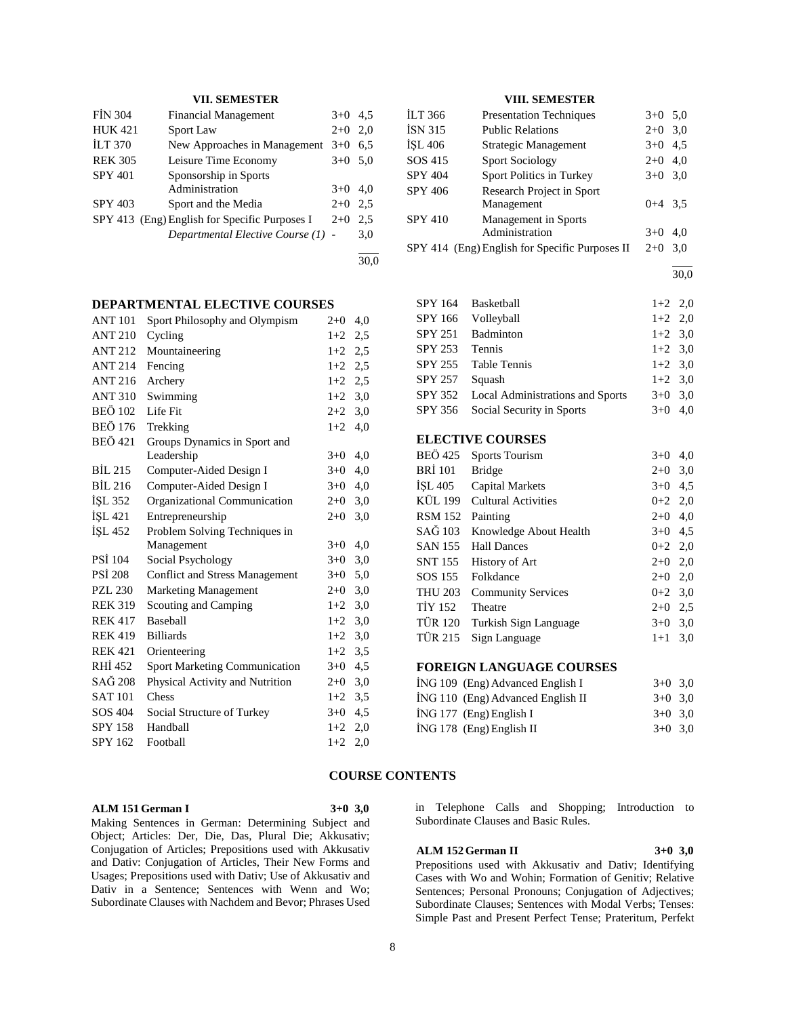## **VII. SEMESTER**

| <b>FIN 304</b> | <b>Financial Management</b>                   | $3+0$ | 4.5 |
|----------------|-----------------------------------------------|-------|-----|
| <b>HUK 421</b> | <b>Sport Law</b>                              | $2+0$ | 2.0 |
| <b>ILT 370</b> | New Approaches in Management                  | $3+0$ | 6,5 |
| <b>REK 305</b> | Leisure Time Economy                          | $3+0$ | 5,0 |
| <b>SPY 401</b> | Sponsorship in Sports                         |       |     |
|                | Administration                                | $3+0$ | 4.0 |
| <b>SPY 403</b> | Sport and the Media                           | $2+0$ | 2.5 |
|                | SPY 413 (Eng) English for Specific Purposes I | $2+0$ | 2,5 |
|                | Departmental Elective Course (1) -            |       | 3,0 |
|                |                                               |       |     |

30,0

## **DEPARTMENTAL ELECTIVE COURSES**

| <b>ANT 101</b> | Sport Philosophy and Olympism         | $2 + 0$ | 4,0 |
|----------------|---------------------------------------|---------|-----|
| <b>ANT 210</b> | Cycling                               | $1+2$   | 2,5 |
| <b>ANT 212</b> | Mountaineering                        | $1+2$   | 2,5 |
| <b>ANT 214</b> | Fencing                               | $1+2$   | 2,5 |
| ANT 216        | Archery                               | $1+2$   | 2,5 |
| <b>ANT 310</b> | Swimming                              | $1+2$   | 3,0 |
| <b>BEÖ 102</b> | Life Fit                              | $2+2$   | 3,0 |
| <b>BEÖ 176</b> | Trekking                              | $1+2$   | 4,0 |
| <b>BEÖ</b> 421 | Groups Dynamics in Sport and          |         |     |
|                | Leadership                            | $3+0$   | 4,0 |
| <b>BIL 215</b> | Computer-Aided Design I               | $3+0$   | 4,0 |
| <b>BIL 216</b> | Computer-Aided Design I               | $3+0$   | 4,0 |
| İŞL 352        | Organizational Communication          | $2+0$   | 3,0 |
| ISL 421        | Entrepreneurship                      | $2+0$   | 3,0 |
| ISL 452        | Problem Solving Techniques in         |         |     |
|                | Management                            | $3+0$   | 4,0 |
| <b>PSI</b> 104 | Social Psychology                     | $3+0$   | 3,0 |
| <b>PSI 208</b> | <b>Conflict and Stress Management</b> | $3+0$   | 5,0 |
| <b>PZL 230</b> | <b>Marketing Management</b>           | $2+0$   | 3,0 |
| <b>REK 319</b> | Scouting and Camping                  | $1+2$   | 3,0 |
| <b>REK 417</b> | <b>Baseball</b>                       | $1+2$   | 3,0 |
| <b>REK 419</b> | <b>Billiards</b>                      | $1+2$   | 3,0 |
| <b>REK 421</b> | Orienteering                          | $1+2$   | 3.5 |
| RHI 452        | <b>Sport Marketing Communication</b>  | $3+0$   | 4,5 |
| SAĞ 208        | Physical Activity and Nutrition       | $2 + 0$ | 3,0 |
| <b>SAT 101</b> | Chess                                 | $1+2$   | 3,5 |
| SOS 404        | Social Structure of Turkey            | $3+0$   | 4,5 |
| <b>SPY 158</b> | Handball                              | $1+2$   | 2,0 |
| SPY 162        | Football                              | $1+2$   | 2,0 |

## **VIII. SEMESTER**

| İLT 366        | <b>Presentation Techniques</b>                 | $3+0$     | 5,0 |
|----------------|------------------------------------------------|-----------|-----|
| <b>İSN 315</b> | <b>Public Relations</b>                        | $2+0$     | 3,0 |
| ISL 406        | Strategic Management                           | $3+0$     | 4,5 |
| SOS 415        | <b>Sport Sociology</b>                         | $2+0$     | 4,0 |
| <b>SPY 404</b> | Sport Politics in Turkey                       | $3+0$ 3,0 |     |
| <b>SPY 406</b> | Research Project in Sport                      |           |     |
|                | Management                                     | $0+4$ 3.5 |     |
| <b>SPY 410</b> | Management in Sports                           |           |     |
|                | Administration                                 | $3+0$     | 4.0 |
|                | SPY 414 (Eng) English for Specific Purposes II | $2+0$     | 3.0 |

l 30,0

| <b>SPY 164</b>           | Basketball                       | $1+2$ 2,0 |  |  |
|--------------------------|----------------------------------|-----------|--|--|
| SPY 166                  | Volleyball                       | $1+2$ 2,0 |  |  |
| <b>SPY 251</b>           | Badminton                        | $1+2$ 3,0 |  |  |
| <b>SPY 253</b>           | Tennis                           | $1+2$ 3,0 |  |  |
| SPY 255                  | <b>Table Tennis</b>              | $1+2$ 3,0 |  |  |
| <b>SPY 257</b>           | Squash                           | $1+2$ 3,0 |  |  |
| SPY 352                  | Local Administrations and Sports | $3+0$ 3.0 |  |  |
| SPY 356                  | Social Security in Sports        | $3+0$ 4,0 |  |  |
|                          |                                  |           |  |  |
| <b>FI FOTIVE COUPSES</b> |                                  |           |  |  |

## **ELECTIVE COURSES**

| <b>BEÖ</b> 425 | <b>Sports Tourism</b>      | $3+0$     | 4,0 |
|----------------|----------------------------|-----------|-----|
| <b>BRI</b> 101 | <b>Bridge</b>              | $2+0$     | 3,0 |
| ISL 405        | <b>Capital Markets</b>     | $3+0$     | 4,5 |
| KÜL 199        | <b>Cultural Activities</b> | $0+2$ 2,0 |     |
| <b>RSM 152</b> | Painting                   | $2+0$ 4,0 |     |
| SAĞ 103        | Knowledge About Health     | $3+0$ 4.5 |     |
| <b>SAN 155</b> | <b>Hall Dances</b>         | $0+2$ 2,0 |     |
| <b>SNT 155</b> | History of Art             | $2+0$ 2,0 |     |
| SOS 155        | Folkdance                  | $2+0$ 2,0 |     |
| <b>THU 203</b> | <b>Community Services</b>  | $0+2$ 3.0 |     |
| <b>TIY 152</b> | Theatre                    | $2+0$ 2.5 |     |
| TÜR 120        | Turkish Sign Language      | $3+0$ 3.0 |     |
| <b>TÜR 215</b> | Sign Language              | $1+1$ 3.0 |     |

## **FOREIGN LANGUAGE COURSES**

| ING 109 (Eng) Advanced English I |                                   | $3+0$ 3.0 |  |
|----------------------------------|-----------------------------------|-----------|--|
|                                  | ING 110 (Eng) Advanced English II | $3+0$ 3.0 |  |
| ING 177 (Eng) English I          |                                   | $3+0$ 3.0 |  |
| ING 178 (Eng) English II         |                                   | $3+0$ 3.0 |  |

## **COURSE CONTENTS**

**ALM 151 German I 3+0 3,0**

Making Sentences in German: Determining Subject and Object; Articles: Der, Die, Das, Plural Die; Akkusativ; Conjugation of Articles; Prepositions used with Akkusativ and Dativ: Conjugation of Articles, Their New Forms and Usages; Prepositions used with Dativ; Use of Akkusativ and Dativ in a Sentence; Sentences with Wenn and Wo; Subordinate Clauses with Nachdem and Bevor; Phrases Used

in Telephone Calls and Shopping; Introduction to Subordinate Clauses and Basic Rules.

## **ALM 152 German II 3+0 3,0**

Prepositions used with Akkusativ and Dativ; Identifying Cases with Wo and Wohin; Formation of Genitiv; Relative Sentences; Personal Pronouns; Conjugation of Adjectives; Subordinate Clauses; Sentences with Modal Verbs; Tenses: Simple Past and Present Perfect Tense; Prateritum, Perfekt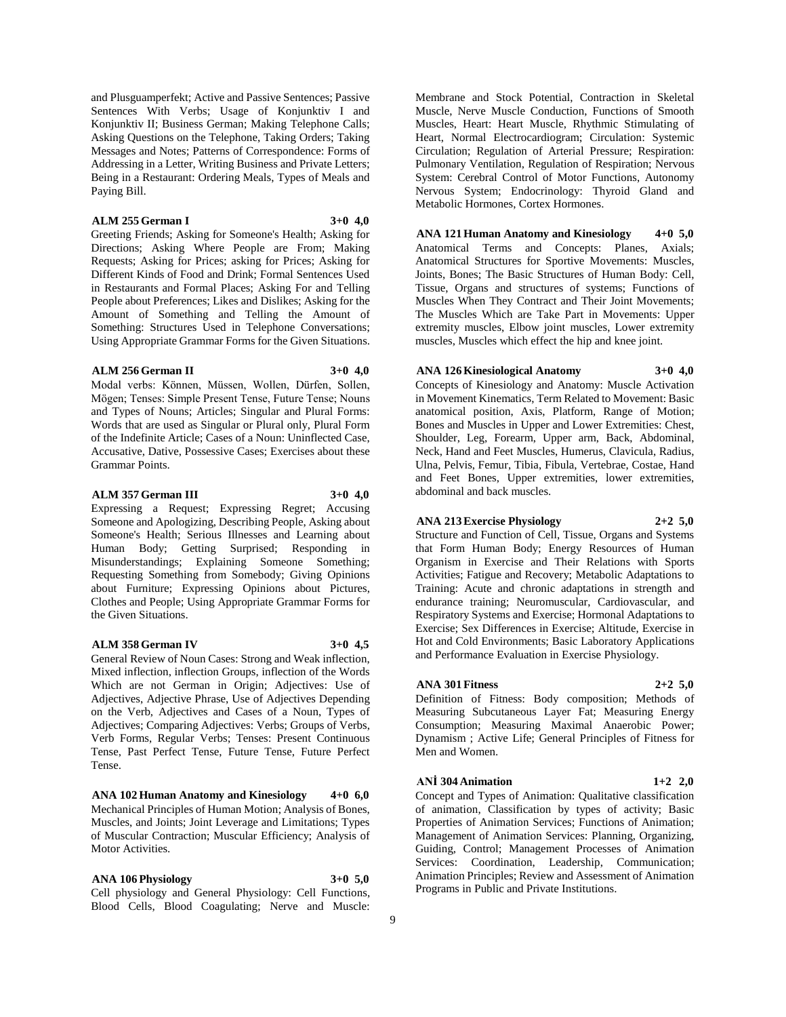and Plusguamperfekt; Active and Passive Sentences; Passive Sentences With Verbs; Usage of Konjunktiv I and Konjunktiv II; Business German; Making Telephone Calls; Asking Questions on the Telephone, Taking Orders; Taking Messages and Notes; Patterns of Correspondence: Forms of Addressing in a Letter, Writing Business and Private Letters; Being in a Restaurant: Ordering Meals, Types of Meals and Paying Bill.

## **ALM 255 German I 3+0 4,0**

Greeting Friends; Asking for Someone's Health; Asking for Directions; Asking Where People are From; Making Requests; Asking for Prices; asking for Prices; Asking for Different Kinds of Food and Drink; Formal Sentences Used in Restaurants and Formal Places; Asking For and Telling People about Preferences; Likes and Dislikes; Asking for the Amount of Something and Telling the Amount of Something: Structures Used in Telephone Conversations; Using Appropriate Grammar Forms for the Given Situations.

### **ALM 256 German II 3+0 4,0**

Modal verbs: Können, Müssen, Wollen, Dürfen, Sollen, Mögen; Tenses: Simple Present Tense, Future Tense; Nouns and Types of Nouns; Articles; Singular and Plural Forms: Words that are used as Singular or Plural only, Plural Form of the Indefinite Article; Cases of a Noun: Uninflected Case, Accusative, Dative, Possessive Cases; Exercises about these Grammar Points.

## **ALM 357 German III 3+0 4,0**

Expressing a Request; Expressing Regret; Accusing Someone and Apologizing, Describing People, Asking about Someone's Health; Serious Illnesses and Learning about Human Body; Getting Surprised; Responding in Misunderstandings; Explaining Someone Something; Requesting Something from Somebody; Giving Opinions about Furniture; Expressing Opinions about Pictures, Clothes and People; Using Appropriate Grammar Forms for the Given Situations.

#### **ALM 358 German IV 3+0 4,5**

General Review of Noun Cases: Strong and Weak inflection, Mixed inflection, inflection Groups, inflection of the Words Which are not German in Origin; Adjectives: Use of Adjectives, Adjective Phrase, Use of Adjectives Depending on the Verb, Adjectives and Cases of a Noun, Types of Adjectives; Comparing Adjectives: Verbs; Groups of Verbs, Verb Forms, Regular Verbs; Tenses: Present Continuous Tense, Past Perfect Tense, Future Tense, Future Perfect Tense.

**ANA 102 Human Anatomy and Kinesiology 4+0 6,0** Mechanical Principles of Human Motion; Analysis of Bones, Muscles, and Joints; Joint Leverage and Limitations; Types of Muscular Contraction; Muscular Efficiency; Analysis of Motor Activities.

**ANA 106 Physiology 3+0 5,0**

Cell physiology and General Physiology: Cell Functions, Blood Cells, Blood Coagulating; Nerve and Muscle:

Membrane and Stock Potential, Contraction in Skeletal Muscle, Nerve Muscle Conduction, Functions of Smooth Muscles, Heart: Heart Muscle, Rhythmic Stimulating of Heart, Normal Electrocardiogram; Circulation: Systemic Circulation; Regulation of Arterial Pressure; Respiration: Pulmonary Ventilation, Regulation of Respiration; Nervous System: Cerebral Control of Motor Functions, Autonomy Nervous System; Endocrinology: Thyroid Gland and Metabolic Hormones, Cortex Hormones.

**ANA 121 Human Anatomy and Kinesiology 4+0 5,0** Anatomical Terms and Concepts: Planes, Axials; Anatomical Structures for Sportive Movements: Muscles, Joints, Bones; The Basic Structures of Human Body: Cell, Tissue, Organs and structures of systems; Functions of Muscles When They Contract and Their Joint Movements; The Muscles Which are Take Part in Movements: Upper extremity muscles, Elbow joint muscles, Lower extremity muscles, Muscles which effect the hip and knee joint.

#### **ANA 126 Kinesiological Anatomy 3+0 4,0**

Concepts of Kinesiology and Anatomy: Muscle Activation in Movement Kinematics, Term Related to Movement: Basic anatomical position, Axis, Platform, Range of Motion; Bones and Muscles in Upper and Lower Extremities: Chest, Shoulder, Leg, Forearm, Upper arm, Back, Abdominal, Neck, Hand and Feet Muscles, Humerus, Clavicula, Radius, Ulna, Pelvis, Femur, Tibia, Fibula, Vertebrae, Costae, Hand and Feet Bones, Upper extremities, lower extremities, abdominal and back muscles.

## **ANA 213 Exercise Physiology 2+2 5,0**

Structure and Function of Cell, Tissue, Organs and Systems that Form Human Body; Energy Resources of Human Organism in Exercise and Their Relations with Sports Activities; Fatigue and Recovery; Metabolic Adaptations to Training: Acute and chronic adaptations in strength and endurance training; Neuromuscular, Cardiovascular, and Respiratory Systems and Exercise; Hormonal Adaptations to Exercise; Sex Differences in Exercise; Altitude, Exercise in Hot and Cold Environments; Basic Laboratory Applications and Performance Evaluation in Exercise Physiology.

#### **ANA 301 Fitness 2+2 5,0**

Definition of Fitness: Body composition; Methods of Measuring Subcutaneous Layer Fat; Measuring Energy Consumption; Measuring Maximal Anaerobic Power; Dynamism ; Active Life; General Principles of Fitness for Men and Women.

**ANİ 304 Animation 1+2 2,0**

Concept and Types of Animation: Qualitative classification of animation, Classification by types of activity; Basic Properties of Animation Services; Functions of Animation; Management of Animation Services: Planning, Organizing, Guiding, Control; Management Processes of Animation Services: Coordination, Leadership, Communication; Animation Principles; Review and Assessment of Animation Programs in Public and Private Institutions.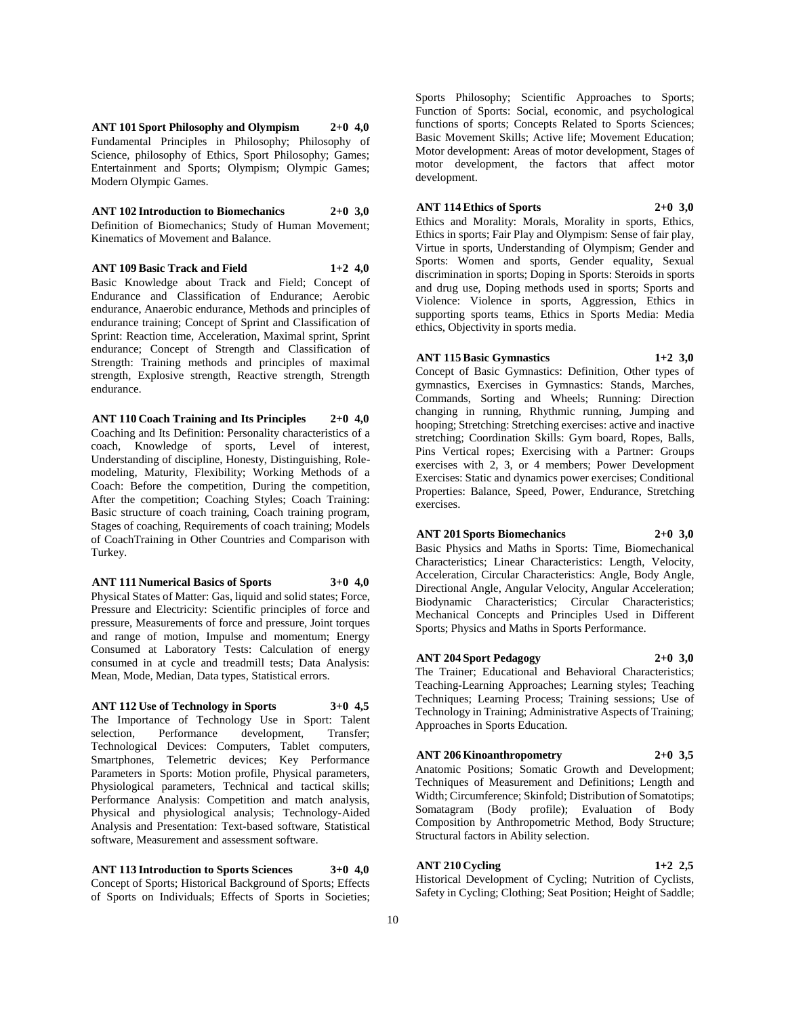**ANT 101 Sport Philosophy and Olympism 2+0 4,0** Fundamental Principles in Philosophy; Philosophy of Science, philosophy of Ethics, Sport Philosophy; Games; Entertainment and Sports; Olympism; Olympic Games; Modern Olympic Games.

**ANT 102 Introduction to Biomechanics 2+0 3,0** Definition of Biomechanics; Study of Human Movement; Kinematics of Movement and Balance.

**ANT 109 Basic Track and Field 1+2 4,0** Basic Knowledge about Track and Field; Concept of Endurance and Classification of Endurance; Aerobic endurance, Anaerobic endurance, Methods and principles of endurance training; Concept of Sprint and Classification of Sprint: Reaction time, Acceleration, Maximal sprint, Sprint endurance; Concept of Strength and Classification of Strength: Training methods and principles of maximal strength, Explosive strength, Reactive strength, Strength endurance.

**ANT 110 Coach Training and Its Principles 2+0 4,0** Coaching and Its Definition: Personality characteristics of a coach, Knowledge of sports, Level of interest, Understanding of discipline, Honesty, Distinguishing, Rolemodeling, Maturity, Flexibility; Working Methods of a Coach: Before the competition, During the competition, After the competition; Coaching Styles; Coach Training: Basic structure of coach training, Coach training program, Stages of coaching, Requirements of coach training; Models of CoachTraining in Other Countries and Comparison with Turkey.

**ANT 111 Numerical Basics of Sports 3+0 4,0**

Physical States of Matter: Gas, liquid and solid states; Force, Pressure and Electricity: Scientific principles of force and pressure, Measurements of force and pressure, Joint torques and range of motion, Impulse and momentum; Energy Consumed at Laboratory Tests: Calculation of energy consumed in at cycle and treadmill tests; Data Analysis: Mean, Mode, Median, Data types, Statistical errors.

## **ANT 112 Use of Technology in Sports 3+0 4,5**

The Importance of Technology Use in Sport: Talent selection, Performance development, Transfer; Technological Devices: Computers, Tablet computers, Smartphones, Telemetric devices; Key Performance Parameters in Sports: Motion profile, Physical parameters, Physiological parameters, Technical and tactical skills; Performance Analysis: Competition and match analysis, Physical and physiological analysis; Technology-Aided Analysis and Presentation: Text-based software, Statistical software, Measurement and assessment software.

**ANT 113 Introduction to Sports Sciences 3+0 4,0** Concept of Sports; Historical Background of Sports; Effects of Sports on Individuals; Effects of Sports in Societies;

Sports Philosophy; Scientific Approaches to Sports; Function of Sports: Social, economic, and psychological functions of sports; Concepts Related to Sports Sciences; Basic Movement Skills; Active life; Movement Education; Motor development: Areas of motor development, Stages of motor development, the factors that affect motor development.

**ANT 114 Ethics of Sports 2+0 3,0**

Ethics and Morality: Morals, Morality in sports, Ethics, Ethics in sports; Fair Play and Olympism: Sense of fair play, Virtue in sports, Understanding of Olympism; Gender and Sports: Women and sports, Gender equality, Sexual discrimination in sports; Doping in Sports: Steroids in sports and drug use, Doping methods used in sports; Sports and Violence: Violence in sports, Aggression, Ethics in supporting sports teams, Ethics in Sports Media: Media ethics, Objectivity in sports media.

**ANT 115 Basic Gymnastics 1+2 3,0**

Concept of Basic Gymnastics: Definition, Other types of gymnastics, Exercises in Gymnastics: Stands, Marches, Commands, Sorting and Wheels; Running: Direction changing in running, Rhythmic running, Jumping and hooping; Stretching: Stretching exercises: active and inactive stretching; Coordination Skills: Gym board, Ropes, Balls, Pins Vertical ropes; Exercising with a Partner: Groups exercises with 2, 3, or 4 members; Power Development Exercises: Static and dynamics power exercises; Conditional Properties: Balance, Speed, Power, Endurance, Stretching exercises.

#### **ANT 201 Sports Biomechanics 2+0 3,0**

Basic Physics and Maths in Sports: Time, Biomechanical Characteristics; Linear Characteristics: Length, Velocity, Acceleration, Circular Characteristics: Angle, Body Angle, Directional Angle, Angular Velocity, Angular Acceleration; Biodynamic Characteristics; Circular Characteristics; Mechanical Concepts and Principles Used in Different Sports; Physics and Maths in Sports Performance.

## **ANT 204 Sport Pedagogy 2+0 3,0**

The Trainer; Educational and Behavioral Characteristics; Teaching-Learning Approaches; Learning styles; Teaching Techniques; Learning Process; Training sessions; Use of Technology in Training; Administrative Aspects of Training; Approaches in Sports Education.

## **ANT 206 Kinoanthropometry 2+0 3,5**

Anatomic Positions; Somatic Growth and Development; Techniques of Measurement and Definitions; Length and Width; Circumference; Skinfold; Distribution of Somatotips; Somatagram (Body profile); Evaluation of Body Composition by Anthropometric Method, Body Structure; Structural factors in Ability selection.

## **ANT 210 Cycling 1+2 2,5**

Historical Development of Cycling; Nutrition of Cyclists, Safety in Cycling; Clothing; Seat Position; Height of Saddle;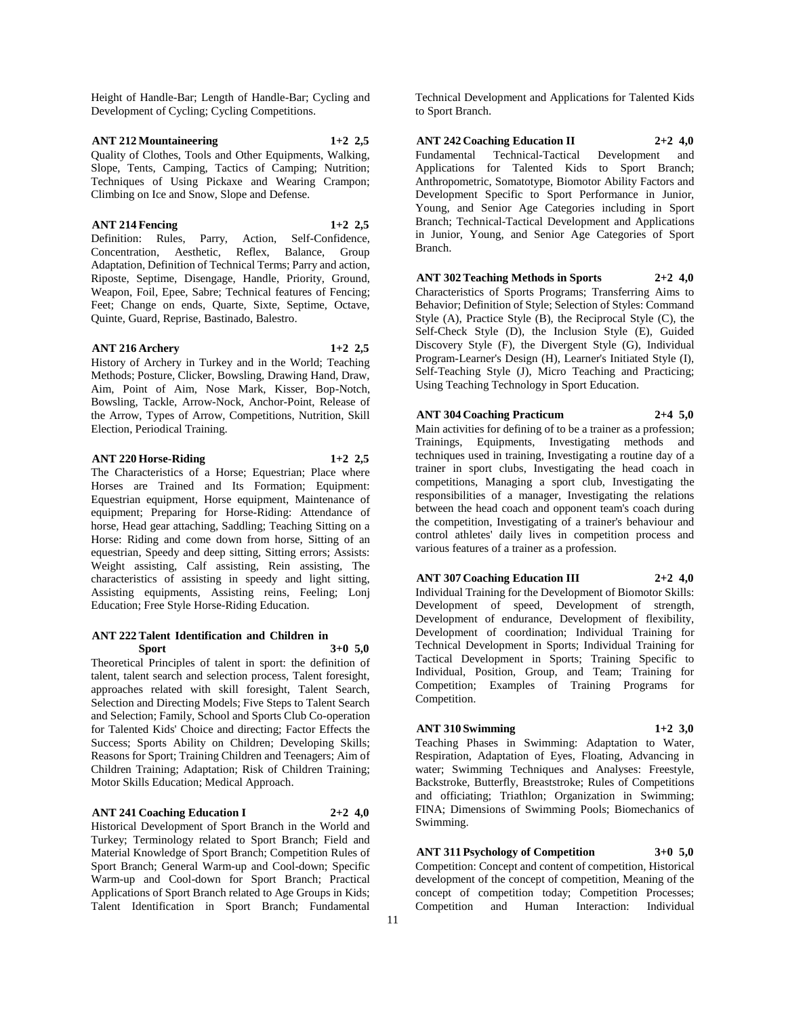Height of Handle-Bar; Length of Handle-Bar; Cycling and Development of Cycling; Cycling Competitions.

## **ANT 212 Mountaineering 1+2 2,5**

Quality of Clothes, Tools and Other Equipments, Walking, Slope, Tents, Camping, Tactics of Camping; Nutrition; Techniques of Using Pickaxe and Wearing Crampon; Climbing on Ice and Snow, Slope and Defense.

## **ANT 214 Fencing 1+2 2,5**

Definition: Rules, Parry, Action, Self-Confidence, Concentration, Aesthetic, Reflex, Balance, Group Adaptation, Definition of Technical Terms; Parry and action, Riposte, Septime, Disengage, Handle, Priority, Ground, Weapon, Foil, Epee, Sabre; Technical features of Fencing; Feet; Change on ends, Quarte, Sixte, Septime, Octave, Quinte, Guard, Reprise, Bastinado, Balestro.

#### **ANT 216 Archery 1+2 2,5**

History of Archery in Turkey and in the World; Teaching Methods; Posture, Clicker, Bowsling, Drawing Hand, Draw, Aim, Point of Aim, Nose Mark, Kisser, Bop-Notch, Bowsling, Tackle, Arrow-Nock, Anchor-Point, Release of the Arrow, Types of Arrow, Competitions, Nutrition, Skill Election, Periodical Training.

## **ANT 220 Horse-Riding 1+2 2,5**

The Characteristics of a Horse; Equestrian; Place where Horses are Trained and Its Formation; Equipment: Equestrian equipment, Horse equipment, Maintenance of equipment; Preparing for Horse-Riding: Attendance of horse, Head gear attaching, Saddling; Teaching Sitting on a Horse: Riding and come down from horse, Sitting of an equestrian, Speedy and deep sitting, Sitting errors; Assists: Weight assisting, Calf assisting, Rein assisting, The characteristics of assisting in speedy and light sitting, Assisting equipments, Assisting reins, Feeling; Lonj Education; Free Style Horse-Riding Education.

#### **ANT 222 Talent Identification and Children in Sport 3+0 5,0**

Theoretical Principles of talent in sport: the definition of talent, talent search and selection process, Talent foresight, approaches related with skill foresight, Talent Search, Selection and Directing Models; Five Steps to Talent Search and Selection; Family, School and Sports Club Co-operation for Talented Kids' Choice and directing; Factor Effects the Success; Sports Ability on Children; Developing Skills; Reasons for Sport; Training Children and Teenagers; Aim of Children Training; Adaptation; Risk of Children Training; Motor Skills Education; Medical Approach.

#### **ANT 241 Coaching Education I 2+2 4,0**

Historical Development of Sport Branch in the World and Turkey; Terminology related to Sport Branch; Field and Material Knowledge of Sport Branch; Competition Rules of Sport Branch; General Warm-up and Cool-down; Specific Warm-up and Cool-down for Sport Branch; Practical Applications of Sport Branch related to Age Groups in Kids; Talent Identification in Sport Branch; Fundamental

Technical Development and Applications for Talented Kids to Sport Branch.

## **ANT 242 Coaching Education II 2+2 4,0**

Fundamental Technical-Tactical Development and Applications for Talented Kids to Sport Branch; Anthropometric, Somatotype, Biomotor Ability Factors and Development Specific to Sport Performance in Junior, Young, and Senior Age Categories including in Sport Branch; Technical-Tactical Development and Applications in Junior, Young, and Senior Age Categories of Sport Branch.

**ANT 302 Teaching Methods in Sports 2+2 4,0** Characteristics of Sports Programs; Transferring Aims to Behavior; Definition of Style; Selection of Styles: Command Style (A), Practice Style (B), the Reciprocal Style (C), the Self-Check Style (D), the Inclusion Style (E), Guided Discovery Style (F), the Divergent Style (G), Individual Program-Learner's Design (H), Learner's Initiated Style (I), Self-Teaching Style (J), Micro Teaching and Practicing; Using Teaching Technology in Sport Education.

## **ANT 304 Coaching Practicum 2+4 5,0**

Main activities for defining of to be a trainer as a profession; Trainings, Equipments, Investigating methods and techniques used in training, Investigating a routine day of a trainer in sport clubs, Investigating the head coach in competitions, Managing a sport club, Investigating the responsibilities of a manager, Investigating the relations between the head coach and opponent team's coach during the competition, Investigating of a trainer's behaviour and control athletes' daily lives in competition process and various features of a trainer as a profession.

## **ANT 307 Coaching Education III 2+2 4,0**

Individual Training for the Development of Biomotor Skills: Development of speed, Development of strength, Development of endurance, Development of flexibility, Development of coordination; Individual Training for Technical Development in Sports; Individual Training for Tactical Development in Sports; Training Specific to Individual, Position, Group, and Team; Training for Competition; Examples of Training Programs for Competition.

## **ANT 310 Swimming 1+2 3,0**

Teaching Phases in Swimming: Adaptation to Water, Respiration, Adaptation of Eyes, Floating, Advancing in water; Swimming Techniques and Analyses: Freestyle, Backstroke, Butterfly, Breaststroke; Rules of Competitions and officiating; Triathlon; Organization in Swimming; FINA; Dimensions of Swimming Pools; Biomechanics of Swimming.

## **ANT 311 Psychology of Competition 3+0 5,0**

Competition: Concept and content of competition, Historical development of the concept of competition, Meaning of the concept of competition today; Competition Processes; Competition and Human Interaction: Individual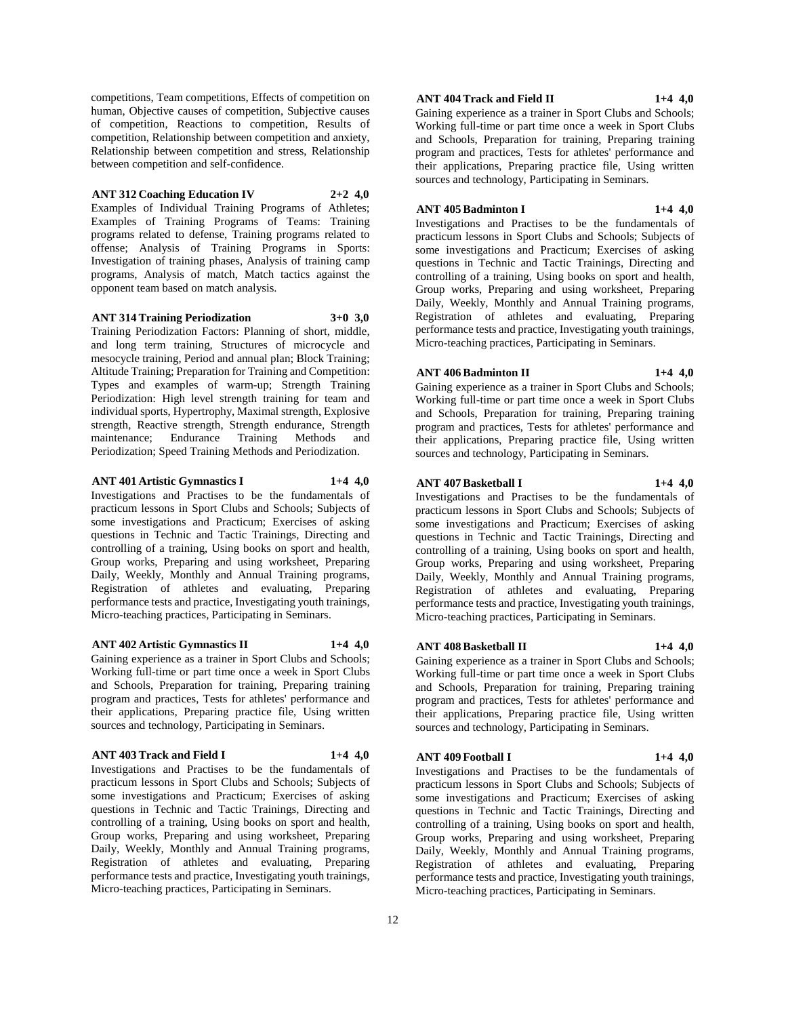competitions, Team competitions, Effects of competition on human, Objective causes of competition, Subjective causes of competition, Reactions to competition, Results of competition, Relationship between competition and anxiety, Relationship between competition and stress, Relationship between competition and self-confidence.

#### **ANT 312 Coaching Education IV 2+2 4,0**

Examples of Individual Training Programs of Athletes; Examples of Training Programs of Teams: Training programs related to defense, Training programs related to offense; Analysis of Training Programs in Sports: Investigation of training phases, Analysis of training camp programs, Analysis of match, Match tactics against the opponent team based on match analysis.

**ANT 314 Training Periodization 3+0 3,0** Training Periodization Factors: Planning of short, middle, and long term training, Structures of microcycle and mesocycle training, Period and annual plan; Block Training; Altitude Training; Preparation for Training and Competition: Types and examples of warm-up; Strength Training Periodization: High level strength training for team and individual sports, Hypertrophy, Maximal strength, Explosive strength, Reactive strength, Strength endurance, Strength maintenance; Endurance Training Methods and Periodization; Speed Training Methods and Periodization.

**ANT 401 Artistic Gymnastics I 1+4 4,0** Investigations and Practises to be the fundamentals of practicum lessons in Sport Clubs and Schools; Subjects of some investigations and Practicum; Exercises of asking questions in Technic and Tactic Trainings, Directing and controlling of a training, Using books on sport and health, Group works, Preparing and using worksheet, Preparing Daily, Weekly, Monthly and Annual Training programs, Registration of athletes and evaluating, Preparing performance tests and practice, Investigating youth trainings, Micro-teaching practices, Participating in Seminars.

#### **ANT 402 Artistic Gymnastics II 1+4 4,0**

Gaining experience as a trainer in Sport Clubs and Schools; Working full-time or part time once a week in Sport Clubs and Schools, Preparation for training, Preparing training program and practices, Tests for athletes' performance and their applications, Preparing practice file, Using written sources and technology, Participating in Seminars.

#### **ANT 403 Track and Field I 1+4 4,0**

Investigations and Practises to be the fundamentals of practicum lessons in Sport Clubs and Schools; Subjects of some investigations and Practicum; Exercises of asking questions in Technic and Tactic Trainings, Directing and controlling of a training, Using books on sport and health, Group works, Preparing and using worksheet, Preparing Daily, Weekly, Monthly and Annual Training programs, Registration of athletes and evaluating, Preparing performance tests and practice, Investigating youth trainings, Micro-teaching practices, Participating in Seminars.

### **ANT 404 Track and Field II 1+4 4,0**

Gaining experience as a trainer in Sport Clubs and Schools; Working full-time or part time once a week in Sport Clubs and Schools, Preparation for training, Preparing training program and practices, Tests for athletes' performance and their applications, Preparing practice file, Using written sources and technology, Participating in Seminars.

#### **ANT 405 Badminton I 1+4 4,0**

Investigations and Practises to be the fundamentals of practicum lessons in Sport Clubs and Schools; Subjects of some investigations and Practicum; Exercises of asking questions in Technic and Tactic Trainings, Directing and controlling of a training, Using books on sport and health, Group works, Preparing and using worksheet, Preparing Daily, Weekly, Monthly and Annual Training programs, Registration of athletes and evaluating, Preparing performance tests and practice, Investigating youth trainings, Micro-teaching practices, Participating in Seminars.

#### **ANT 406 Badminton II 1+4 4,0**

Gaining experience as a trainer in Sport Clubs and Schools; Working full-time or part time once a week in Sport Clubs and Schools, Preparation for training, Preparing training program and practices, Tests for athletes' performance and their applications, Preparing practice file, Using written sources and technology, Participating in Seminars.

#### **ANT 407 Basketball I 1+4 4,0**

Investigations and Practises to be the fundamentals of practicum lessons in Sport Clubs and Schools; Subjects of some investigations and Practicum; Exercises of asking questions in Technic and Tactic Trainings, Directing and controlling of a training, Using books on sport and health, Group works, Preparing and using worksheet, Preparing Daily, Weekly, Monthly and Annual Training programs, Registration of athletes and evaluating, Preparing performance tests and practice, Investigating youth trainings, Micro-teaching practices, Participating in Seminars.

#### **ANT 408 Basketball II 1+4 4,0**

Gaining experience as a trainer in Sport Clubs and Schools; Working full-time or part time once a week in Sport Clubs and Schools, Preparation for training, Preparing training program and practices, Tests for athletes' performance and their applications, Preparing practice file, Using written sources and technology, Participating in Seminars.

#### **ANT 409 Football I 1+4 4,0**

Investigations and Practises to be the fundamentals of practicum lessons in Sport Clubs and Schools; Subjects of some investigations and Practicum; Exercises of asking questions in Technic and Tactic Trainings, Directing and controlling of a training, Using books on sport and health, Group works, Preparing and using worksheet, Preparing Daily, Weekly, Monthly and Annual Training programs, Registration of athletes and evaluating, Preparing performance tests and practice, Investigating youth trainings, Micro-teaching practices, Participating in Seminars.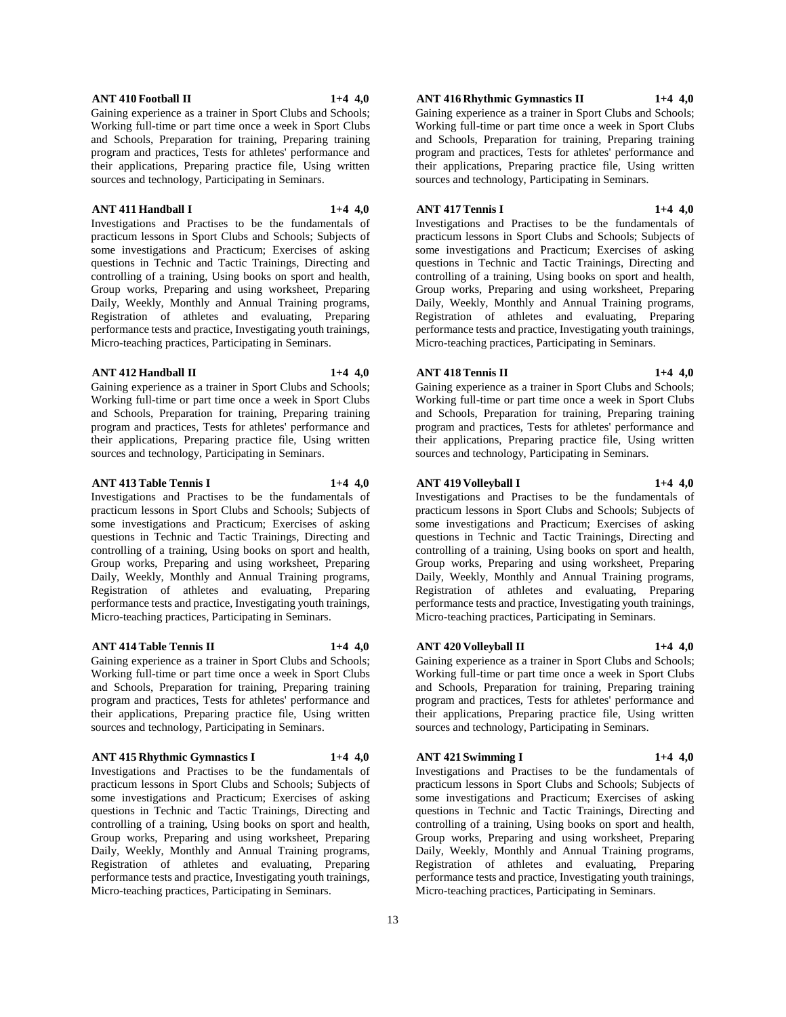Investigations and Practises to be the fundamentals of practicum lessons in Sport Clubs and Schools; Subjects of some investigations and Practicum; Exercises of asking questions in Technic and Tactic Trainings, Directing and controlling of a training, Using books on sport and health, Group works, Preparing and using worksheet, Preparing Daily, Weekly, Monthly and Annual Training programs, Registration of athletes and evaluating, Preparing performance tests and practice, Investigating youth trainings, Micro-teaching practices, Participating in Seminars.

Working full-time or part time once a week in Sport Clubs and Schools, Preparation for training, Preparing training program and practices, Tests for athletes' performance and their applications, Preparing practice file, Using written

**ANT 411 Handball I 1+4 4,0**

sources and technology, Participating in Seminars.

## **ANT 412 Handball II 1+4 4,0**

Gaining experience as a trainer in Sport Clubs and Schools; Working full-time or part time once a week in Sport Clubs and Schools, Preparation for training, Preparing training program and practices, Tests for athletes' performance and their applications, Preparing practice file, Using written sources and technology, Participating in Seminars.

#### **ANT 413 Table Tennis I 1+4 4,0**

Investigations and Practises to be the fundamentals of practicum lessons in Sport Clubs and Schools; Subjects of some investigations and Practicum; Exercises of asking questions in Technic and Tactic Trainings, Directing and controlling of a training, Using books on sport and health, Group works, Preparing and using worksheet, Preparing Daily, Weekly, Monthly and Annual Training programs, Registration of athletes and evaluating, Preparing performance tests and practice, Investigating youth trainings, Micro-teaching practices, Participating in Seminars.

#### **ANT 414 Table Tennis II 1+4 4,0**

Gaining experience as a trainer in Sport Clubs and Schools; Working full-time or part time once a week in Sport Clubs and Schools, Preparation for training, Preparing training program and practices, Tests for athletes' performance and their applications, Preparing practice file, Using written sources and technology, Participating in Seminars.

#### **ANT 415 Rhythmic Gymnastics I 1+4 4,0**

Investigations and Practises to be the fundamentals of practicum lessons in Sport Clubs and Schools; Subjects of some investigations and Practicum; Exercises of asking questions in Technic and Tactic Trainings, Directing and controlling of a training, Using books on sport and health, Group works, Preparing and using worksheet, Preparing Daily, Weekly, Monthly and Annual Training programs, Registration of athletes and evaluating, Preparing performance tests and practice, Investigating youth trainings, Micro-teaching practices, Participating in Seminars.

## **ANT 416 Rhythmic Gymnastics II 1+4 4,0**

Gaining experience as a trainer in Sport Clubs and Schools; Working full-time or part time once a week in Sport Clubs and Schools, Preparation for training, Preparing training program and practices, Tests for athletes' performance and their applications, Preparing practice file, Using written sources and technology, Participating in Seminars.

#### **ANT 417 Tennis I 1+4 4,0**

Investigations and Practises to be the fundamentals of practicum lessons in Sport Clubs and Schools; Subjects of some investigations and Practicum; Exercises of asking questions in Technic and Tactic Trainings, Directing and controlling of a training, Using books on sport and health, Group works, Preparing and using worksheet, Preparing Daily, Weekly, Monthly and Annual Training programs, Registration of athletes and evaluating, Preparing performance tests and practice, Investigating youth trainings, Micro-teaching practices, Participating in Seminars.

#### **ANT 418 Tennis II 1+4 4,0**

Gaining experience as a trainer in Sport Clubs and Schools; Working full-time or part time once a week in Sport Clubs and Schools, Preparation for training, Preparing training program and practices, Tests for athletes' performance and their applications, Preparing practice file, Using written sources and technology, Participating in Seminars.

#### **ANT 419 Volleyball I 1+4 4,0**

Investigations and Practises to be the fundamentals of practicum lessons in Sport Clubs and Schools; Subjects of some investigations and Practicum; Exercises of asking questions in Technic and Tactic Trainings, Directing and controlling of a training, Using books on sport and health, Group works, Preparing and using worksheet, Preparing Daily, Weekly, Monthly and Annual Training programs, Registration of athletes and evaluating, Preparing performance tests and practice, Investigating youth trainings, Micro-teaching practices, Participating in Seminars.

#### **ANT 420 Volleyball II 1+4 4,0**

Gaining experience as a trainer in Sport Clubs and Schools; Working full-time or part time once a week in Sport Clubs and Schools, Preparation for training, Preparing training program and practices, Tests for athletes' performance and their applications, Preparing practice file, Using written sources and technology, Participating in Seminars.

## **ANT 421 Swimming I 1+4 4,0**

Investigations and Practises to be the fundamentals of practicum lessons in Sport Clubs and Schools; Subjects of some investigations and Practicum; Exercises of asking questions in Technic and Tactic Trainings, Directing and controlling of a training, Using books on sport and health, Group works, Preparing and using worksheet, Preparing Daily, Weekly, Monthly and Annual Training programs, Registration of athletes and evaluating, Preparing performance tests and practice, Investigating youth trainings, Micro-teaching practices, Participating in Seminars.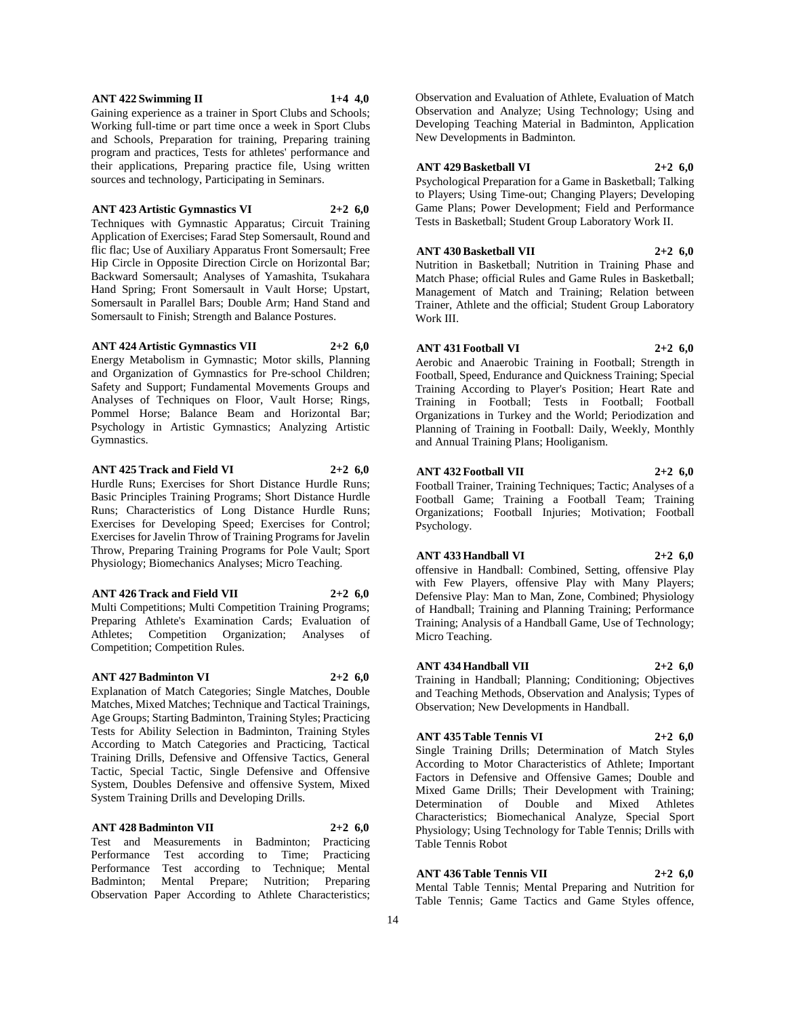#### **ANT 422 Swimming II 1+4 4,0**

Gaining experience as a trainer in Sport Clubs and Schools; Working full-time or part time once a week in Sport Clubs and Schools, Preparation for training, Preparing training program and practices, Tests for athletes' performance and their applications, Preparing practice file, Using written sources and technology, Participating in Seminars.

#### **ANT 423 Artistic Gymnastics VI 2+2 6,0**

Techniques with Gymnastic Apparatus; Circuit Training Application of Exercises; Farad Step Somersault, Round and flic flac; Use of Auxiliary Apparatus Front Somersault; Free Hip Circle in Opposite Direction Circle on Horizontal Bar; Backward Somersault; Analyses of Yamashita, Tsukahara Hand Spring; Front Somersault in Vault Horse; Upstart, Somersault in Parallel Bars; Double Arm; Hand Stand and Somersault to Finish; Strength and Balance Postures.

#### **ANT 424 Artistic Gymnastics VII 2+2 6,0**

Energy Metabolism in Gymnastic; Motor skills, Planning and Organization of Gymnastics for Pre-school Children; Safety and Support; Fundamental Movements Groups and Analyses of Techniques on Floor, Vault Horse; Rings, Pommel Horse; Balance Beam and Horizontal Bar; Psychology in Artistic Gymnastics; Analyzing Artistic Gymnastics.

#### **ANT 425 Track and Field VI 2+2 6,0**

Hurdle Runs; Exercises for Short Distance Hurdle Runs; Basic Principles Training Programs; Short Distance Hurdle Runs; Characteristics of Long Distance Hurdle Runs; Exercises for Developing Speed; Exercises for Control; Exercises for Javelin Throw of Training Programs for Javelin Throw, Preparing Training Programs for Pole Vault; Sport Physiology; Biomechanics Analyses; Micro Teaching.

## **ANT 426 Track and Field VII 2+2 6,0**

Multi Competitions; Multi Competition Training Programs; Preparing Athlete's Examination Cards; Evaluation of Athletes; Competition Organization; Analyses of Competition; Competition Rules.

#### **ANT 427 Badminton VI 2+2 6,0**

Explanation of Match Categories; Single Matches, Double Matches, Mixed Matches; Technique and Tactical Trainings, Age Groups; Starting Badminton, Training Styles; Practicing Tests for Ability Selection in Badminton, Training Styles According to Match Categories and Practicing, Tactical Training Drills, Defensive and Offensive Tactics, General Tactic, Special Tactic, Single Defensive and Offensive System, Doubles Defensive and offensive System, Mixed System Training Drills and Developing Drills.

#### **ANT 428 Badminton VII 2+2 6,0**

Test and Measurements in Badminton; Practicing Performance Test according to Time; Practicing Performance Test according to Technique; Mental Badminton; Mental Prepare; Nutrition; Preparing Observation Paper According to Athlete Characteristics;

Observation and Evaluation of Athlete, Evaluation of Match Observation and Analyze; Using Technology; Using and Developing Teaching Material in Badminton, Application New Developments in Badminton.

#### **ANT 429 Basketball VI 2+2 6,0**

Psychological Preparation for a Game in Basketball; Talking to Players; Using Time-out; Changing Players; Developing Game Plans; Power Development; Field and Performance Tests in Basketball; Student Group Laboratory Work II.

## **ANT 430 Basketball VII 2+2 6,0**

Nutrition in Basketball; Nutrition in Training Phase and Match Phase; official Rules and Game Rules in Basketball; Management of Match and Training; Relation between Trainer, Athlete and the official; Student Group Laboratory Work III.

#### **ANT 431 Football VI 2+2 6,0**

Aerobic and Anaerobic Training in Football; Strength in Football, Speed, Endurance and Quickness Training; Special Training According to Player's Position; Heart Rate and Training in Football; Tests in Football; Football Organizations in Turkey and the World; Periodization and Planning of Training in Football: Daily, Weekly, Monthly and Annual Training Plans; Hooliganism.

#### **ANT 432 Football VII 2+2 6,0**

Football Trainer, Training Techniques; Tactic; Analyses of a Football Game; Training a Football Team; Training Organizations; Football Injuries; Motivation; Football Psychology.

## **ANT 433 Handball VI 2+2 6,0**

offensive in Handball: Combined, Setting, offensive Play with Few Players, offensive Play with Many Players; Defensive Play: Man to Man, Zone, Combined; Physiology of Handball; Training and Planning Training; Performance Training; Analysis of a Handball Game, Use of Technology; Micro Teaching.

#### **ANT 434 Handball VII 2+2 6,0**

Training in Handball; Planning; Conditioning; Objectives and Teaching Methods, Observation and Analysis; Types of Observation; New Developments in Handball.

## **ANT 435 Table Tennis VI 2+2 6,0**

Single Training Drills; Determination of Match Styles According to Motor Characteristics of Athlete; Important Factors in Defensive and Offensive Games; Double and Mixed Game Drills; Their Development with Training; Determination of Double and Mixed Athletes Characteristics; Biomechanical Analyze, Special Sport Physiology; Using Technology for Table Tennis; Drills with Table Tennis Robot

#### **ANT 436 Table Tennis VII 2+2 6,0**

Mental Table Tennis; Mental Preparing and Nutrition for Table Tennis; Game Tactics and Game Styles offence,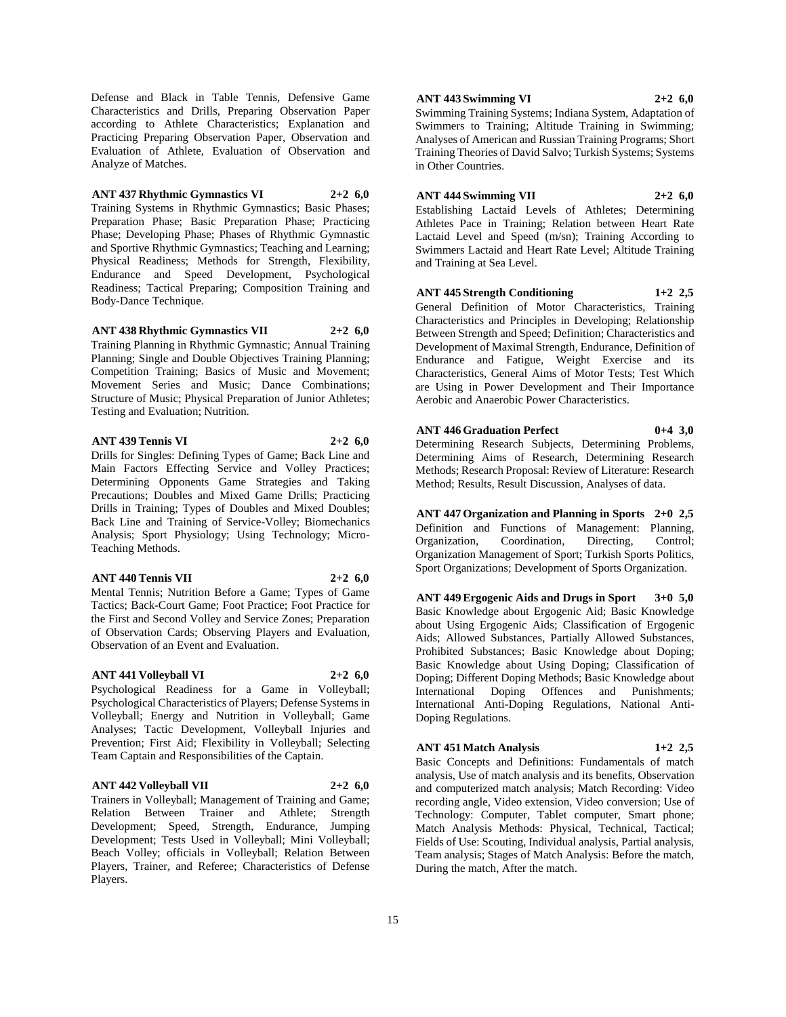Defense and Black in Table Tennis, Defensive Game Characteristics and Drills, Preparing Observation Paper according to Athlete Characteristics; Explanation and Practicing Preparing Observation Paper, Observation and Evaluation of Athlete, Evaluation of Observation and Analyze of Matches.

**ANT 437 Rhythmic Gymnastics VI 2+2 6,0**

Training Systems in Rhythmic Gymnastics; Basic Phases; Preparation Phase; Basic Preparation Phase; Practicing Phase; Developing Phase; Phases of Rhythmic Gymnastic and Sportive Rhythmic Gymnastics; Teaching and Learning; Physical Readiness; Methods for Strength, Flexibility, Endurance and Speed Development, Psychological Readiness; Tactical Preparing; Composition Training and Body-Dance Technique.

**ANT 438 Rhythmic Gymnastics VII 2+2 6,0** Training Planning in Rhythmic Gymnastic; Annual Training Planning; Single and Double Objectives Training Planning;

Competition Training; Basics of Music and Movement; Movement Series and Music; Dance Combinations; Structure of Music; Physical Preparation of Junior Athletes; Testing and Evaluation; Nutrition.

**ANT 439 Tennis VI 2+2 6,0**

Drills for Singles: Defining Types of Game; Back Line and Main Factors Effecting Service and Volley Practices; Determining Opponents Game Strategies and Taking Precautions; Doubles and Mixed Game Drills; Practicing Drills in Training; Types of Doubles and Mixed Doubles; Back Line and Training of Service-Volley; Biomechanics Analysis; Sport Physiology; Using Technology; Micro-Teaching Methods.

## **ANT 440 Tennis VII 2+2 6,0**

Mental Tennis; Nutrition Before a Game; Types of Game Tactics; Back-Court Game; Foot Practice; Foot Practice for the First and Second Volley and Service Zones; Preparation of Observation Cards; Observing Players and Evaluation, Observation of an Event and Evaluation.

## **ANT 441 Volleyball VI 2+2 6,0**

Psychological Readiness for a Game in Volleyball; Psychological Characteristics of Players; Defense Systems in Volleyball; Energy and Nutrition in Volleyball; Game Analyses; Tactic Development, Volleyball Injuries and Prevention; First Aid; Flexibility in Volleyball; Selecting Team Captain and Responsibilities of the Captain.

## **ANT 442 Volleyball VII 2+2 6,0**

Trainers in Volleyball; Management of Training and Game; Relation Between Trainer and Athlete; Strength Development; Speed, Strength, Endurance, Jumping Development; Tests Used in Volleyball; Mini Volleyball; Beach Volley; officials in Volleyball; Relation Between Players, Trainer, and Referee; Characteristics of Defense Players.

## **ANT 443 Swimming VI 2+2 6,0**

Swimming Training Systems; Indiana System, Adaptation of Swimmers to Training; Altitude Training in Swimming; Analyses of American and Russian Training Programs; Short Training Theories of David Salvo; Turkish Systems; Systems in Other Countries.

**ANT 444 Swimming VII 2+2 6,0**

Establishing Lactaid Levels of Athletes; Determining Athletes Pace in Training; Relation between Heart Rate Lactaid Level and Speed (m/sn); Training According to Swimmers Lactaid and Heart Rate Level; Altitude Training and Training at Sea Level.

**ANT 445 Strength Conditioning 1+2 2,5** General Definition of Motor Characteristics, Training Characteristics and Principles in Developing; Relationship Between Strength and Speed; Definition; Characteristics and Development of Maximal Strength, Endurance, Definition of Endurance and Fatigue, Weight Exercise and its Characteristics, General Aims of Motor Tests; Test Which are Using in Power Development and Their Importance

Aerobic and Anaerobic Power Characteristics.

**ANT 446 Graduation Perfect 0+4 3,0** Determining Research Subjects, Determining Problems, Determining Aims of Research, Determining Research Methods; Research Proposal: Review of Literature: Research Method; Results, Result Discussion, Analyses of data.

**ANT 447 Organization and Planning in Sports 2+0 2,5** Definition and Functions of Management: Planning, Organization, Coordination, Directing, Control; Organization Management of Sport; Turkish Sports Politics, Sport Organizations; Development of Sports Organization.

**ANT 449 Ergogenic Aids and Drugs in Sport 3+0 5,0** Basic Knowledge about Ergogenic Aid; Basic Knowledge about Using Ergogenic Aids; Classification of Ergogenic Aids; Allowed Substances, Partially Allowed Substances, Prohibited Substances; Basic Knowledge about Doping; Basic Knowledge about Using Doping; Classification of Doping; Different Doping Methods; Basic Knowledge about International Doping Offences and Punishments; International Anti-Doping Regulations, National Anti-Doping Regulations.

## **ANT 451 Match Analysis 1+2 2,5**

Basic Concepts and Definitions: Fundamentals of match analysis, Use of match analysis and its benefits, Observation and computerized match analysis; Match Recording: Video recording angle, Video extension, Video conversion; Use of Technology: Computer, Tablet computer, Smart phone; Match Analysis Methods: Physical, Technical, Tactical; Fields of Use: Scouting, Individual analysis, Partial analysis, Team analysis; Stages of Match Analysis: Before the match, During the match, After the match.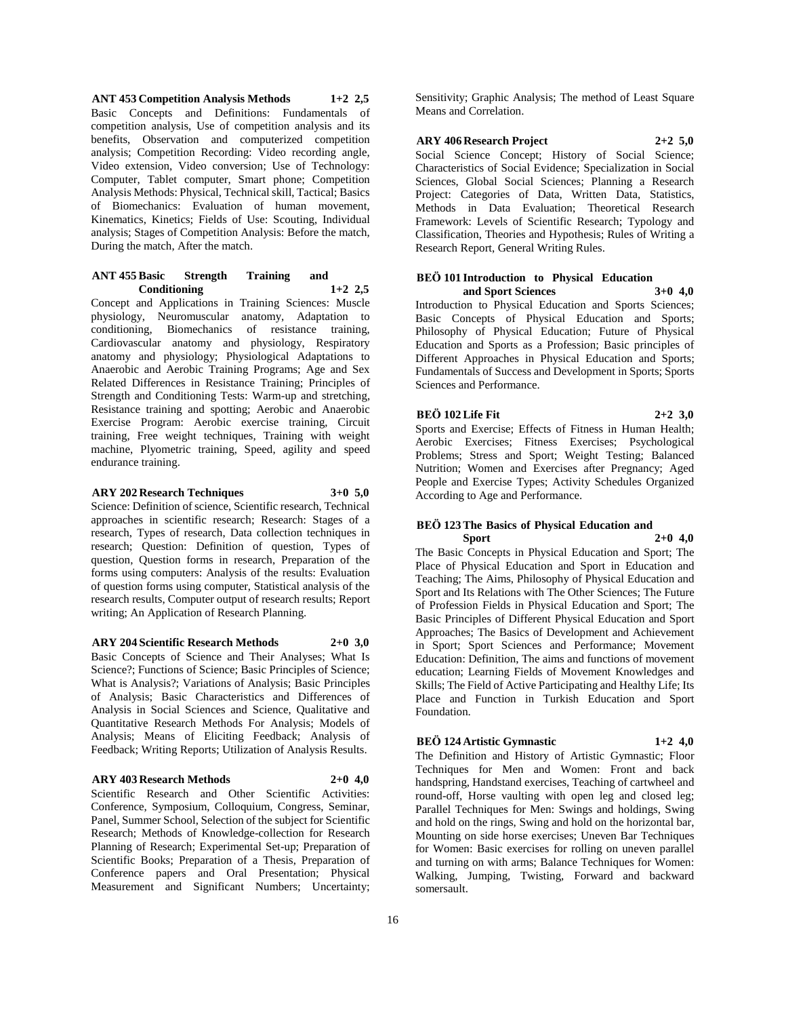**ANT 453 Competition Analysis Methods 1+2 2,5** Basic Concepts and Definitions: Fundamentals of competition analysis, Use of competition analysis and its benefits, Observation and computerized competition analysis; Competition Recording: Video recording angle, Video extension, Video conversion; Use of Technology: Computer, Tablet computer, Smart phone; Competition Analysis Methods: Physical, Technical skill, Tactical; Basics of Biomechanics: Evaluation of human movement, Kinematics, Kinetics; Fields of Use: Scouting, Individual analysis; Stages of Competition Analysis: Before the match, During the match, After the match.

#### **ANT 455 Basic Strength Training and Conditioning 1+2 2,5**

Concept and Applications in Training Sciences: Muscle physiology, Neuromuscular anatomy, Adaptation to conditioning, Biomechanics of resistance training, Cardiovascular anatomy and physiology, Respiratory anatomy and physiology; Physiological Adaptations to Anaerobic and Aerobic Training Programs; Age and Sex Related Differences in Resistance Training; Principles of Strength and Conditioning Tests: Warm-up and stretching, Resistance training and spotting; Aerobic and Anaerobic Exercise Program: Aerobic exercise training, Circuit training, Free weight techniques, Training with weight machine, Plyometric training, Speed, agility and speed endurance training.

## **ARY 202 Research Techniques 3+0 5,0**

Science: Definition of science, Scientific research, Technical approaches in scientific research; Research: Stages of a research, Types of research, Data collection techniques in research; Question: Definition of question, Types of question, Question forms in research, Preparation of the forms using computers: Analysis of the results: Evaluation of question forms using computer, Statistical analysis of the research results, Computer output of research results; Report writing; An Application of Research Planning.

#### **ARY 204 Scientific Research Methods 2+0 3,0**

Basic Concepts of Science and Their Analyses; What Is Science?; Functions of Science; Basic Principles of Science; What is Analysis?; Variations of Analysis; Basic Principles of Analysis; Basic Characteristics and Differences of Analysis in Social Sciences and Science, Qualitative and Quantitative Research Methods For Analysis; Models of Analysis; Means of Eliciting Feedback; Analysis of Feedback; Writing Reports; Utilization of Analysis Results.

#### **ARY 403 Research Methods 2+0 4,0**

Scientific Research and Other Scientific Activities: Conference, Symposium, Colloquium, Congress, Seminar, Panel, Summer School, Selection of the subject for Scientific Research; Methods of Knowledge-collection for Research Planning of Research; Experimental Set-up; Preparation of Scientific Books; Preparation of a Thesis, Preparation of Conference papers and Oral Presentation; Physical Measurement and Significant Numbers; Uncertainty;

Sensitivity; Graphic Analysis; The method of Least Square Means and Correlation.

#### **ARY 406 Research Project 2+2 5,0**

Social Science Concept; History of Social Science; Characteristics of Social Evidence; Specialization in Social Sciences, Global Social Sciences; Planning a Research Project: Categories of Data, Written Data, Statistics, Methods in Data Evaluation; Theoretical Research Framework: Levels of Scientific Research; Typology and Classification, Theories and Hypothesis; Rules of Writing a Research Report, General Writing Rules.

#### **BEÖ 101 Introduction to Physical Education and Sport Sciences 3+0 4,0**

Introduction to Physical Education and Sports Sciences; Basic Concepts of Physical Education and Sports; Philosophy of Physical Education; Future of Physical Education and Sports as a Profession; Basic principles of Different Approaches in Physical Education and Sports; Fundamentals of Success and Development in Sports; Sports Sciences and Performance.

## **BEÖ 102 Life Fit 2+2 3,0**

Sports and Exercise; Effects of Fitness in Human Health; Aerobic Exercises; Fitness Exercises; Psychological Problems; Stress and Sport; Weight Testing; Balanced Nutrition; Women and Exercises after Pregnancy; Aged People and Exercise Types; Activity Schedules Organized According to Age and Performance.

#### **BEÖ 123 The Basics of Physical Education and Sport 2+0 4,0**

The Basic Concepts in Physical Education and Sport; The Place of Physical Education and Sport in Education and Teaching; The Aims, Philosophy of Physical Education and Sport and Its Relations with The Other Sciences; The Future of Profession Fields in Physical Education and Sport; The Basic Principles of Different Physical Education and Sport Approaches; The Basics of Development and Achievement in Sport; Sport Sciences and Performance; Movement Education: Definition, The aims and functions of movement education; Learning Fields of Movement Knowledges and Skills; The Field of Active Participating and Healthy Life; Its Place and Function in Turkish Education and Sport Foundation.

## **BEÖ 124 Artistic Gymnastic 1+2 4,0**

The Definition and History of Artistic Gymnastic; Floor Techniques for Men and Women: Front and back handspring, Handstand exercises, Teaching of cartwheel and round-off, Horse vaulting with open leg and closed leg; Parallel Techniques for Men: Swings and holdings, Swing and hold on the rings, Swing and hold on the horizontal bar, Mounting on side horse exercises; Uneven Bar Techniques for Women: Basic exercises for rolling on uneven parallel and turning on with arms; Balance Techniques for Women: Walking, Jumping, Twisting, Forward and backward somersault.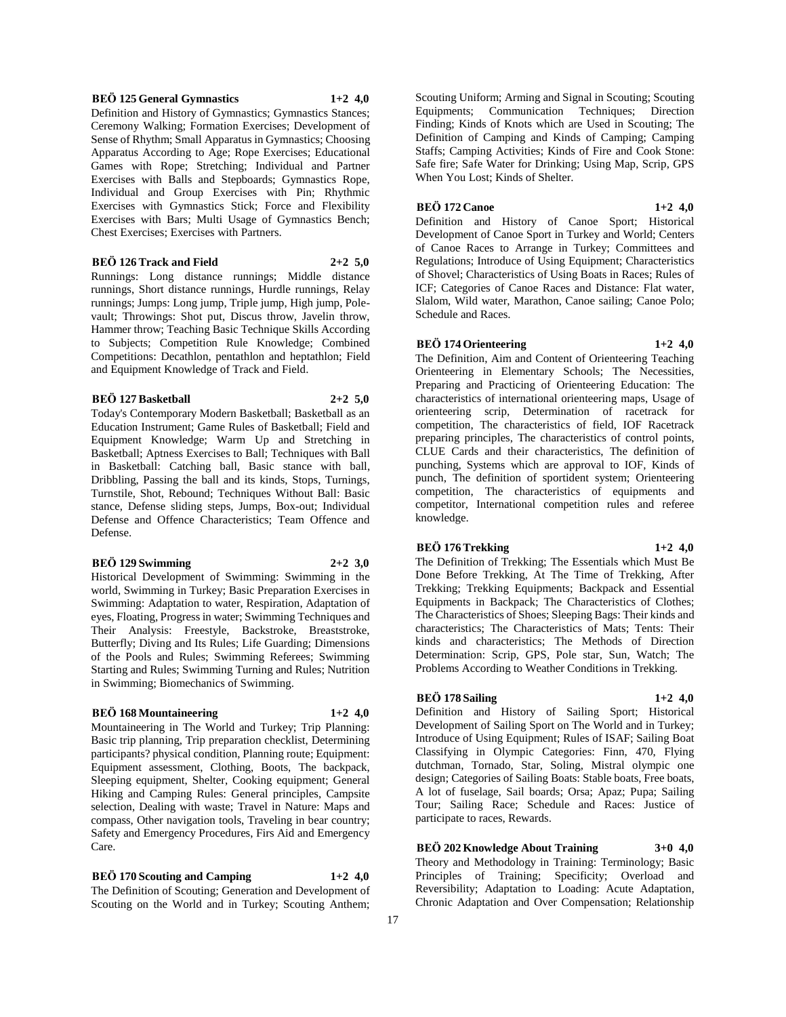## **BEÖ 125 General Gymnastics 1+2 4,0**

Definition and History of Gymnastics; Gymnastics Stances; Ceremony Walking; Formation Exercises; Development of Sense of Rhythm; Small Apparatus in Gymnastics; Choosing Apparatus According to Age; Rope Exercises; Educational Games with Rope; Stretching; Individual and Partner Exercises with Balls and Stepboards; Gymnastics Rope, Individual and Group Exercises with Pin; Rhythmic Exercises with Gymnastics Stick; Force and Flexibility Exercises with Bars; Multi Usage of Gymnastics Bench; Chest Exercises; Exercises with Partners.

## **BEÖ 126 Track and Field 2+2 5,0**

Runnings: Long distance runnings; Middle distance runnings, Short distance runnings, Hurdle runnings, Relay runnings; Jumps: Long jump, Triple jump, High jump, Polevault; Throwings: Shot put, Discus throw, Javelin throw, Hammer throw; Teaching Basic Technique Skills According to Subjects; Competition Rule Knowledge; Combined Competitions: Decathlon, pentathlon and heptathlon; Field and Equipment Knowledge of Track and Field.

#### **BEÖ 127 Basketball 2+2 5,0**

Today's Contemporary Modern Basketball; Basketball as an Education Instrument; Game Rules of Basketball; Field and Equipment Knowledge; Warm Up and Stretching in Basketball; Aptness Exercises to Ball; Techniques with Ball in Basketball: Catching ball, Basic stance with ball, Dribbling, Passing the ball and its kinds, Stops, Turnings, Turnstile, Shot, Rebound; Techniques Without Ball: Basic stance, Defense sliding steps, Jumps, Box-out; Individual Defense and Offence Characteristics; Team Offence and Defense.

#### **BEÖ 129 Swimming 2+2 3,0**

Historical Development of Swimming: Swimming in the world, Swimming in Turkey; Basic Preparation Exercises in Swimming: Adaptation to water, Respiration, Adaptation of eyes, Floating, Progress in water; Swimming Techniques and Their Analysis: Freestyle, Backstroke, Breaststroke, Butterfly; Diving and Its Rules; Life Guarding; Dimensions of the Pools and Rules; Swimming Referees; Swimming Starting and Rules; Swimming Turning and Rules; Nutrition in Swimming; Biomechanics of Swimming.

## **BEÖ 168 Mountaineering 1+2 4,0**

Mountaineering in The World and Turkey; Trip Planning: Basic trip planning, Trip preparation checklist, Determining participants? physical condition, Planning route; Equipment: Equipment assessment, Clothing, Boots, The backpack, Sleeping equipment, Shelter, Cooking equipment; General Hiking and Camping Rules: General principles, Campsite selection, Dealing with waste; Travel in Nature: Maps and compass, Other navigation tools, Traveling in bear country; Safety and Emergency Procedures, Firs Aid and Emergency Care.

## **BEÖ 170 Scouting and Camping 1+2 4,0**

The Definition of Scouting; Generation and Development of Scouting on the World and in Turkey; Scouting Anthem;

Scouting Uniform; Arming and Signal in Scouting; Scouting Equipments; Communication Techniques; Direction Finding; Kinds of Knots which are Used in Scouting; The Definition of Camping and Kinds of Camping; Camping Staffs; Camping Activities; Kinds of Fire and Cook Stone: Safe fire; Safe Water for Drinking; Using Map, Scrip, GPS When You Lost; Kinds of Shelter.

#### **BEÖ 172 Canoe 1+2 4,0**

Definition and History of Canoe Sport; Historical Development of Canoe Sport in Turkey and World; Centers of Canoe Races to Arrange in Turkey; Committees and Regulations; Introduce of Using Equipment; Characteristics of Shovel; Characteristics of Using Boats in Races; Rules of ICF; Categories of Canoe Races and Distance: Flat water, Slalom, Wild water, Marathon, Canoe sailing; Canoe Polo; Schedule and Races.

## **BEÖ 174 Orienteering 1+2 4,0**

The Definition, Aim and Content of Orienteering Teaching Orienteering in Elementary Schools; The Necessities, Preparing and Practicing of Orienteering Education: The characteristics of international orienteering maps, Usage of orienteering scrip, Determination of racetrack for competition, The characteristics of field, IOF Racetrack preparing principles, The characteristics of control points, CLUE Cards and their characteristics, The definition of punching, Systems which are approval to IOF, Kinds of punch, The definition of sportident system; Orienteering competition, The characteristics of equipments and competitor, International competition rules and referee knowledge.

#### **BEÖ 176 Trekking 1+2 4,0**

The Definition of Trekking; The Essentials which Must Be Done Before Trekking, At The Time of Trekking, After Trekking; Trekking Equipments; Backpack and Essential Equipments in Backpack; The Characteristics of Clothes; The Characteristics of Shoes; Sleeping Bags: Their kinds and characteristics; The Characteristics of Mats; Tents: Their kinds and characteristics; The Methods of Direction Determination: Scrip, GPS, Pole star, Sun, Watch; The Problems According to Weather Conditions in Trekking.

## **BEÖ 178 Sailing 1+2 4,0**

Definition and History of Sailing Sport; Historical Development of Sailing Sport on The World and in Turkey; Introduce of Using Equipment; Rules of ISAF; Sailing Boat Classifying in Olympic Categories: Finn, 470, Flying dutchman, Tornado, Star, Soling, Mistral olympic one design; Categories of Sailing Boats: Stable boats, Free boats, A lot of fuselage, Sail boards; Orsa; Apaz; Pupa; Sailing Tour; Sailing Race; Schedule and Races: Justice of participate to races, Rewards.

**BEÖ 202 Knowledge About Training 3+0 4,0** Theory and Methodology in Training: Terminology; Basic Principles of Training; Specificity; Overload and Reversibility; Adaptation to Loading: Acute Adaptation, Chronic Adaptation and Over Compensation; Relationship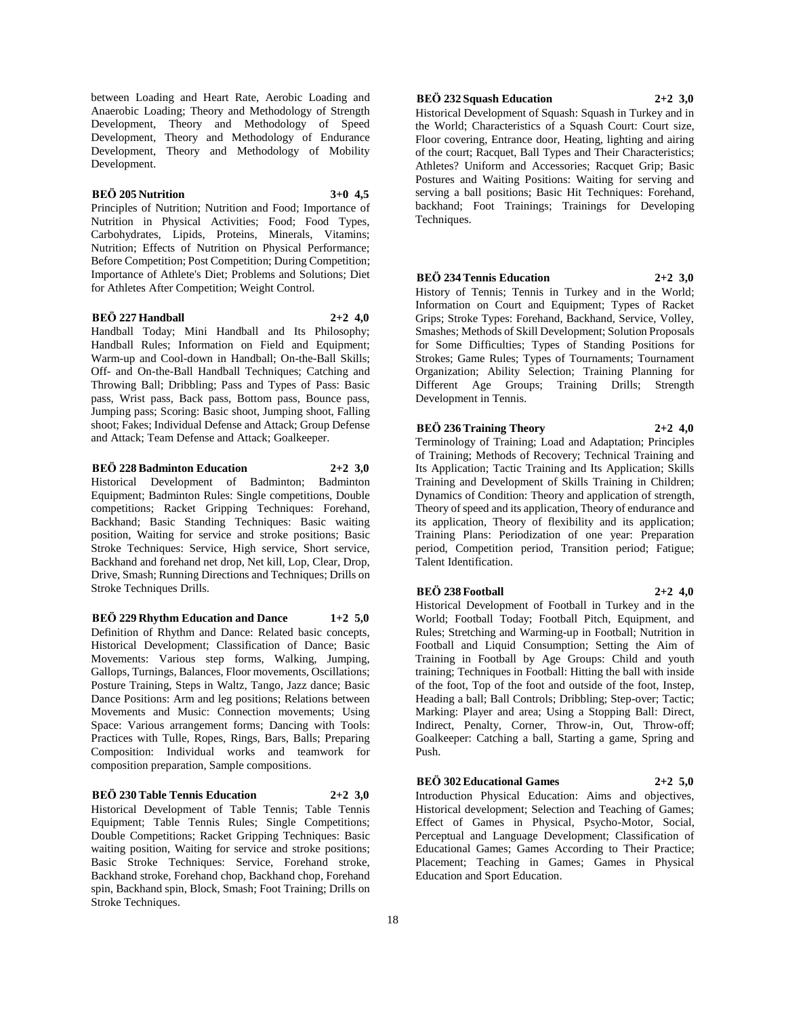between Loading and Heart Rate, Aerobic Loading and Anaerobic Loading; Theory and Methodology of Strength Development, Theory and Methodology of Speed Development, Theory and Methodology of Endurance Development, Theory and Methodology of Mobility Development.

## **BEÖ 205 Nutrition 3+0 4,5**

Principles of Nutrition; Nutrition and Food; Importance of Nutrition in Physical Activities; Food; Food Types, Carbohydrates, Lipids, Proteins, Minerals, Vitamins; Nutrition; Effects of Nutrition on Physical Performance; Before Competition; Post Competition; During Competition; Importance of Athlete's Diet; Problems and Solutions; Diet for Athletes After Competition; Weight Control.

## **BEÖ 227 Handball 2+2 4,0**

Handball Today; Mini Handball and Its Philosophy; Handball Rules; Information on Field and Equipment; Warm-up and Cool-down in Handball; On-the-Ball Skills; Off- and On-the-Ball Handball Techniques; Catching and Throwing Ball; Dribbling; Pass and Types of Pass: Basic pass, Wrist pass, Back pass, Bottom pass, Bounce pass, Jumping pass; Scoring: Basic shoot, Jumping shoot, Falling shoot; Fakes; Individual Defense and Attack; Group Defense and Attack; Team Defense and Attack; Goalkeeper.

**BEÖ 228 Badminton Education 2+2 3,0**

Historical Development of Badminton; Badminton Equipment; Badminton Rules: Single competitions, Double competitions; Racket Gripping Techniques: Forehand, Backhand; Basic Standing Techniques: Basic waiting position, Waiting for service and stroke positions; Basic Stroke Techniques: Service, High service, Short service, Backhand and forehand net drop, Net kill, Lop, Clear, Drop, Drive, Smash; Running Directions and Techniques; Drills on Stroke Techniques Drills.

**BEÖ 229 Rhythm Education and Dance 1+2 5,0** Definition of Rhythm and Dance: Related basic concepts, Historical Development; Classification of Dance; Basic Movements: Various step forms, Walking, Jumping, Gallops, Turnings, Balances, Floor movements, Oscillations; Posture Training, Steps in Waltz, Tango, Jazz dance; Basic Dance Positions: Arm and leg positions; Relations between Movements and Music: Connection movements; Using Space: Various arrangement forms; Dancing with Tools: Practices with Tulle, Ropes, Rings, Bars, Balls; Preparing Composition: Individual works and teamwork for composition preparation, Sample compositions.

## **BEÖ 230 Table Tennis Education 2+2 3,0**

Historical Development of Table Tennis; Table Tennis Equipment; Table Tennis Rules; Single Competitions; Double Competitions; Racket Gripping Techniques: Basic waiting position, Waiting for service and stroke positions; Basic Stroke Techniques: Service, Forehand stroke, Backhand stroke, Forehand chop, Backhand chop, Forehand spin, Backhand spin, Block, Smash; Foot Training; Drills on Stroke Techniques.

## **BEÖ 232 Squash Education 2+2 3,0**

Historical Development of Squash: Squash in Turkey and in the World; Characteristics of a Squash Court: Court size, Floor covering, Entrance door, Heating, lighting and airing of the court; Racquet, Ball Types and Their Characteristics; Athletes? Uniform and Accessories; Racquet Grip; Basic Postures and Waiting Positions: Waiting for serving and serving a ball positions; Basic Hit Techniques: Forehand, backhand; Foot Trainings; Trainings for Developing Techniques.

## **BEÖ 234 Tennis Education 2+2 3,0**

History of Tennis; Tennis in Turkey and in the World; Information on Court and Equipment; Types of Racket Grips; Stroke Types: Forehand, Backhand, Service, Volley, Smashes; Methods of Skill Development; Solution Proposals for Some Difficulties; Types of Standing Positions for Strokes; Game Rules; Types of Tournaments; Tournament Organization; Ability Selection; Training Planning for Different Age Groups; Training Drills; Strength Development in Tennis.

## **BEÖ 236 Training Theory 2+2 4,0**

Terminology of Training; Load and Adaptation; Principles of Training; Methods of Recovery; Technical Training and Its Application; Tactic Training and Its Application; Skills Training and Development of Skills Training in Children; Dynamics of Condition: Theory and application of strength, Theory of speed and its application, Theory of endurance and its application, Theory of flexibility and its application; Training Plans: Periodization of one year: Preparation period, Competition period, Transition period; Fatigue; Talent Identification.

#### **BEÖ 238 Football 2+2 4,0**

Historical Development of Football in Turkey and in the World; Football Today; Football Pitch, Equipment, and Rules; Stretching and Warming-up in Football; Nutrition in Football and Liquid Consumption; Setting the Aim of Training in Football by Age Groups: Child and youth training; Techniques in Football: Hitting the ball with inside of the foot, Top of the foot and outside of the foot, Instep, Heading a ball; Ball Controls; Dribbling; Step-over; Tactic; Marking: Player and area; Using a Stopping Ball: Direct, Indirect, Penalty, Corner, Throw-in, Out, Throw-off; Goalkeeper: Catching a ball, Starting a game, Spring and Push.

**BEÖ 302 Educational Games 2+2 5,0** Introduction Physical Education: Aims and objectives, Historical development; Selection and Teaching of Games; Effect of Games in Physical, Psycho-Motor, Social, Perceptual and Language Development; Classification of Educational Games; Games According to Their Practice; Placement; Teaching in Games; Games in Physical Education and Sport Education.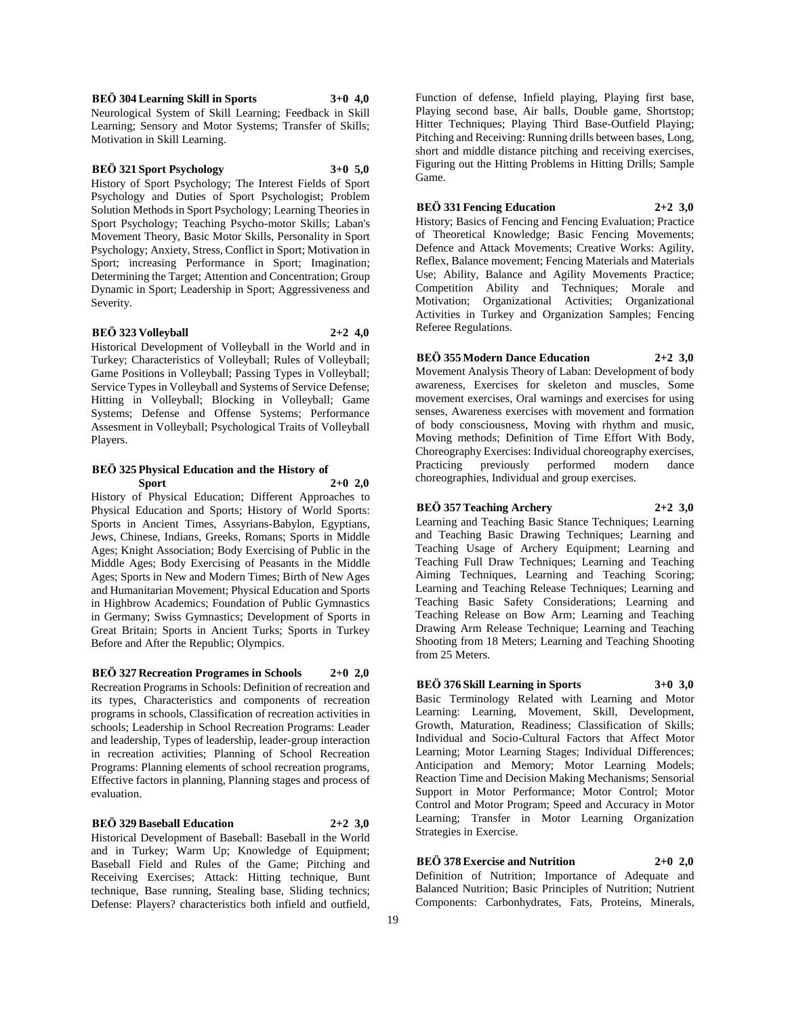## **BEÖ 304 Learning Skill in Sports 3+0 4,0**

Neurological System of Skill Learning; Feedback in Skill Learning; Sensory and Motor Systems; Transfer of Skills; Motivation in Skill Learning.

## **BEÖ 321 Sport Psychology 3+0 5,0**

History of Sport Psychology; The Interest Fields of Sport Psychology and Duties of Sport Psychologist; Problem Solution Methods in Sport Psychology; Learning Theories in Sport Psychology; Teaching Psycho-motor Skills; Laban's Movement Theory, Basic Motor Skills, Personality in Sport Psychology; Anxiety, Stress, Conflict in Sport; Motivation in Sport; increasing Performance in Sport; Imagination; Determining the Target; Attention and Concentration; Group Dynamic in Sport; Leadership in Sport; Aggressiveness and Severity.

#### **BEÖ 323 Volleyball 2+2 4,0**

Historical Development of Volleyball in the World and in Turkey; Characteristics of Volleyball; Rules of Volleyball; Game Positions in Volleyball; Passing Types in Volleyball; Service Types in Volleyball and Systems of Service Defense; Hitting in Volleyball; Blocking in Volleyball; Game Systems; Defense and Offense Systems; Performance Assesment in Volleyball; Psychological Traits of Volleyball Players.

### **BEÖ 325 Physical Education and the History of Sport 2+0 2,0**

History of Physical Education; Different Approaches to Physical Education and Sports; History of World Sports: Sports in Ancient Times, Assyrians-Babylon, Egyptians, Jews, Chinese, Indians, Greeks, Romans; Sports in Middle Ages; Knight Association; Body Exercising of Public in the Middle Ages; Body Exercising of Peasants in the Middle Ages; Sports in New and Modern Times; Birth of New Ages and Humanitarian Movement; Physical Education and Sports in Highbrow Academics; Foundation of Public Gymnastics in Germany; Swiss Gymnastics; Development of Sports in Great Britain; Sports in Ancient Turks; Sports in Turkey Before and After the Republic; Olympics.

#### **BEÖ 327 Recreation Programes in Schools 2+0 2,0**

Recreation Programs in Schools: Definition of recreation and its types, Characteristics and components of recreation programs in schools, Classification of recreation activities in schools; Leadership in School Recreation Programs: Leader and leadership, Types of leadership, leader-group interaction in recreation activities; Planning of School Recreation Programs: Planning elements of school recreation programs, Effective factors in planning, Planning stages and process of evaluation.

#### **BEÖ 329 Baseball Education 2+2 3,0**

Historical Development of Baseball: Baseball in the World and in Turkey; Warm Up; Knowledge of Equipment; Baseball Field and Rules of the Game; Pitching and Receiving Exercises; Attack: Hitting technique, Bunt technique, Base running, Stealing base, Sliding technics; Defense: Players? characteristics both infield and outfield,

Function of defense, Infield playing, Playing first base, Playing second base, Air balls, Double game, Shortstop; Hitter Techniques; Playing Third Base-Outfield Playing; Pitching and Receiving: Running drills between bases, Long, short and middle distance pitching and receiving exercises, Figuring out the Hitting Problems in Hitting Drills; Sample Game.

#### **BEÖ 331 Fencing Education 2+2 3,0**

History; Basics of Fencing and Fencing Evaluation; Practice of Theoretical Knowledge; Basic Fencing Movements; Defence and Attack Movements; Creative Works: Agility, Reflex, Balance movement; Fencing Materials and Materials Use; Ability, Balance and Agility Movements Practice; Competition Ability and Techniques; Morale and Motivation; Organizational Activities; Organizational Activities in Turkey and Organization Samples; Fencing Referee Regulations.

## **BEÖ 355 Modern Dance Education 2+2 3,0**

Movement Analysis Theory of Laban: Development of body awareness, Exercises for skeleton and muscles, Some movement exercises, Oral warnings and exercises for using senses, Awareness exercises with movement and formation of body consciousness, Moving with rhythm and music, Moving methods; Definition of Time Effort With Body, Choreography Exercises: Individual choreography exercises,<br>Practicing previously performed modern dance previously performed modern dance choreographies, Individual and group exercises.

## **BEÖ 357 Teaching Archery 2+2 3,0**

Learning and Teaching Basic Stance Techniques; Learning and Teaching Basic Drawing Techniques; Learning and Teaching Usage of Archery Equipment; Learning and Teaching Full Draw Techniques; Learning and Teaching Aiming Techniques, Learning and Teaching Scoring; Learning and Teaching Release Techniques; Learning and Teaching Basic Safety Considerations; Learning and Teaching Release on Bow Arm; Learning and Teaching Drawing Arm Release Technique; Learning and Teaching Shooting from 18 Meters; Learning and Teaching Shooting from 25 Meters.

## **BEÖ 376 Skill Learning in Sports 3+0 3,0**

Basic Terminology Related with Learning and Motor Learning: Learning, Movement, Skill, Development, Growth, Maturation, Readiness; Classification of Skills; Individual and Socio-Cultural Factors that Affect Motor Learning; Motor Learning Stages; Individual Differences; Anticipation and Memory; Motor Learning Models; Reaction Time and Decision Making Mechanisms; Sensorial Support in Motor Performance; Motor Control; Motor Control and Motor Program; Speed and Accuracy in Motor Learning; Transfer in Motor Learning Organization Strategies in Exercise.

## **BEÖ 378 Exercise and Nutrition 2+0 2,0**

Definition of Nutrition; Importance of Adequate and Balanced Nutrition; Basic Principles of Nutrition; Nutrient Components: Carbonhydrates, Fats, Proteins, Minerals,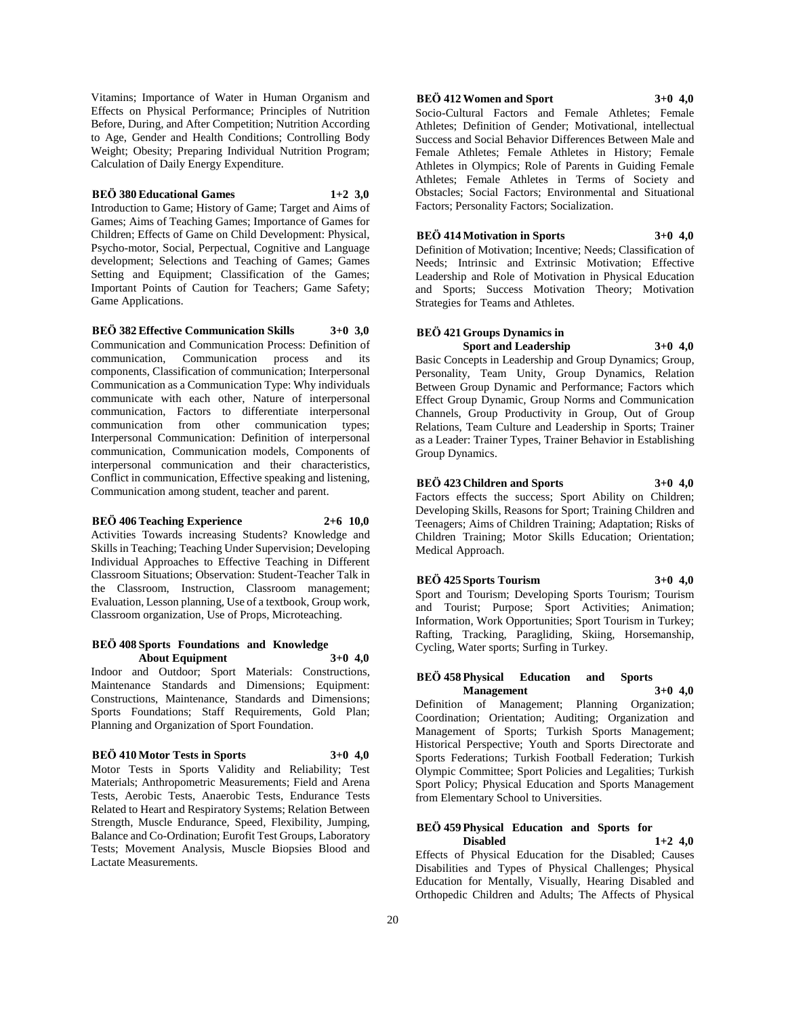Vitamins; Importance of Water in Human Organism and Effects on Physical Performance; Principles of Nutrition Before, During, and After Competition; Nutrition According to Age, Gender and Health Conditions; Controlling Body Weight; Obesity; Preparing Individual Nutrition Program; Calculation of Daily Energy Expenditure.

#### **BEÖ 380 Educational Games 1+2 3,0**

Introduction to Game; History of Game; Target and Aims of Games; Aims of Teaching Games; Importance of Games for Children; Effects of Game on Child Development: Physical, Psycho-motor, Social, Perpectual, Cognitive and Language development; Selections and Teaching of Games; Games Setting and Equipment; Classification of the Games; Important Points of Caution for Teachers; Game Safety; Game Applications.

**BEÖ 382 Effective Communication Skills 3+0 3,0**

Communication and Communication Process: Definition of communication, Communication process and its components, Classification of communication; Interpersonal Communication as a Communication Type: Why individuals communicate with each other, Nature of interpersonal communication, Factors to differentiate interpersonal communication from other communication types; Interpersonal Communication: Definition of interpersonal communication, Communication models, Components of interpersonal communication and their characteristics, Conflict in communication, Effective speaking and listening, Communication among student, teacher and parent.

#### **BEÖ 406 Teaching Experience 2+6 10,0**

Activities Towards increasing Students? Knowledge and Skills in Teaching; Teaching Under Supervision; Developing Individual Approaches to Effective Teaching in Different Classroom Situations; Observation: Student-Teacher Talk in the Classroom, Instruction, Classroom management; Evaluation, Lesson planning, Use of a textbook, Group work, Classroom organization, Use of Props, Microteaching.

#### **BEÖ 408 Sports Foundations and Knowledge About Equipment 3+0 4,0**

Indoor and Outdoor; Sport Materials: Constructions, Maintenance Standards and Dimensions; Equipment: Constructions, Maintenance, Standards and Dimensions; Sports Foundations; Staff Requirements, Gold Plan; Planning and Organization of Sport Foundation.

## **BEÖ 410 Motor Tests in Sports 3+0 4,0**

Motor Tests in Sports Validity and Reliability; Test Materials; Anthropometric Measurements; Field and Arena Tests, Aerobic Tests, Anaerobic Tests, Endurance Tests Related to Heart and Respiratory Systems; Relation Between Strength, Muscle Endurance, Speed, Flexibility, Jumping, Balance and Co-Ordination; Eurofit Test Groups, Laboratory Tests; Movement Analysis, Muscle Biopsies Blood and Lactate Measurements.

## **BEÖ 412 Women and Sport 3+0 4,0**

Socio-Cultural Factors and Female Athletes; Female Athletes; Definition of Gender; Motivational, intellectual Success and Social Behavior Differences Between Male and Female Athletes; Female Athletes in History; Female Athletes in Olympics; Role of Parents in Guiding Female Athletes; Female Athletes in Terms of Society and Obstacles; Social Factors; Environmental and Situational Factors; Personality Factors; Socialization.

## **BEÖ 414 Motivation in Sports 3+0 4,0**

Definition of Motivation; Incentive; Needs; Classification of Needs; Intrinsic and Extrinsic Motivation; Effective Leadership and Role of Motivation in Physical Education and Sports; Success Motivation Theory; Motivation Strategies for Teams and Athletes.

# **BEÖ 421 Groups Dynamics in Sport and Leadership 3+0 4,0**

Basic Concepts in Leadership and Group Dynamics; Group, Personality, Team Unity, Group Dynamics, Relation Between Group Dynamic and Performance; Factors which Effect Group Dynamic, Group Norms and Communication Channels, Group Productivity in Group, Out of Group Relations, Team Culture and Leadership in Sports; Trainer as a Leader: Trainer Types, Trainer Behavior in Establishing Group Dynamics.

## **BEÖ 423 Children and Sports 3+0 4,0**

Factors effects the success; Sport Ability on Children; Developing Skills, Reasons for Sport; Training Children and Teenagers; Aims of Children Training; Adaptation; Risks of Children Training; Motor Skills Education; Orientation; Medical Approach.

## **BEÖ 425 Sports Tourism 3+0 4,0**

Sport and Tourism; Developing Sports Tourism; Tourism and Tourist; Purpose; Sport Activities; Animation; Information, Work Opportunities; Sport Tourism in Turkey; Rafting, Tracking, Paragliding, Skiing, Horsemanship, Cycling, Water sports; Surfing in Turkey.

## **BEÖ 458 Physical Education and Sports Management 3+0 4,0**

Definition of Management; Planning Organization; Coordination; Orientation; Auditing; Organization and Management of Sports; Turkish Sports Management; Historical Perspective; Youth and Sports Directorate and Sports Federations; Turkish Football Federation; Turkish Olympic Committee; Sport Policies and Legalities; Turkish Sport Policy; Physical Education and Sports Management from Elementary School to Universities.

## **BEÖ 459 Physical Education and Sports for Disabled 1+2 4,0**

Effects of Physical Education for the Disabled; Causes Disabilities and Types of Physical Challenges; Physical Education for Mentally, Visually, Hearing Disabled and Orthopedic Children and Adults; The Affects of Physical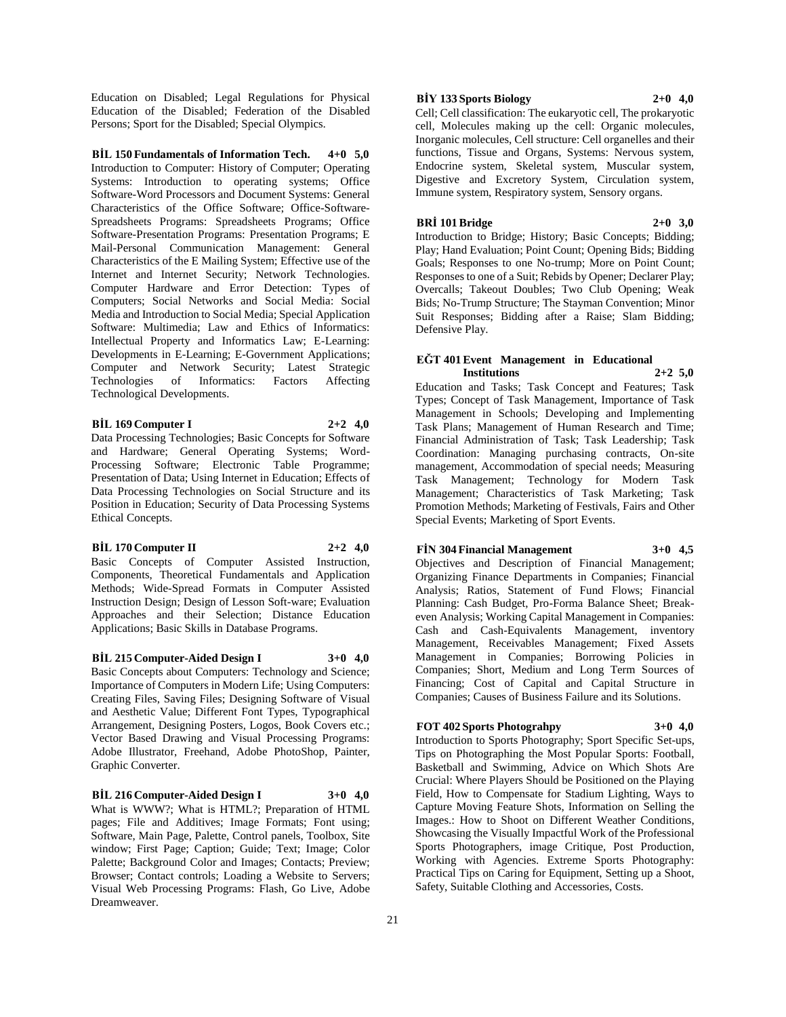Education on Disabled; Legal Regulations for Physical Education of the Disabled; Federation of the Disabled Persons; Sport for the Disabled; Special Olympics.

**BİL 150 Fundamentals of Information Tech. 4+0 5,0** Introduction to Computer: History of Computer; Operating Systems: Introduction to operating systems; Office Software-Word Processors and Document Systems: General Characteristics of the Office Software; Office-Software-Spreadsheets Programs: Spreadsheets Programs; Office Software-Presentation Programs: Presentation Programs; E Mail-Personal Communication Management: General Characteristics of the E Mailing System; Effective use of the Internet and Internet Security; Network Technologies. Computer Hardware and Error Detection: Types of Computers; Social Networks and Social Media: Social Media and Introduction to Social Media; Special Application Software: Multimedia; Law and Ethics of Informatics: Intellectual Property and Informatics Law; E-Learning: Developments in E-Learning; E-Government Applications; Computer and Network Security; Latest Strategic Technologies of Informatics: Factors Affecting Technological Developments.

#### **BİL 169 Computer I 2+2 4,0**

Data Processing Technologies; Basic Concepts for Software and Hardware; General Operating Systems; Word-Processing Software; Electronic Table Programme; Presentation of Data; Using Internet in Education; Effects of Data Processing Technologies on Social Structure and its Position in Education; Security of Data Processing Systems Ethical Concepts.

#### **BİL 170 Computer II 2+2 4,0**

Basic Concepts of Computer Assisted Instruction, Components, Theoretical Fundamentals and Application Methods; Wide-Spread Formats in Computer Assisted Instruction Design; Design of Lesson Soft-ware; Evaluation Approaches and their Selection; Distance Education Applications; Basic Skills in Database Programs.

**BİL 215 Computer-Aided Design I 3+0 4,0** Basic Concepts about Computers: Technology and Science; Importance of Computers in Modern Life; Using Computers: Creating Files, Saving Files; Designing Software of Visual and Aesthetic Value; Different Font Types, Typographical Arrangement, Designing Posters, Logos, Book Covers etc.; Vector Based Drawing and Visual Processing Programs: Adobe Illustrator, Freehand, Adobe PhotoShop, Painter, Graphic Converter.

#### **BİL 216 Computer-Aided Design I 3+0 4,0**

What is WWW?; What is HTML?; Preparation of HTML pages; File and Additives; Image Formats; Font using; Software, Main Page, Palette, Control panels, Toolbox, Site window; First Page; Caption; Guide; Text; Image; Color Palette; Background Color and Images; Contacts; Preview; Browser; Contact controls; Loading a Website to Servers; Visual Web Processing Programs: Flash, Go Live, Adobe Dreamweaver.

## **BİY 133 Sports Biology 2+0 4,0**

Cell; Cell classification: The eukaryotic cell, The prokaryotic cell, Molecules making up the cell: Organic molecules, Inorganic molecules, Cell structure: Cell organelles and their functions, Tissue and Organs, Systems: Nervous system, Endocrine system, Skeletal system, Muscular system, Digestive and Excretory System, Circulation system, Immune system, Respiratory system, Sensory organs.

#### **BRİ 101 Bridge 2+0 3,0**

Introduction to Bridge; History; Basic Concepts; Bidding; Play; Hand Evaluation; Point Count; Opening Bids; Bidding Goals; Responses to one No-trump; More on Point Count; Responses to one of a Suit; Rebids by Opener; Declarer Play; Overcalls; Takeout Doubles; Two Club Opening; Weak Bids; No-Trump Structure; The Stayman Convention; Minor Suit Responses; Bidding after a Raise; Slam Bidding; Defensive Play.

## **EĞT 401 Event Management in Educational Institutions 2+2 5,0**

Education and Tasks; Task Concept and Features; Task Types; Concept of Task Management, Importance of Task Management in Schools; Developing and Implementing Task Plans; Management of Human Research and Time; Financial Administration of Task; Task Leadership; Task Coordination: Managing purchasing contracts, On-site management, Accommodation of special needs; Measuring Task Management; Technology for Modern Task Management; Characteristics of Task Marketing; Task Promotion Methods; Marketing of Festivals, Fairs and Other Special Events; Marketing of Sport Events.

#### **FİN 304 Financial Management 3+0 4,5**

Objectives and Description of Financial Management; Organizing Finance Departments in Companies; Financial Analysis; Ratios, Statement of Fund Flows; Financial Planning: Cash Budget, Pro-Forma Balance Sheet; Breakeven Analysis; Working Capital Management in Companies: Cash and Cash-Equivalents Management, inventory Management, Receivables Management; Fixed Assets Management in Companies; Borrowing Policies in Companies; Short, Medium and Long Term Sources of Financing; Cost of Capital and Capital Structure in Companies; Causes of Business Failure and its Solutions.

## **FOT 402 Sports Photograhpy 3+0 4,0**

Introduction to Sports Photography; Sport Specific Set-ups, Tips on Photographing the Most Popular Sports: Football, Basketball and Swimming, Advice on Which Shots Are Crucial: Where Players Should be Positioned on the Playing Field, How to Compensate for Stadium Lighting, Ways to Capture Moving Feature Shots, Information on Selling the Images.: How to Shoot on Different Weather Conditions, Showcasing the Visually Impactful Work of the Professional Sports Photographers, image Critique, Post Production, Working with Agencies. Extreme Sports Photography: Practical Tips on Caring for Equipment, Setting up a Shoot, Safety, Suitable Clothing and Accessories, Costs.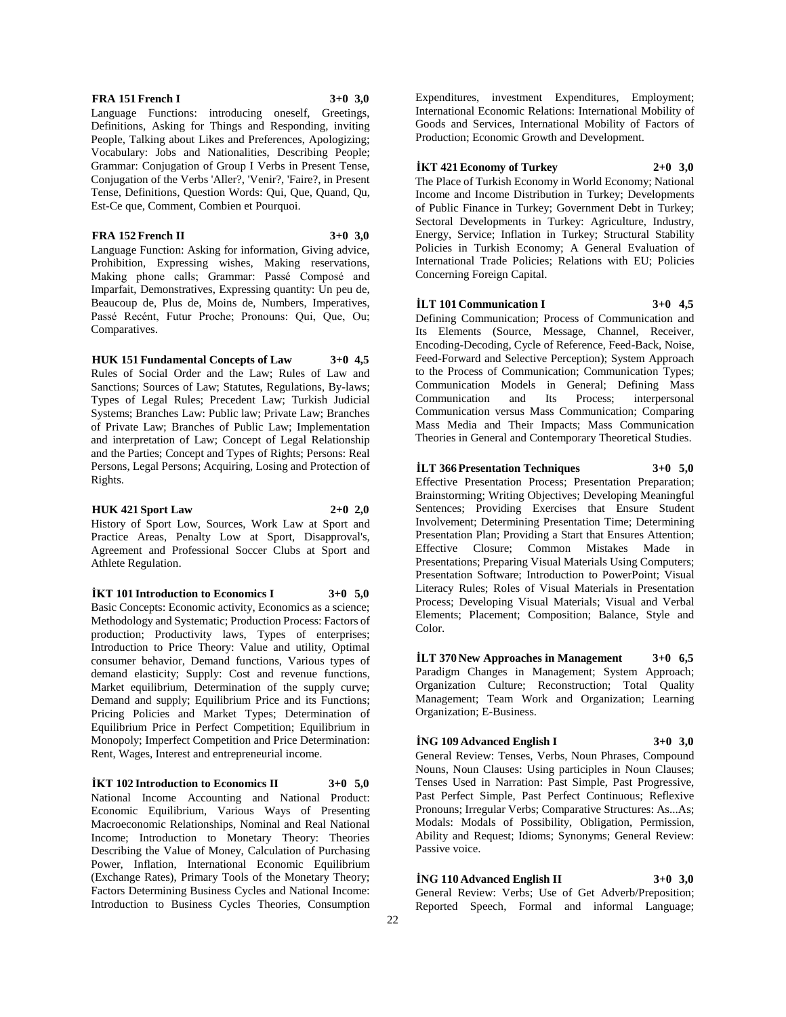## **FRA 151 French I 3+0 3,0**

Language Functions: introducing oneself, Greetings, Definitions, Asking for Things and Responding, inviting People, Talking about Likes and Preferences, Apologizing; Vocabulary: Jobs and Nationalities, Describing People; Grammar: Conjugation of Group I Verbs in Present Tense, Conjugation of the Verbs 'Aller?, 'Venir?, 'Faire?, in Present Tense, Definitions, Question Words: Qui, Que, Quand, Qu, Est-Ce que, Comment, Combien et Pourquoi.

#### **FRA 152 French II 3+0 3,0**

Language Function: Asking for information, Giving advice, Prohibition, Expressing wishes, Making reservations, Making phone calls; Grammar: Passé Composé and Imparfait, Demonstratives, Expressing quantity: Un peu de, Beaucoup de, Plus de, Moins de, Numbers, Imperatives, Passé Recént, Futur Proche; Pronouns: Qui, Que, Ou; Comparatives.

**HUK 151 Fundamental Concepts of Law 3+0 4,5** Rules of Social Order and the Law; Rules of Law and Sanctions; Sources of Law; Statutes, Regulations, By-laws; Types of Legal Rules; Precedent Law; Turkish Judicial Systems; Branches Law: Public law; Private Law; Branches of Private Law; Branches of Public Law; Implementation and interpretation of Law; Concept of Legal Relationship and the Parties; Concept and Types of Rights; Persons: Real Persons, Legal Persons; Acquiring, Losing and Protection of Rights.

#### **HUK 421 Sport Law 2+0 2,0**

History of Sport Low, Sources, Work Law at Sport and Practice Areas, Penalty Low at Sport, Disapproval's, Agreement and Professional Soccer Clubs at Sport and Athlete Regulation.

**İKT 101 Introduction to Economics I 3+0 5,0**

Basic Concepts: Economic activity, Economics as a science; Methodology and Systematic; Production Process: Factors of production; Productivity laws, Types of enterprises; Introduction to Price Theory: Value and utility, Optimal consumer behavior, Demand functions, Various types of demand elasticity; Supply: Cost and revenue functions, Market equilibrium, Determination of the supply curve; Demand and supply; Equilibrium Price and its Functions; Pricing Policies and Market Types; Determination of Equilibrium Price in Perfect Competition; Equilibrium in Monopoly; Imperfect Competition and Price Determination: Rent, Wages, Interest and entrepreneurial income.

**İKT 102 Introduction to Economics II 3+0 5,0** National Income Accounting and National Product: Economic Equilibrium, Various Ways of Presenting Macroeconomic Relationships, Nominal and Real National Income; Introduction to Monetary Theory: Theories Describing the Value of Money, Calculation of Purchasing Power, Inflation, International Economic Equilibrium (Exchange Rates), Primary Tools of the Monetary Theory; Factors Determining Business Cycles and National Income: Introduction to Business Cycles Theories, Consumption

Expenditures, investment Expenditures, Employment; International Economic Relations: International Mobility of Goods and Services, International Mobility of Factors of Production; Economic Growth and Development.

**İKT 421 Economy of Turkey 2+0 3,0**

The Place of Turkish Economy in World Economy; National Income and Income Distribution in Turkey; Developments of Public Finance in Turkey; Government Debt in Turkey; Sectoral Developments in Turkey: Agriculture, Industry, Energy, Service; Inflation in Turkey; Structural Stability Policies in Turkish Economy; A General Evaluation of International Trade Policies; Relations with EU; Policies Concerning Foreign Capital.

**İLT 101 Communication I 3+0 4,5** Defining Communication; Process of Communication and Its Elements (Source, Message, Channel, Receiver, Encoding-Decoding, Cycle of Reference, Feed-Back, Noise, Feed-Forward and Selective Perception); System Approach to the Process of Communication; Communication Types; Communication Models in General; Defining Mass Communication and Its Process; interpersonal Communication versus Mass Communication; Comparing Mass Media and Their Impacts; Mass Communication Theories in General and Contemporary Theoretical Studies.

**İLT 366 Presentation Techniques 3+0 5,0** Effective Presentation Process; Presentation Preparation; Brainstorming; Writing Objectives; Developing Meaningful Sentences; Providing Exercises that Ensure Student Involvement; Determining Presentation Time; Determining Presentation Plan; Providing a Start that Ensures Attention; Effective Closure; Common Mistakes Made in Presentations; Preparing Visual Materials Using Computers; Presentation Software; Introduction to PowerPoint; Visual Literacy Rules; Roles of Visual Materials in Presentation Process; Developing Visual Materials; Visual and Verbal Elements; Placement; Composition; Balance, Style and Color.

**İLT 370 New Approaches in Management 3+0 6,5** Paradigm Changes in Management; System Approach; Organization Culture; Reconstruction; Total Quality Management; Team Work and Organization; Learning Organization; E-Business.

**İNG 109 Advanced English I 3+0 3,0**

General Review: Tenses, Verbs, Noun Phrases, Compound Nouns, Noun Clauses: Using participles in Noun Clauses; Tenses Used in Narration: Past Simple, Past Progressive, Past Perfect Simple, Past Perfect Continuous; Reflexive Pronouns; Irregular Verbs; Comparative Structures: As...As; Modals: Modals of Possibility, Obligation, Permission, Ability and Request; Idioms; Synonyms; General Review: Passive voice.

**İNG 110 Advanced English II 3+0 3,0** General Review: Verbs; Use of Get Adverb/Preposition; Reported Speech, Formal and informal Language;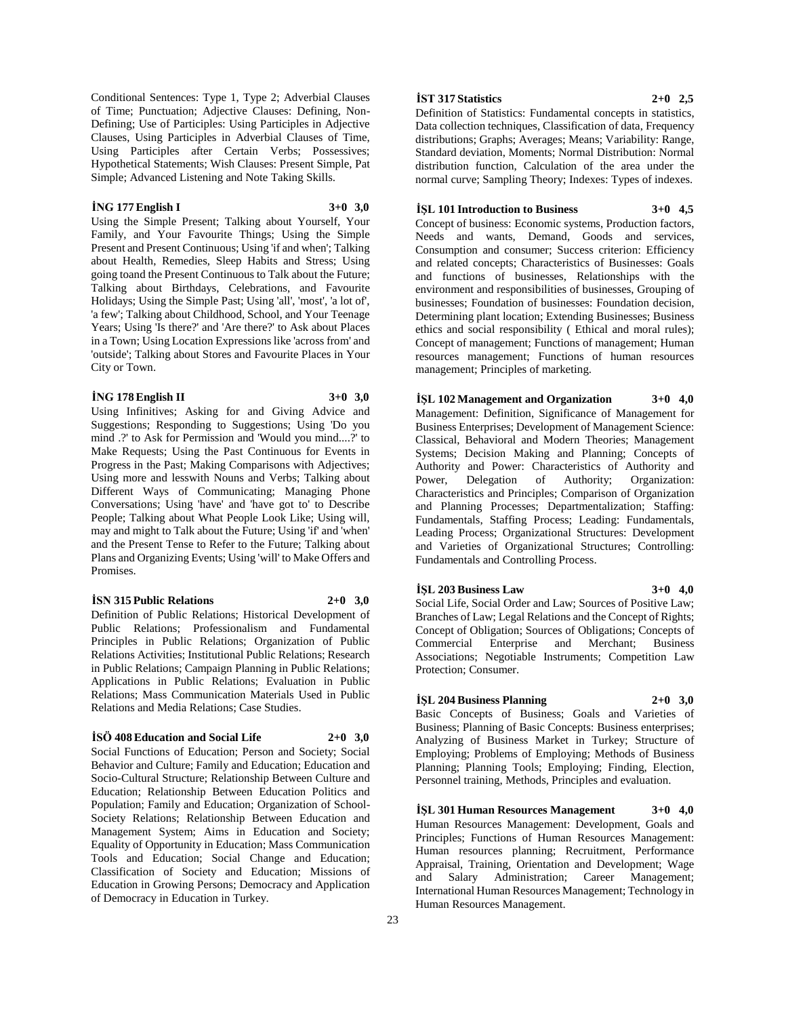Conditional Sentences: Type 1, Type 2; Adverbial Clauses of Time; Punctuation; Adjective Clauses: Defining, Non-Defining; Use of Participles: Using Participles in Adjective Clauses, Using Participles in Adverbial Clauses of Time, Using Participles after Certain Verbs; Possessives; Hypothetical Statements; Wish Clauses: Present Simple, Pat Simple; Advanced Listening and Note Taking Skills.

#### **İNG 177 English I 3+0 3,0**

Using the Simple Present; Talking about Yourself, Your Family, and Your Favourite Things; Using the Simple Present and Present Continuous; Using 'if and when'; Talking about Health, Remedies, Sleep Habits and Stress; Using going toand the Present Continuous to Talk about the Future; Talking about Birthdays, Celebrations, and Favourite Holidays; Using the Simple Past; Using 'all', 'most', 'a lot of', 'a few'; Talking about Childhood, School, and Your Teenage Years; Using 'Is there?' and 'Are there?' to Ask about Places in a Town; Using Location Expressions like 'across from' and 'outside'; Talking about Stores and Favourite Places in Your City or Town.

#### **İNG 178 English II 3+0 3,0**

Using Infinitives; Asking for and Giving Advice and Suggestions; Responding to Suggestions; Using 'Do you mind .?' to Ask for Permission and 'Would you mind....?' to Make Requests; Using the Past Continuous for Events in Progress in the Past; Making Comparisons with Adjectives; Using more and lesswith Nouns and Verbs; Talking about Different Ways of Communicating; Managing Phone Conversations; Using 'have' and 'have got to' to Describe People; Talking about What People Look Like; Using will, may and might to Talk about the Future; Using 'if' and 'when' and the Present Tense to Refer to the Future; Talking about Plans and Organizing Events; Using 'will' to Make Offers and Promises.

#### **İSN 315 Public Relations 2+0 3,0**

Definition of Public Relations; Historical Development of Public Relations; Professionalism and Fundamental Principles in Public Relations; Organization of Public Relations Activities; Institutional Public Relations; Research in Public Relations; Campaign Planning in Public Relations; Applications in Public Relations; Evaluation in Public Relations; Mass Communication Materials Used in Public Relations and Media Relations; Case Studies.

#### **İSÖ 408 Education and Social Life 2+0 3,0**

Social Functions of Education; Person and Society; Social Behavior and Culture; Family and Education; Education and Socio-Cultural Structure; Relationship Between Culture and Education; Relationship Between Education Politics and Population; Family and Education; Organization of School-Society Relations; Relationship Between Education and Management System; Aims in Education and Society; Equality of Opportunity in Education; Mass Communication Tools and Education; Social Change and Education; Classification of Society and Education; Missions of Education in Growing Persons; Democracy and Application of Democracy in Education in Turkey.

### **İST 317 Statistics 2+0 2,5**

Definition of Statistics: Fundamental concepts in statistics, Data collection techniques, Classification of data, Frequency distributions; Graphs; Averages; Means; Variability: Range, Standard deviation, Moments; Normal Distribution: Normal distribution function, Calculation of the area under the normal curve; Sampling Theory; Indexes: Types of indexes.

#### **İŞL 101 Introduction to Business 3+0 4,5**

Concept of business: Economic systems, Production factors, Needs and wants, Demand, Goods and services, Consumption and consumer; Success criterion: Efficiency and related concepts; Characteristics of Businesses: Goals and functions of businesses, Relationships with the environment and responsibilities of businesses, Grouping of businesses; Foundation of businesses: Foundation decision, Determining plant location; Extending Businesses; Business ethics and social responsibility ( Ethical and moral rules); Concept of management; Functions of management; Human resources management; Functions of human resources management; Principles of marketing.

**İŞL 102 Management and Organization 3+0 4,0** Management: Definition, Significance of Management for Business Enterprises; Development of Management Science: Classical, Behavioral and Modern Theories; Management Systems; Decision Making and Planning; Concepts of Authority and Power: Characteristics of Authority and Power, Delegation of Authority; Organization: Characteristics and Principles; Comparison of Organization and Planning Processes; Departmentalization; Staffing: Fundamentals, Staffing Process; Leading: Fundamentals, Leading Process; Organizational Structures: Development and Varieties of Organizational Structures; Controlling: Fundamentals and Controlling Process.

**İŞL 203 Business Law 3+0 4,0** Social Life, Social Order and Law; Sources of Positive Law; Branches of Law; Legal Relations and the Concept of Rights; Concept of Obligation; Sources of Obligations; Concepts of Commercial Enterprise and Merchant; Business Associations; Negotiable Instruments; Competition Law Protection; Consumer.

## **İŞL 204 Business Planning 2+0 3,0**

Basic Concepts of Business; Goals and Varieties of Business; Planning of Basic Concepts: Business enterprises; Analyzing of Business Market in Turkey; Structure of Employing; Problems of Employing; Methods of Business Planning; Planning Tools; Employing; Finding, Election, Personnel training, Methods, Principles and evaluation.

**İŞL 301 Human Resources Management 3+0 4,0** Human Resources Management: Development, Goals and Principles; Functions of Human Resources Management: Human resources planning; Recruitment, Performance Appraisal, Training, Orientation and Development; Wage and Salary Administration; Career Management; International Human Resources Management; Technology in Human Resources Management.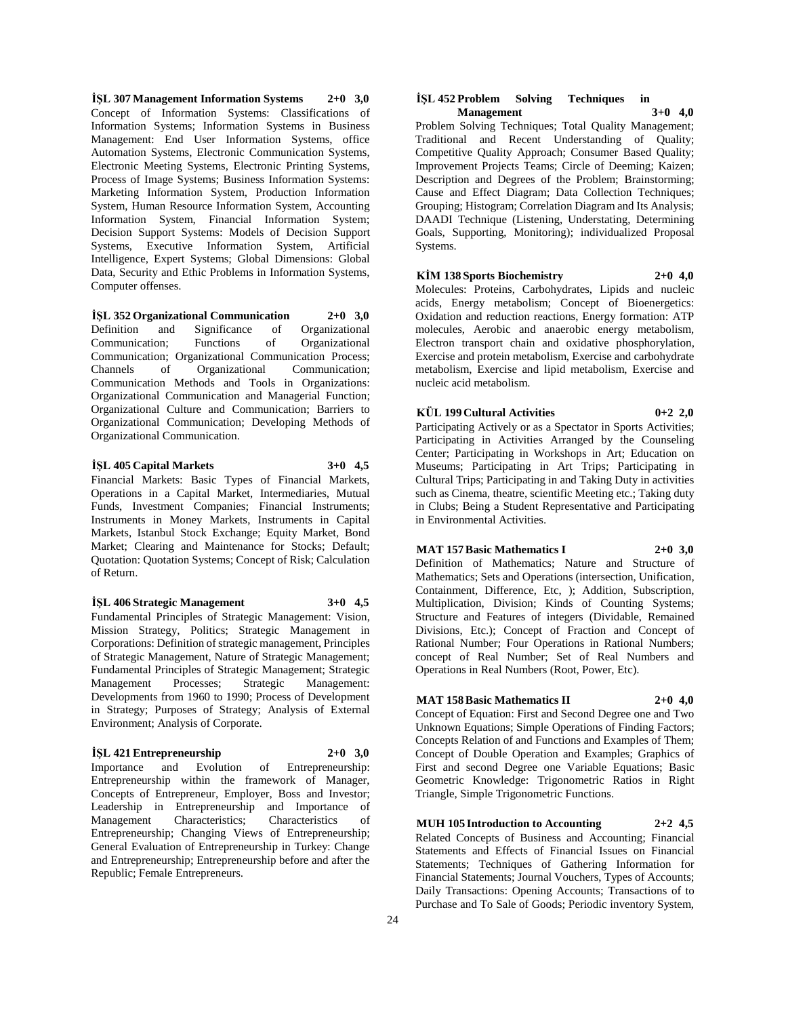**İŞL 307 Management Information Systems 2+0 3,0** Concept of Information Systems: Classifications of Information Systems; Information Systems in Business Management: End User Information Systems, office Automation Systems, Electronic Communication Systems, Electronic Meeting Systems, Electronic Printing Systems, Process of Image Systems; Business Information Systems: Marketing Information System, Production Information System, Human Resource Information System, Accounting Information System, Financial Information System; Decision Support Systems: Models of Decision Support Systems, Executive Information System, Artificial Intelligence, Expert Systems; Global Dimensions: Global Data, Security and Ethic Problems in Information Systems, Computer offenses.

**İŞL 352 Organizational Communication 2+0 3,0** Definition and Significance of Organizational<br>Communication; Functions of Organizational Communication: Functions of Communication; Organizational Communication Process; Channels of Organizational Communication; Communication Methods and Tools in Organizations: Organizational Communication and Managerial Function; Organizational Culture and Communication; Barriers to Organizational Communication; Developing Methods of Organizational Communication.

#### **İŞL 405 Capital Markets 3+0 4,5**

Financial Markets: Basic Types of Financial Markets, Operations in a Capital Market, Intermediaries, Mutual Funds, Investment Companies; Financial Instruments; Instruments in Money Markets, Instruments in Capital Markets, Istanbul Stock Exchange; Equity Market, Bond Market; Clearing and Maintenance for Stocks; Default; Quotation: Quotation Systems; Concept of Risk; Calculation of Return.

**İŞL 406 Strategic Management 3+0 4,5** Fundamental Principles of Strategic Management: Vision,

Mission Strategy, Politics; Strategic Management in Corporations: Definition of strategic management, Principles of Strategic Management, Nature of Strategic Management; Fundamental Principles of Strategic Management; Strategic Management Processes; Strategic Management: Developments from 1960 to 1990; Process of Development in Strategy; Purposes of Strategy; Analysis of External Environment; Analysis of Corporate.

#### **İŞL 421 Entrepreneurship 2+0 3,0**

Importance and Evolution of Entrepreneurship: Entrepreneurship within the framework of Manager, Concepts of Entrepreneur, Employer, Boss and Investor; Leadership in Entrepreneurship and Importance of Management Characteristics; Characteristics of Entrepreneurship; Changing Views of Entrepreneurship; General Evaluation of Entrepreneurship in Turkey: Change and Entrepreneurship; Entrepreneurship before and after the Republic; Female Entrepreneurs.

#### **İŞL 452 Problem Solving Techniques in Management 3+0 4,0**

Problem Solving Techniques; Total Quality Management; Traditional and Recent Understanding of Quality; Competitive Quality Approach; Consumer Based Quality; Improvement Projects Teams; Circle of Deeming; Kaizen; Description and Degrees of the Problem; Brainstorming; Cause and Effect Diagram; Data Collection Techniques; Grouping; Histogram; Correlation Diagram and Its Analysis; DAADI Technique (Listening, Understating, Determining Goals, Supporting, Monitoring); individualized Proposal Systems.

#### **KİM 138 Sports Biochemistry 2+0 4,0**

Molecules: Proteins, Carbohydrates, Lipids and nucleic acids, Energy metabolism; Concept of Bioenergetics: Oxidation and reduction reactions, Energy formation: ATP molecules, Aerobic and anaerobic energy metabolism, Electron transport chain and oxidative phosphorylation, Exercise and protein metabolism, Exercise and carbohydrate metabolism, Exercise and lipid metabolism, Exercise and nucleic acid metabolism.

## **KÜL 199 Cultural Activities 0+2 2,0**

Participating Actively or as a Spectator in Sports Activities; Participating in Activities Arranged by the Counseling Center; Participating in Workshops in Art; Education on Museums; Participating in Art Trips; Participating in Cultural Trips; Participating in and Taking Duty in activities such as Cinema, theatre, scientific Meeting etc.; Taking duty in Clubs; Being a Student Representative and Participating in Environmental Activities.

## **MAT 157 Basic Mathematics I 2+0 3,0**

Definition of Mathematics; Nature and Structure of Mathematics; Sets and Operations (intersection, Unification, Containment, Difference, Etc, ); Addition, Subscription, Multiplication, Division; Kinds of Counting Systems; Structure and Features of integers (Dividable, Remained Divisions, Etc.); Concept of Fraction and Concept of Rational Number; Four Operations in Rational Numbers; concept of Real Number; Set of Real Numbers and Operations in Real Numbers (Root, Power, Etc).

## **MAT 158 Basic Mathematics II 2+0 4,0**

Concept of Equation: First and Second Degree one and Two Unknown Equations; Simple Operations of Finding Factors; Concepts Relation of and Functions and Examples of Them; Concept of Double Operation and Examples; Graphics of First and second Degree one Variable Equations; Basic Geometric Knowledge: Trigonometric Ratios in Right Triangle, Simple Trigonometric Functions.

**MUH 105 Introduction to Accounting 2+2 4,5**

Related Concepts of Business and Accounting; Financial Statements and Effects of Financial Issues on Financial Statements; Techniques of Gathering Information for Financial Statements; Journal Vouchers, Types of Accounts; Daily Transactions: Opening Accounts; Transactions of to Purchase and To Sale of Goods; Periodic inventory System,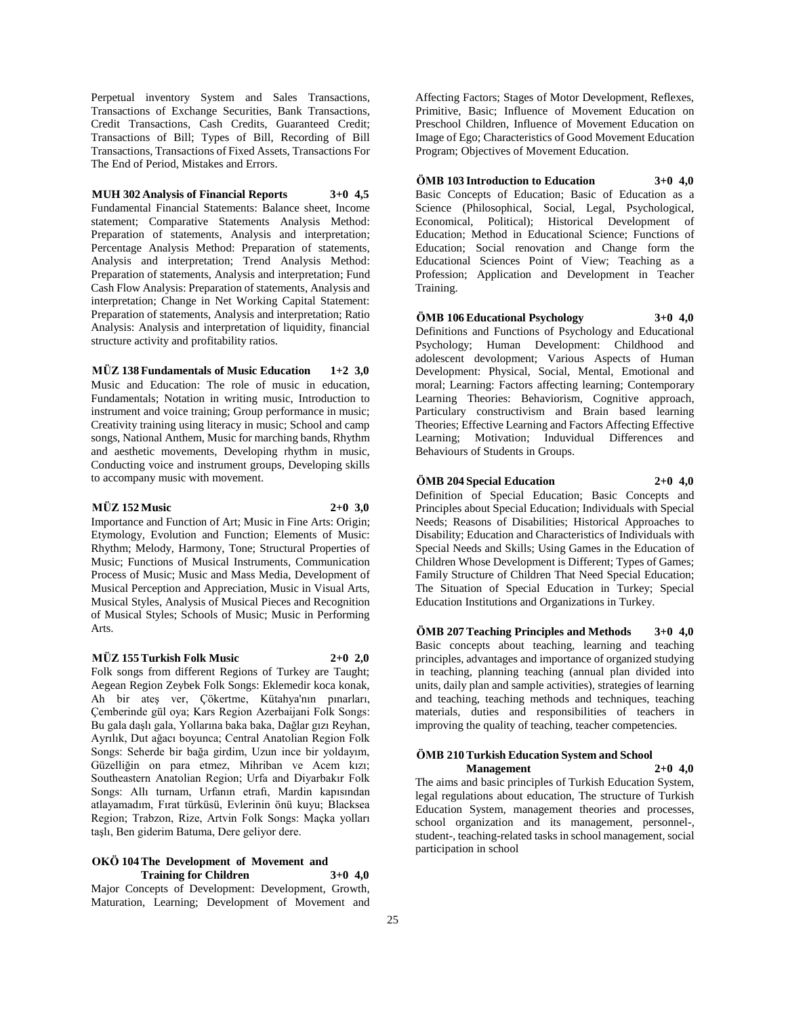Perpetual inventory System and Sales Transactions, Transactions of Exchange Securities, Bank Transactions, Credit Transactions, Cash Credits, Guaranteed Credit; Transactions of Bill; Types of Bill, Recording of Bill Transactions, Transactions of Fixed Assets, Transactions For The End of Period, Mistakes and Errors.

**MUH 302 Analysis of Financial Reports 3+0 4,5** Fundamental Financial Statements: Balance sheet, Income statement; Comparative Statements Analysis Method: Preparation of statements, Analysis and interpretation; Percentage Analysis Method: Preparation of statements, Analysis and interpretation; Trend Analysis Method: Preparation of statements, Analysis and interpretation; Fund Cash Flow Analysis: Preparation of statements, Analysis and interpretation; Change in Net Working Capital Statement: Preparation of statements, Analysis and interpretation; Ratio Analysis: Analysis and interpretation of liquidity, financial structure activity and profitability ratios.

**MÜZ 138 Fundamentals of Music Education 1+2 3,0** Music and Education: The role of music in education, Fundamentals; Notation in writing music, Introduction to instrument and voice training; Group performance in music; Creativity training using literacy in music; School and camp songs, National Anthem, Music for marching bands, Rhythm and aesthetic movements, Developing rhythm in music, Conducting voice and instrument groups, Developing skills

#### **MÜZ 152 Music 2+0 3,0**

Importance and Function of Art; Music in Fine Arts: Origin; Etymology, Evolution and Function; Elements of Music: Rhythm; Melody, Harmony, Tone; Structural Properties of Music; Functions of Musical Instruments, Communication Process of Music; Music and Mass Media, Development of Musical Perception and Appreciation, Music in Visual Arts, Musical Styles, Analysis of Musical Pieces and Recognition of Musical Styles; Schools of Music; Music in Performing Arts.

#### **MÜZ 155 Turkish Folk Music 2+0 2,0**

to accompany music with movement.

Folk songs from different Regions of Turkey are Taught; Aegean Region Zeybek Folk Songs: Eklemedir koca konak, Ah bir ateş ver, Çökertme, Kütahya'nın pınarları, Çemberinde gül oya; Kars Region Azerbaijani Folk Songs: Bu gala daşlı gala, Yollarına baka baka, Dağlar gızı Reyhan, Ayrılık, Dut ağacı boyunca; Central Anatolian Region Folk Songs: Seherde bir bağa girdim, Uzun ince bir yoldayım, Güzelliğin on para etmez, Mihriban ve Acem kızı; Southeastern Anatolian Region; Urfa and Diyarbakır Folk Songs: Allı turnam, Urfanın etrafı, Mardin kapısından atlayamadım, Fırat türküsü, Evlerinin önü kuyu; Blacksea Region; Trabzon, Rize, Artvin Folk Songs: Maçka yolları taşlı, Ben giderim Batuma, Dere geliyor dere.

#### **OKÖ 104 The Development of Movement and Training for Children 3+0 4,0**

Major Concepts of Development: Development, Growth, Maturation, Learning; Development of Movement and

Affecting Factors; Stages of Motor Development, Reflexes, Primitive, Basic; Influence of Movement Education on Preschool Children, Influence of Movement Education on Image of Ego; Characteristics of Good Movement Education Program; Objectives of Movement Education.

**ÖMB 103 Introduction to Education 3+0 4,0** Basic Concepts of Education; Basic of Education as a Science (Philosophical, Social, Legal, Psychological, Economical, Political); Historical Development of Education; Method in Educational Science; Functions of Education; Social renovation and Change form the Educational Sciences Point of View; Teaching as a Profession; Application and Development in Teacher Training.

**ÖMB 106 Educational Psychology 3+0 4,0** Definitions and Functions of Psychology and Educational Psychology; Human Development: Childhood and adolescent devolopment; Various Aspects of Human Development: Physical, Social, Mental, Emotional and moral; Learning: Factors affecting learning; Contemporary Learning Theories: Behaviorism, Cognitive approach, Particulary constructivism and Brain based learning Theories; Effective Learning and Factors Affecting Effective Learning; Motivation; Induvidual Differences and Behaviours of Students in Groups.

**ÖMB 204 Special Education 2+0 4,0** Definition of Special Education; Basic Concepts and

Principles about Special Education; Individuals with Special Needs; Reasons of Disabilities; Historical Approaches to Disability; Education and Characteristics of Individuals with Special Needs and Skills; Using Games in the Education of Children Whose Development is Different; Types of Games; Family Structure of Children That Need Special Education; The Situation of Special Education in Turkey; Special Education Institutions and Organizations in Turkey.

**ÖMB 207 Teaching Principles and Methods 3+0 4,0** Basic concepts about teaching, learning and teaching principles, advantages and importance of organized studying in teaching, planning teaching (annual plan divided into units, daily plan and sample activities), strategies of learning and teaching, teaching methods and techniques, teaching materials, duties and responsibilities of teachers in improving the quality of teaching, teacher competencies.

#### **ÖMB 210 Turkish Education System and School Management 2+0 4,0**

The aims and basic principles of Turkish Education System, legal regulations about education, The structure of Turkish Education System, management theories and processes, school organization and its management, personnel-, student-, teaching-related tasks in school management, social participation in school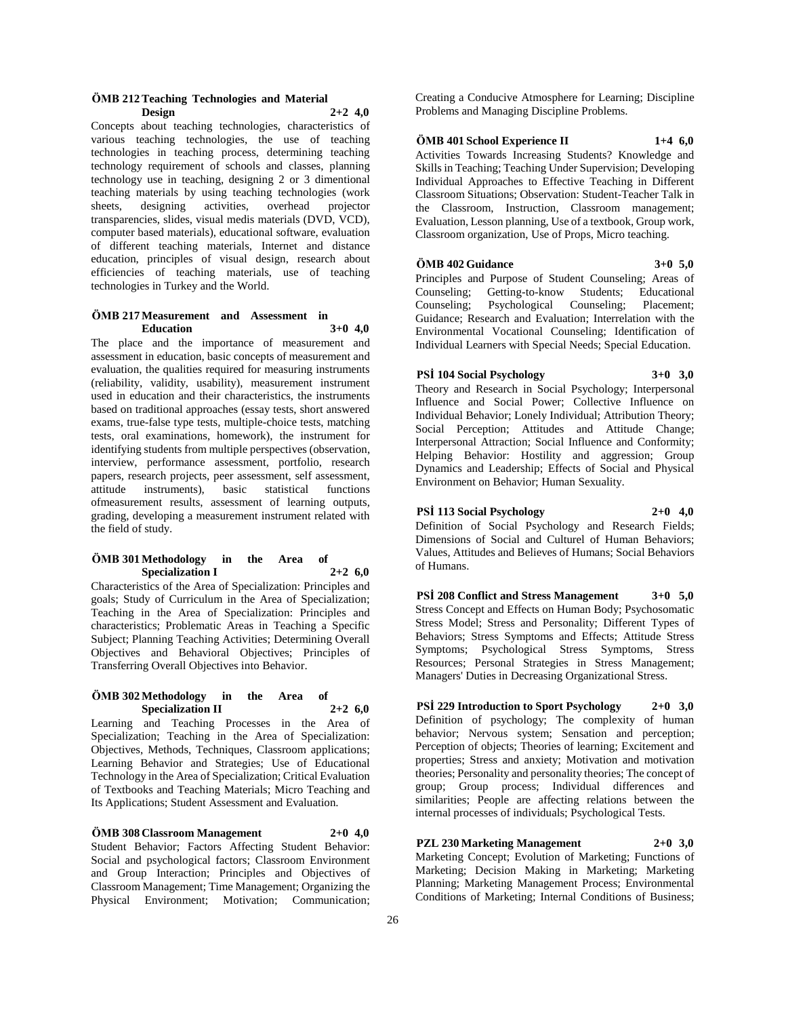#### **ÖMB 212 Teaching Technologies and Material Design 2+2 4,0**

Concepts about teaching technologies, characteristics of various teaching technologies, the use of teaching technologies in teaching process, determining teaching technology requirement of schools and classes, planning technology use in teaching, designing 2 or 3 dimentional teaching materials by using teaching technologies (work sheets, designing activities, overhead projector transparencies, slides, visual medis materials (DVD, VCD), computer based materials), educational software, evaluation of different teaching materials, Internet and distance education, principles of visual design, research about efficiencies of teaching materials, use of teaching technologies in Turkey and the World.

#### **ÖMB 217 Measurement and Assessment in Education 3+0 4,0**

The place and the importance of measurement and assessment in education, basic concepts of measurement and evaluation, the qualities required for measuring instruments (reliability, validity, usability), measurement instrument used in education and their characteristics, the instruments based on traditional approaches (essay tests, short answered exams, true-false type tests, multiple-choice tests, matching tests, oral examinations, homework), the instrument for identifying students from multiple perspectives (observation, interview, performance assessment, portfolio, research papers, research projects, peer assessment, self assessment, attitude instruments), basic statistical functions ofmeasurement results, assessment of learning outputs, grading, developing a measurement instrument related with the field of study.

## **ÖMB 301 Methodology in the Area of Specialization I 2+2 6,0**

Characteristics of the Area of Specialization: Principles and goals; Study of Curriculum in the Area of Specialization; Teaching in the Area of Specialization: Principles and characteristics; Problematic Areas in Teaching a Specific Subject; Planning Teaching Activities; Determining Overall Objectives and Behavioral Objectives; Principles of Transferring Overall Objectives into Behavior.

#### **ÖMB 302 Methodology in the Area of Specialization II 2+2 6,0**

Learning and Teaching Processes in the Area of Specialization; Teaching in the Area of Specialization: Objectives, Methods, Techniques, Classroom applications; Learning Behavior and Strategies; Use of Educational Technology in the Area of Specialization; Critical Evaluation of Textbooks and Teaching Materials; Micro Teaching and Its Applications; Student Assessment and Evaluation.

**ÖMB 308 Classroom Management 2+0 4,0** Student Behavior; Factors Affecting Student Behavior: Social and psychological factors; Classroom Environment and Group Interaction; Principles and Objectives of Classroom Management; Time Management; Organizing the Physical Environment; Motivation; Communication;

Creating a Conducive Atmosphere for Learning; Discipline Problems and Managing Discipline Problems.

## **ÖMB 401 School Experience II 1+4 6,0**

Activities Towards Increasing Students? Knowledge and Skills in Teaching; Teaching Under Supervision; Developing Individual Approaches to Effective Teaching in Different Classroom Situations; Observation: Student-Teacher Talk in the Classroom, Instruction, Classroom management; Evaluation, Lesson planning, Use of a textbook, Group work, Classroom organization, Use of Props, Micro teaching.

## **ÖMB 402 Guidance 3+0 5,0**

Principles and Purpose of Student Counseling; Areas of Counseling; Getting-to-know Students; Educational Counseling; Psychological Counseling; Placement; Guidance; Research and Evaluation; Interrelation with the Environmental Vocational Counseling; Identification of Individual Learners with Special Needs; Special Education.

**PSİ 104 Social Psychology 3+0 3,0**

Theory and Research in Social Psychology; Interpersonal Influence and Social Power; Collective Influence on Individual Behavior; Lonely Individual; Attribution Theory; Social Perception; Attitudes and Attitude Change; Interpersonal Attraction; Social Influence and Conformity; Helping Behavior: Hostility and aggression; Group Dynamics and Leadership; Effects of Social and Physical Environment on Behavior; Human Sexuality.

**PSİ 113 Social Psychology 2+0 4,0** Definition of Social Psychology and Research Fields; Dimensions of Social and Culturel of Human Behaviors; Values, Attitudes and Believes of Humans; Social Behaviors of Humans.

**PSİ 208 Conflict and Stress Management 3+0 5,0** Stress Concept and Effects on Human Body; Psychosomatic Stress Model; Stress and Personality; Different Types of Behaviors; Stress Symptoms and Effects; Attitude Stress Symptoms; Psychological Stress Symptoms, Stress Resources; Personal Strategies in Stress Management; Managers' Duties in Decreasing Organizational Stress.

**PSİ 229 Introduction to Sport Psychology 2+0 3,0** Definition of psychology; The complexity of human behavior; Nervous system; Sensation and perception; Perception of objects; Theories of learning; Excitement and properties; Stress and anxiety; Motivation and motivation theories; Personality and personality theories; The concept of group; Group process; Individual differences and similarities; People are affecting relations between the internal processes of individuals; Psychological Tests.

**PZL 230 Marketing Management 2+0 3,0** Marketing Concept; Evolution of Marketing; Functions of Marketing; Decision Making in Marketing; Marketing Planning; Marketing Management Process; Environmental Conditions of Marketing; Internal Conditions of Business;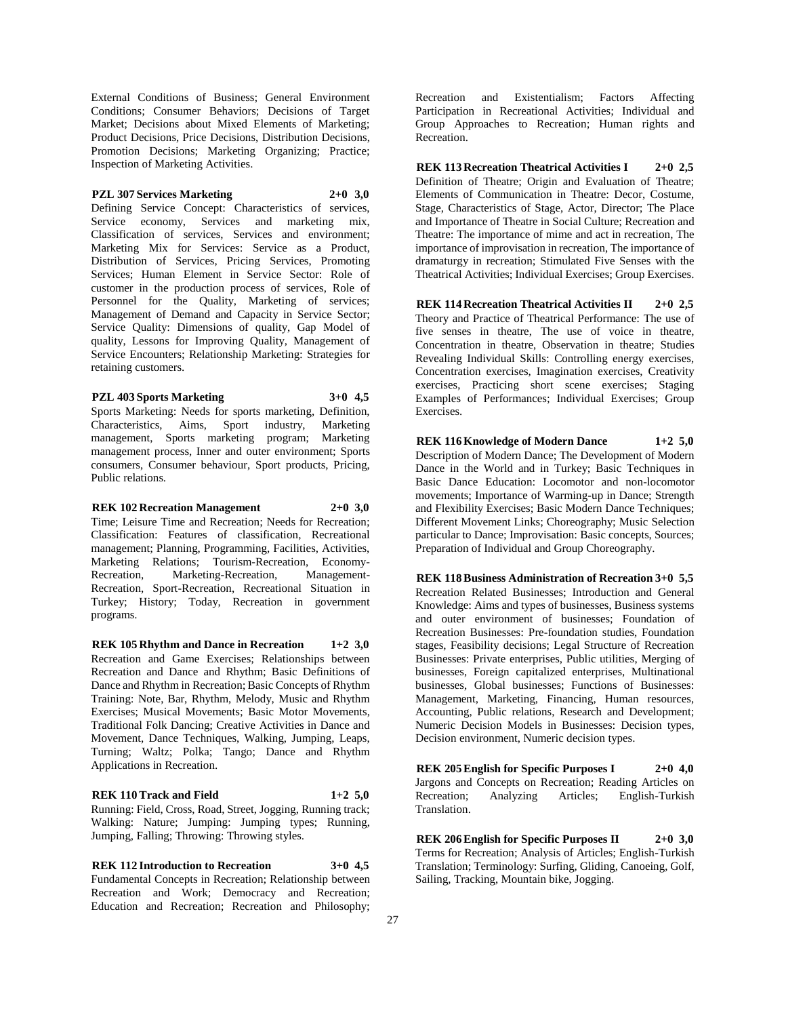External Conditions of Business; General Environment Conditions; Consumer Behaviors; Decisions of Target Market; Decisions about Mixed Elements of Marketing; Product Decisions, Price Decisions, Distribution Decisions, Promotion Decisions; Marketing Organizing; Practice; Inspection of Marketing Activities.

#### **PZL 307 Services Marketing 2+0 3,0**

Defining Service Concept: Characteristics of services, Service economy, Services and marketing mix, Classification of services, Services and environment; Marketing Mix for Services: Service as a Product, Distribution of Services, Pricing Services, Promoting Services; Human Element in Service Sector: Role of customer in the production process of services, Role of Personnel for the Quality, Marketing of services; Management of Demand and Capacity in Service Sector; Service Quality: Dimensions of quality, Gap Model of quality, Lessons for Improving Quality, Management of Service Encounters; Relationship Marketing: Strategies for retaining customers.

**PZL 403 Sports Marketing 3+0 4,5** Sports Marketing: Needs for sports marketing, Definition, Characteristics, Aims, Sport industry, Marketing Characteristics, Aims, Sport industry, management, Sports marketing program; Marketing management process, Inner and outer environment; Sports consumers, Consumer behaviour, Sport products, Pricing, Public relations.

**REK 102 Recreation Management 2+0 3,0** Time; Leisure Time and Recreation; Needs for Recreation; Classification: Features of classification, Recreational management; Planning, Programming, Facilities, Activities, Marketing Relations; Tourism-Recreation, Economy-Recreation, Marketing-Recreation, Management-Recreation, Sport-Recreation, Recreational Situation in Turkey; History; Today, Recreation in government programs.

**REK 105 Rhythm and Dance in Recreation 1+2 3,0** Recreation and Game Exercises; Relationships between Recreation and Dance and Rhythm; Basic Definitions of Dance and Rhythm in Recreation; Basic Concepts of Rhythm Training: Note, Bar, Rhythm, Melody, Music and Rhythm Exercises; Musical Movements; Basic Motor Movements, Traditional Folk Dancing; Creative Activities in Dance and Movement, Dance Techniques, Walking, Jumping, Leaps, Turning; Waltz; Polka; Tango; Dance and Rhythm Applications in Recreation.

**REK 110 Track and Field 1+2 5,0** Running: Field, Cross, Road, Street, Jogging, Running track; Walking: Nature; Jumping: Jumping types; Running, Jumping, Falling; Throwing: Throwing styles.

**REK 112 Introduction to Recreation 3+0 4,5** Fundamental Concepts in Recreation; Relationship between Recreation and Work; Democracy and Recreation; Education and Recreation; Recreation and Philosophy;

Recreation and Existentialism; Factors Affecting Participation in Recreational Activities; Individual and Group Approaches to Recreation; Human rights and Recreation.

**REK 113 Recreation Theatrical Activities I 2+0 2,5** Definition of Theatre; Origin and Evaluation of Theatre; Elements of Communication in Theatre: Decor, Costume, Stage, Characteristics of Stage, Actor, Director; The Place and Importance of Theatre in Social Culture; Recreation and Theatre: The importance of mime and act in recreation, The importance of improvisation in recreation, The importance of dramaturgy in recreation; Stimulated Five Senses with the Theatrical Activities; Individual Exercises; Group Exercises.

**REK 114 Recreation Theatrical Activities II 2+0 2,5** Theory and Practice of Theatrical Performance: The use of five senses in theatre, The use of voice in theatre, Concentration in theatre, Observation in theatre; Studies Revealing Individual Skills: Controlling energy exercises, Concentration exercises, Imagination exercises, Creativity exercises, Practicing short scene exercises; Staging Examples of Performances; Individual Exercises; Group Exercises.

**REK 116 Knowledge of Modern Dance 1+2 5,0** Description of Modern Dance; The Development of Modern Dance in the World and in Turkey; Basic Techniques in Basic Dance Education: Locomotor and non-locomotor movements; Importance of Warming-up in Dance; Strength and Flexibility Exercises; Basic Modern Dance Techniques; Different Movement Links; Choreography; Music Selection particular to Dance; Improvisation: Basic concepts, Sources; Preparation of Individual and Group Choreography.

**REK 118 Business Administration of Recreation 3+0 5,5** Recreation Related Businesses; Introduction and General Knowledge: Aims and types of businesses, Business systems and outer environment of businesses; Foundation of Recreation Businesses: Pre-foundation studies, Foundation stages, Feasibility decisions; Legal Structure of Recreation Businesses: Private enterprises, Public utilities, Merging of businesses, Foreign capitalized enterprises, Multinational businesses, Global businesses; Functions of Businesses: Management, Marketing, Financing, Human resources, Accounting, Public relations, Research and Development; Numeric Decision Models in Businesses: Decision types, Decision environment, Numeric decision types.

**REK 205 English for Specific Purposes I 2+0 4,0** Jargons and Concepts on Recreation; Reading Articles on Recreation; Analyzing Articles; English-Turkish Analyzing Articles; English-Turkish Translation.

**REK 206 English for Specific Purposes II 2+0 3,0** Terms for Recreation; Analysis of Articles; English-Turkish Translation; Terminology: Surfing, Gliding, Canoeing, Golf, Sailing, Tracking, Mountain bike, Jogging.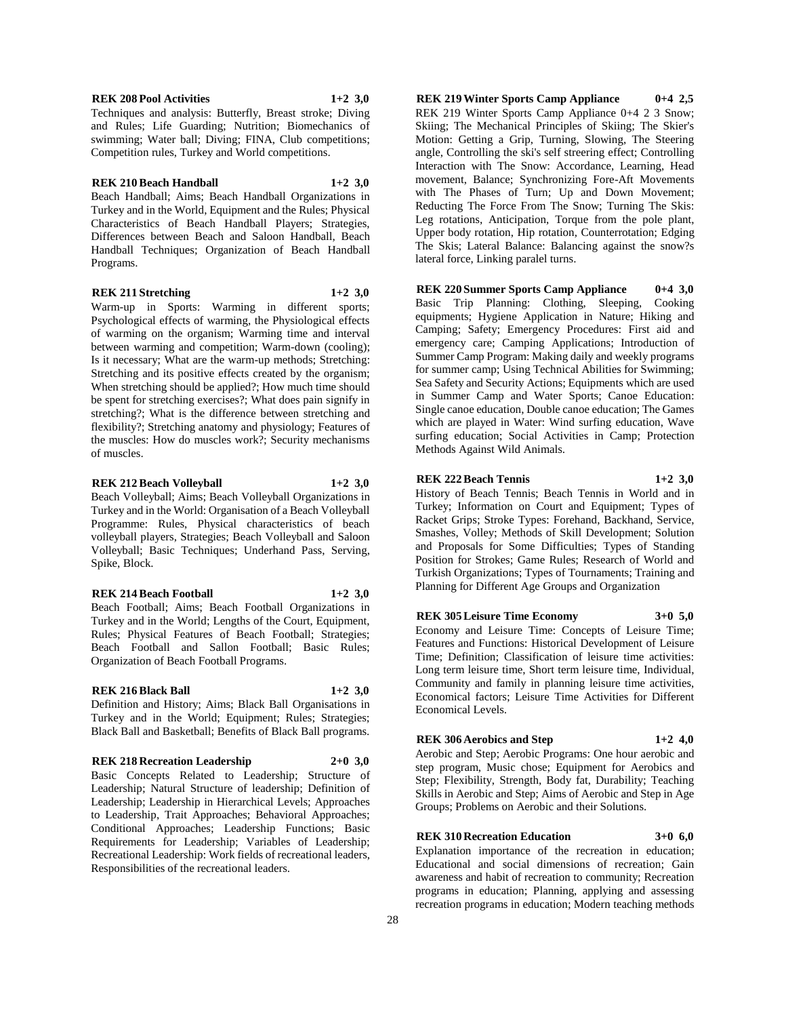and Rules; Life Guarding; Nutrition; Biomechanics of swimming; Water ball; Diving; FINA, Club competitions;

**REK 210 Beach Handball 1+2 3,0** Beach Handball; Aims; Beach Handball Organizations in Turkey and in the World, Equipment and the Rules; Physical Characteristics of Beach Handball Players; Strategies, Differences between Beach and Saloon Handball, Beach Handball Techniques; Organization of Beach Handball

**REK 211 Stretching 1+2 3,0**

Warm-up in Sports: Warming in different sports; Psychological effects of warming, the Physiological effects of warming on the organism; Warming time and interval between warming and competition; Warm-down (cooling); Is it necessary; What are the warm-up methods; Stretching: Stretching and its positive effects created by the organism; When stretching should be applied?; How much time should be spent for stretching exercises?; What does pain signify in stretching?; What is the difference between stretching and flexibility?; Stretching anatomy and physiology; Features of the muscles: How do muscles work?; Security mechanisms of muscles.

## **REK 212 Beach Volleyball 1+2 3,0**

Beach Volleyball; Aims; Beach Volleyball Organizations in Turkey and in the World: Organisation of a Beach Volleyball Programme: Rules, Physical characteristics of beach volleyball players, Strategies; Beach Volleyball and Saloon Volleyball; Basic Techniques; Underhand Pass, Serving, Spike, Block.

## **REK 214 Beach Football 1+2 3,0**

Beach Football; Aims; Beach Football Organizations in Turkey and in the World; Lengths of the Court, Equipment, Rules; Physical Features of Beach Football; Strategies; Beach Football and Sallon Football; Basic Rules; Organization of Beach Football Programs.

#### **REK 216 Black Ball 1+2 3,0**

Definition and History; Aims; Black Ball Organisations in Turkey and in the World; Equipment; Rules; Strategies; Black Ball and Basketball; Benefits of Black Ball programs.

## **REK 218 Recreation Leadership 2+0 3,0**

Basic Concepts Related to Leadership; Structure of Leadership; Natural Structure of leadership; Definition of Leadership; Leadership in Hierarchical Levels; Approaches to Leadership, Trait Approaches; Behavioral Approaches; Conditional Approaches; Leadership Functions; Basic Requirements for Leadership; Variables of Leadership; Recreational Leadership: Work fields of recreational leaders, Responsibilities of the recreational leaders.

**REK 219 Winter Sports Camp Appliance 0+4 2,5** REK 219 Winter Sports Camp Appliance 0+4 2 3 Snow; Skiing; The Mechanical Principles of Skiing; The Skier's Motion: Getting a Grip, Turning, Slowing, The Steering angle, Controlling the ski's self streering effect; Controlling Interaction with The Snow: Accordance, Learning, Head movement, Balance; Synchronizing Fore-Aft Movements with The Phases of Turn; Up and Down Movement; Reducting The Force From The Snow; Turning The Skis: Leg rotations, Anticipation, Torque from the pole plant, Upper body rotation, Hip rotation, Counterrotation; Edging The Skis; Lateral Balance: Balancing against the snow?s lateral force, Linking paralel turns.

**REK 220 Summer Sports Camp Appliance 0+4 3,0**

Basic Trip Planning: Clothing, Sleeping, Cooking equipments; Hygiene Application in Nature; Hiking and Camping; Safety; Emergency Procedures: First aid and emergency care; Camping Applications; Introduction of Summer Camp Program: Making daily and weekly programs for summer camp; Using Technical Abilities for Swimming; Sea Safety and Security Actions; Equipments which are used in Summer Camp and Water Sports; Canoe Education: Single canoe education, Double canoe education; The Games which are played in Water: Wind surfing education, Wave surfing education; Social Activities in Camp; Protection Methods Against Wild Animals.

#### **REK 222 Beach Tennis 1+2 3,0**

History of Beach Tennis; Beach Tennis in World and in Turkey; Information on Court and Equipment; Types of Racket Grips; Stroke Types: Forehand, Backhand, Service, Smashes, Volley; Methods of Skill Development; Solution and Proposals for Some Difficulties; Types of Standing Position for Strokes; Game Rules; Research of World and Turkish Organizations; Types of Tournaments; Training and Planning for Different Age Groups and Organization

#### **REK 305 Leisure Time Economy 3+0 5,0**

Economy and Leisure Time: Concepts of Leisure Time; Features and Functions: Historical Development of Leisure Time; Definition; Classification of leisure time activities: Long term leisure time, Short term leisure time, Individual, Community and family in planning leisure time activities, Economical factors; Leisure Time Activities for Different Economical Levels.

#### **REK 306 Aerobics and Step 1+2 4,0**

Aerobic and Step; Aerobic Programs: One hour aerobic and step program, Music chose; Equipment for Aerobics and Step; Flexibility, Strength, Body fat, Durability; Teaching Skills in Aerobic and Step; Aims of Aerobic and Step in Age Groups; Problems on Aerobic and their Solutions.

#### **REK 310 Recreation Education 3+0 6,0**

Explanation importance of the recreation in education; Educational and social dimensions of recreation; Gain awareness and habit of recreation to community; Recreation programs in education; Planning, applying and assessing recreation programs in education; Modern teaching methods

#### **REK 208 Pool Activities 1+2 3,0**

Programs.

Techniques and analysis: Butterfly, Breast stroke; Diving

Competition rules, Turkey and World competitions.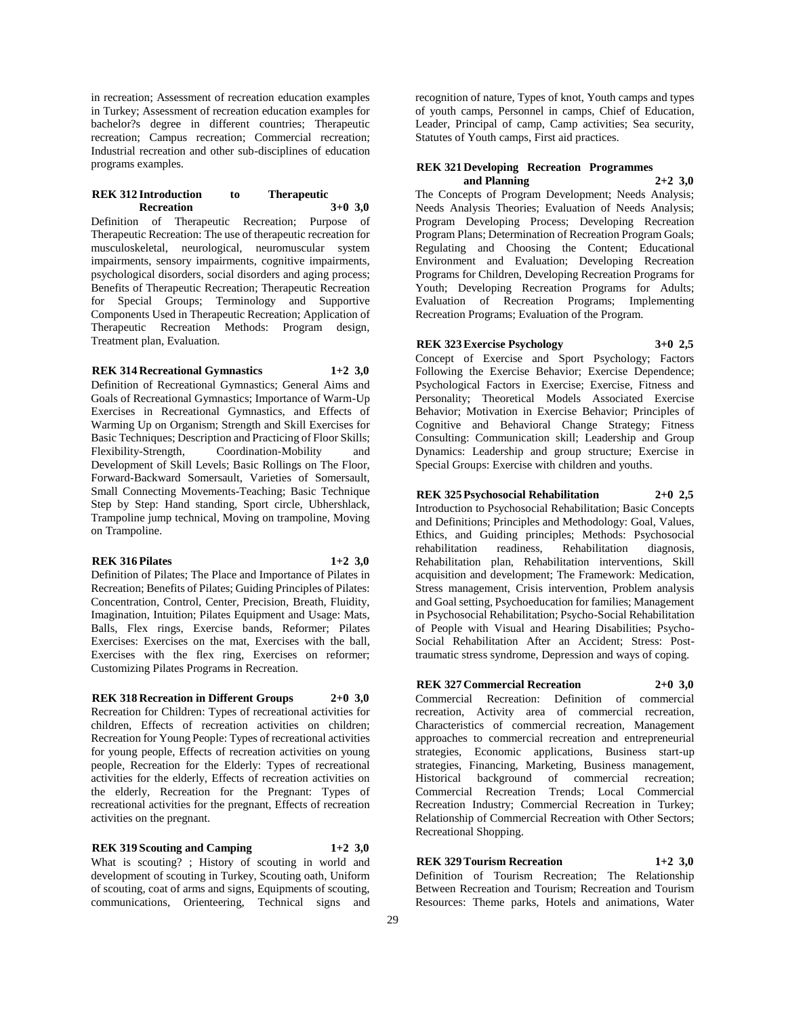in recreation; Assessment of recreation education examples in Turkey; Assessment of recreation education examples for bachelor?s degree in different countries; Therapeutic recreation; Campus recreation; Commercial recreation; Industrial recreation and other sub-disciplines of education programs examples.

#### **REK 312 Introduction to Therapeutic Recreation 3+0 3,0**

Definition of Therapeutic Recreation; Purpose of Therapeutic Recreation: The use of therapeutic recreation for musculoskeletal, neurological, neuromuscular system impairments, sensory impairments, cognitive impairments, psychological disorders, social disorders and aging process; Benefits of Therapeutic Recreation; Therapeutic Recreation for Special Groups; Terminology and Supportive Components Used in Therapeutic Recreation; Application of Therapeutic Recreation Methods: Program design, Treatment plan, Evaluation.

## **REK 314 Recreational Gymnastics 1+2 3,0**

Definition of Recreational Gymnastics; General Aims and Goals of Recreational Gymnastics; Importance of Warm-Up Exercises in Recreational Gymnastics, and Effects of Warming Up on Organism; Strength and Skill Exercises for Basic Techniques; Description and Practicing of Floor Skills;<br>Flexibility-Strength, Coordination-Mobility and Coordination-Mobility and Development of Skill Levels; Basic Rollings on The Floor, Forward-Backward Somersault, Varieties of Somersault, Small Connecting Movements-Teaching; Basic Technique Step by Step: Hand standing, Sport circle, Ubhershlack, Trampoline jump technical, Moving on trampoline, Moving on Trampoline.

#### **REK 316 Pilates 1+2 3,0**

Definition of Pilates; The Place and Importance of Pilates in Recreation; Benefits of Pilates; Guiding Principles of Pilates: Concentration, Control, Center, Precision, Breath, Fluidity, Imagination, Intuition; Pilates Equipment and Usage: Mats, Balls, Flex rings, Exercise bands, Reformer; Pilates Exercises: Exercises on the mat, Exercises with the ball, Exercises with the flex ring, Exercises on reformer; Customizing Pilates Programs in Recreation.

#### **REK 318 Recreation in Different Groups 2+0 3,0**

Recreation for Children: Types of recreational activities for children, Effects of recreation activities on children; Recreation for Young People: Types of recreational activities for young people, Effects of recreation activities on young people, Recreation for the Elderly: Types of recreational activities for the elderly, Effects of recreation activities on the elderly, Recreation for the Pregnant: Types of recreational activities for the pregnant, Effects of recreation activities on the pregnant.

**REK 319 Scouting and Camping 1+2 3,0** What is scouting? ; History of scouting in world and development of scouting in Turkey, Scouting oath, Uniform of scouting, coat of arms and signs, Equipments of scouting, communications, Orienteering, Technical signs and

recognition of nature, Types of knot, Youth camps and types of youth camps, Personnel in camps, Chief of Education, Leader, Principal of camp, Camp activities; Sea security, Statutes of Youth camps, First aid practices.

#### **REK 321 Developing Recreation Programmes and Planning 2+2 3,0**

The Concepts of Program Development; Needs Analysis; Needs Analysis Theories; Evaluation of Needs Analysis; Program Developing Process; Developing Recreation Program Plans; Determination of Recreation Program Goals; Regulating and Choosing the Content; Educational Environment and Evaluation; Developing Recreation Programs for Children, Developing Recreation Programs for Youth; Developing Recreation Programs for Adults; Evaluation of Recreation Programs; Implementing Recreation Programs; Evaluation of the Program.

## **REK 323 Exercise Psychology 3+0 2,5**

Concept of Exercise and Sport Psychology; Factors Following the Exercise Behavior; Exercise Dependence; Psychological Factors in Exercise; Exercise, Fitness and Personality; Theoretical Models Associated Exercise Behavior; Motivation in Exercise Behavior; Principles of Cognitive and Behavioral Change Strategy; Fitness Consulting: Communication skill; Leadership and Group Dynamics: Leadership and group structure; Exercise in Special Groups: Exercise with children and youths.

#### **REK 325 Psychosocial Rehabilitation 2+0 2,5**

Introduction to Psychosocial Rehabilitation; Basic Concepts and Definitions; Principles and Methodology: Goal, Values, Ethics, and Guiding principles; Methods: Psychosocial rehabilitation readiness, Rehabilitation diagnosis, Rehabilitation plan, Rehabilitation interventions, Skill acquisition and development; The Framework: Medication, Stress management, Crisis intervention, Problem analysis and Goal setting, Psychoeducation for families; Management in Psychosocial Rehabilitation; Psycho-Social Rehabilitation of People with Visual and Hearing Disabilities; Psycho-Social Rehabilitation After an Accident; Stress: Posttraumatic stress syndrome, Depression and ways of coping.

# **REK 327 Commercial Recreation 2+0 3,0** Commercial Recreation: Definition of commercial

recreation, Activity area of commercial recreation, Characteristics of commercial recreation, Management approaches to commercial recreation and entrepreneurial strategies, Economic applications, Business start-up strategies, Financing, Marketing, Business management, Historical background of commercial recreation; Commercial Recreation Trends; Local Commercial Recreation Industry; Commercial Recreation in Turkey; Relationship of Commercial Recreation with Other Sectors; Recreational Shopping.

# **REK 329 Tourism Recreation 1+2 3,0**

Definition of Tourism Recreation; The Relationship Between Recreation and Tourism; Recreation and Tourism Resources: Theme parks, Hotels and animations, Water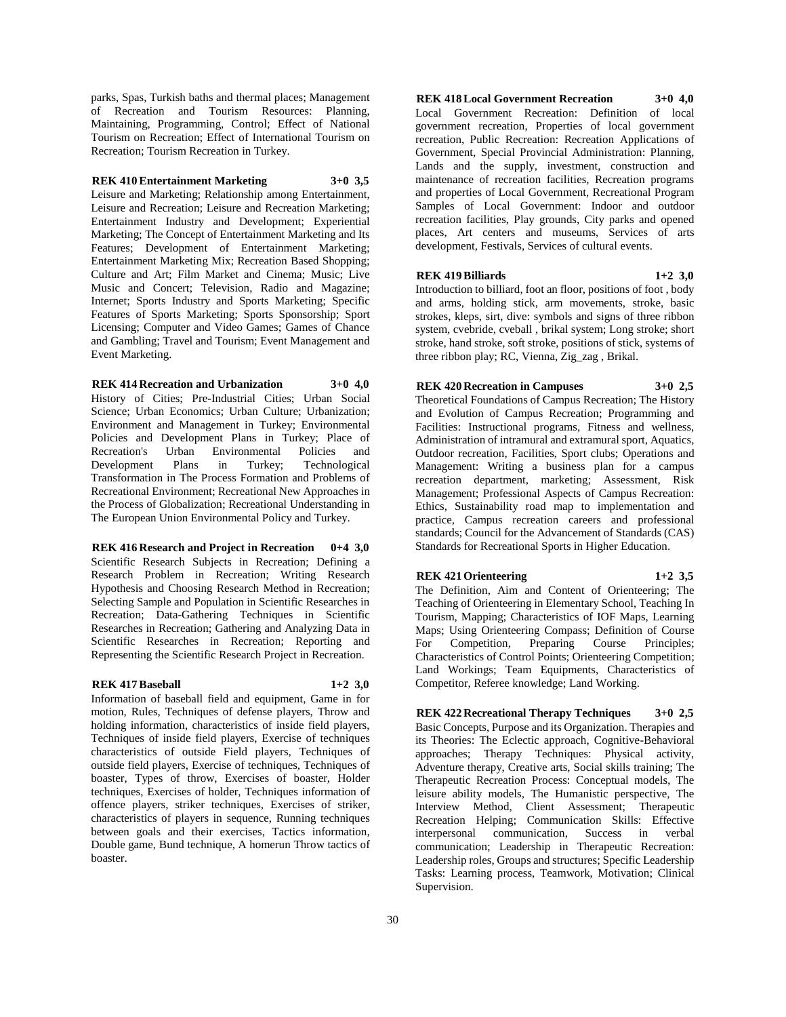parks, Spas, Turkish baths and thermal places; Management of Recreation and Tourism Resources: Planning, Maintaining, Programming, Control; Effect of National Tourism on Recreation; Effect of International Tourism on Recreation; Tourism Recreation in Turkey.

#### **REK 410 Entertainment Marketing 3+0 3,5**

Leisure and Marketing; Relationship among Entertainment, Leisure and Recreation; Leisure and Recreation Marketing; Entertainment Industry and Development; Experiential Marketing; The Concept of Entertainment Marketing and Its Features; Development of Entertainment Marketing; Entertainment Marketing Mix; Recreation Based Shopping; Culture and Art; Film Market and Cinema; Music; Live Music and Concert; Television, Radio and Magazine; Internet; Sports Industry and Sports Marketing; Specific Features of Sports Marketing; Sports Sponsorship; Sport Licensing; Computer and Video Games; Games of Chance and Gambling; Travel and Tourism; Event Management and Event Marketing.

**REK 414 Recreation and Urbanization 3+0 4,0** History of Cities; Pre-Industrial Cities; Urban Social Science; Urban Economics; Urban Culture; Urbanization; Environment and Management in Turkey; Environmental Policies and Development Plans in Turkey; Place of Recreation's Urban Environmental Policies and Recreation's Urban Environmental Policies and<br>Development Plans in Turkey: Technological in Turkey; Technological Transformation in The Process Formation and Problems of Recreational Environment; Recreational New Approaches in the Process of Globalization; Recreational Understanding in The European Union Environmental Policy and Turkey.

**REK 416 Research and Project in Recreation 0+4 3,0** Scientific Research Subjects in Recreation; Defining a Research Problem in Recreation; Writing Research Hypothesis and Choosing Research Method in Recreation; Selecting Sample and Population in Scientific Researches in Recreation; Data-Gathering Techniques in Scientific Researches in Recreation; Gathering and Analyzing Data in Scientific Researches in Recreation; Reporting and Representing the Scientific Research Project in Recreation.

#### **REK 417 Baseball 1+2 3,0**

Information of baseball field and equipment, Game in for motion, Rules, Techniques of defense players, Throw and holding information, characteristics of inside field players, Techniques of inside field players, Exercise of techniques characteristics of outside Field players, Techniques of outside field players, Exercise of techniques, Techniques of boaster, Types of throw, Exercises of boaster, Holder techniques, Exercises of holder, Techniques information of offence players, striker techniques, Exercises of striker, characteristics of players in sequence, Running techniques between goals and their exercises, Tactics information, Double game, Bund technique, A homerun Throw tactics of boaster.

**REK 418 Local Government Recreation 3+0 4,0** Local Government Recreation: Definition of local government recreation, Properties of local government recreation, Public Recreation: Recreation Applications of Government, Special Provincial Administration: Planning, Lands and the supply, investment, construction and maintenance of recreation facilities, Recreation programs and properties of Local Government, Recreational Program Samples of Local Government: Indoor and outdoor recreation facilities, Play grounds, City parks and opened places, Art centers and museums, Services of arts development, Festivals, Services of cultural events.

#### **REK 419 Billiards 1+2 3,0**

Introduction to billiard, foot an floor, positions of foot , body and arms, holding stick, arm movements, stroke, basic strokes, kleps, sirt, dive: symbols and signs of three ribbon system, cvebride, cveball , brikal system; Long stroke; short stroke, hand stroke, soft stroke, positions of stick, systems of three ribbon play; RC, Vienna, Zig\_zag , Brikal.

#### **REK 420 Recreation in Campuses 3+0 2,5**

Theoretical Foundations of Campus Recreation; The History and Evolution of Campus Recreation; Programming and Facilities: Instructional programs, Fitness and wellness, Administration of intramural and extramural sport, Aquatics, Outdoor recreation, Facilities, Sport clubs; Operations and Management: Writing a business plan for a campus recreation department, marketing; Assessment, Risk Management; Professional Aspects of Campus Recreation: Ethics, Sustainability road map to implementation and practice, Campus recreation careers and professional standards; Council for the Advancement of Standards (CAS) Standards for Recreational Sports in Higher Education.

#### **REK 421 Orienteering 1+2 3,5**

The Definition, Aim and Content of Orienteering; The Teaching of Orienteering in Elementary School, Teaching In Tourism, Mapping; Characteristics of IOF Maps, Learning Maps; Using Orienteering Compass; Definition of Course For Competition, Preparing Course Principles; Characteristics of Control Points; Orienteering Competition; Land Workings; Team Equipments, Characteristics of Competitor, Referee knowledge; Land Working.

**REK 422 Recreational Therapy Techniques 3+0 2,5** Basic Concepts, Purpose and its Organization. Therapies and its Theories: The Eclectic approach, Cognitive-Behavioral approaches; Therapy Techniques: Physical activity, Adventure therapy, Creative arts, Social skills training; The Therapeutic Recreation Process: Conceptual models, The leisure ability models, The Humanistic perspective, The Interview Method, Client Assessment; Therapeutic Recreation Helping; Communication Skills: Effective interpersonal communication, Success in verbal communication; Leadership in Therapeutic Recreation: Leadership roles, Groups and structures; Specific Leadership Tasks: Learning process, Teamwork, Motivation; Clinical Supervision.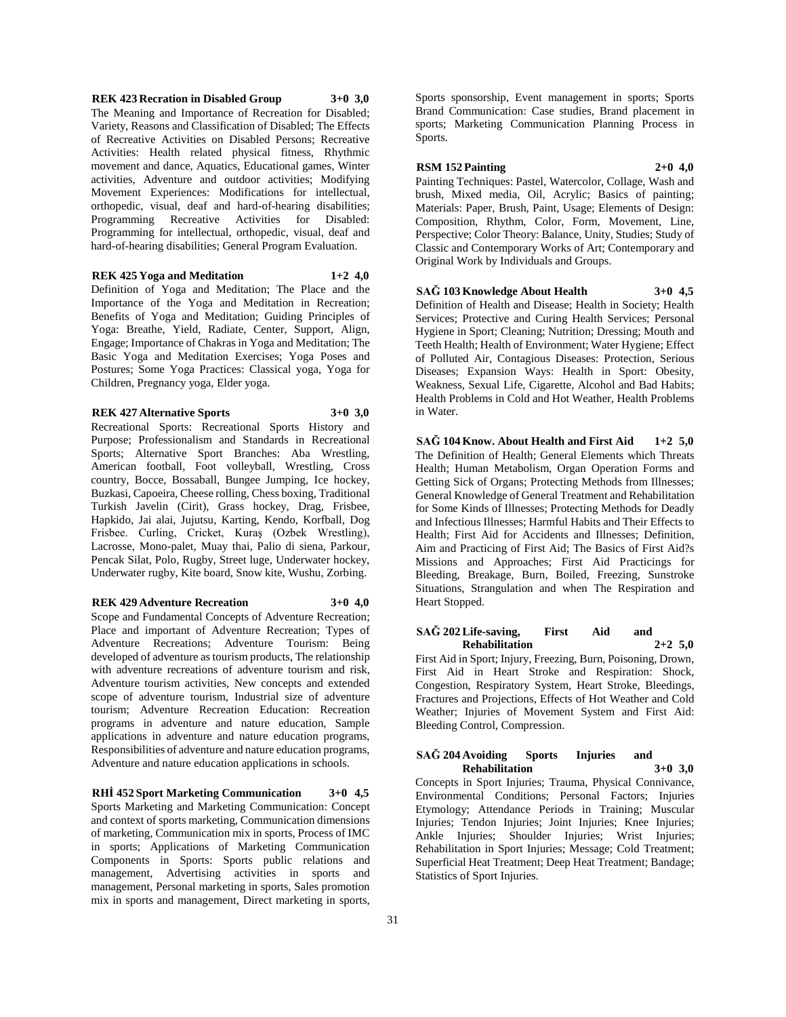**REK 423 Recration in Disabled Group 3+0 3,0** The Meaning and Importance of Recreation for Disabled; Variety, Reasons and Classification of Disabled; The Effects of Recreative Activities on Disabled Persons; Recreative Activities: Health related physical fitness, Rhythmic movement and dance, Aquatics, Educational games, Winter activities, Adventure and outdoor activities; Modifying Movement Experiences: Modifications for intellectual, orthopedic, visual, deaf and hard-of-hearing disabilities; Programming Recreative Activities for Disabled: Programming for intellectual, orthopedic, visual, deaf and hard-of-hearing disabilities; General Program Evaluation.

## **REK 425 Yoga and Meditation 1+2 4,0**

Definition of Yoga and Meditation; The Place and the Importance of the Yoga and Meditation in Recreation; Benefits of Yoga and Meditation; Guiding Principles of Yoga: Breathe, Yield, Radiate, Center, Support, Align, Engage; Importance of Chakras in Yoga and Meditation; The Basic Yoga and Meditation Exercises; Yoga Poses and Postures; Some Yoga Practices: Classical yoga, Yoga for Children, Pregnancy yoga, Elder yoga.

#### **REK 427 Alternative Sports 3+0 3,0**

Recreational Sports: Recreational Sports History and Purpose; Professionalism and Standards in Recreational Sports; Alternative Sport Branches: Aba Wrestling, American football, Foot volleyball, Wrestling, Cross country, Bocce, Bossaball, Bungee Jumping, Ice hockey, Buzkasi, Capoeira, Cheese rolling, Chess boxing, Traditional Turkish Javelin (Cirit), Grass hockey, Drag, Frisbee, Hapkido, Jai alai, Jujutsu, Karting, Kendo, Korfball, Dog Frisbee. Curling, Cricket, Kuraş (Ozbek Wrestling), Lacrosse, Mono-palet, Muay thai, Palio di siena, Parkour, Pencak Silat, Polo, Rugby, Street luge, Underwater hockey, Underwater rugby, Kite board, Snow kite, Wushu, Zorbing.

#### **REK 429 Adventure Recreation 3+0 4,0**

Scope and Fundamental Concepts of Adventure Recreation; Place and important of Adventure Recreation; Types of Adventure Recreations; Adventure Tourism: Being developed of adventure as tourism products, The relationship with adventure recreations of adventure tourism and risk, Adventure tourism activities, New concepts and extended scope of adventure tourism, Industrial size of adventure tourism; Adventure Recreation Education: Recreation programs in adventure and nature education, Sample applications in adventure and nature education programs, Responsibilities of adventure and nature education programs, Adventure and nature education applications in schools.

**RHİ 452 Sport Marketing Communication 3+0 4,5** Sports Marketing and Marketing Communication: Concept and context of sports marketing, Communication dimensions

of marketing, Communication mix in sports, Process of IMC in sports; Applications of Marketing Communication Components in Sports: Sports public relations and management, Advertising activities in sports and management, Personal marketing in sports, Sales promotion mix in sports and management, Direct marketing in sports,

Sports sponsorship, Event management in sports; Sports Brand Communication: Case studies, Brand placement in sports; Marketing Communication Planning Process in Sports.

#### **RSM 152 Painting 2+0 4,0**

Painting Techniques: Pastel, Watercolor, Collage, Wash and brush, Mixed media, Oil, Acrylic; Basics of painting; Materials: Paper, Brush, Paint, Usage; Elements of Design: Composition, Rhythm, Color, Form, Movement, Line, Perspective; Color Theory: Balance, Unity, Studies; Study of Classic and Contemporary Works of Art; Contemporary and Original Work by Individuals and Groups.

#### **SAĞ 103 Knowledge About Health 3+0 4,5**

Definition of Health and Disease; Health in Society; Health Services; Protective and Curing Health Services; Personal Hygiene in Sport; Cleaning; Nutrition; Dressing; Mouth and Teeth Health; Health of Environment; Water Hygiene; Effect of Polluted Air, Contagious Diseases: Protection, Serious Diseases; Expansion Ways: Health in Sport: Obesity, Weakness, Sexual Life, Cigarette, Alcohol and Bad Habits; Health Problems in Cold and Hot Weather, Health Problems in Water.

**SAĞ 104 Know. About Health and First Aid 1+2 5,0** The Definition of Health; General Elements which Threats Health; Human Metabolism, Organ Operation Forms and Getting Sick of Organs; Protecting Methods from Illnesses; General Knowledge of General Treatment and Rehabilitation for Some Kinds of Illnesses; Protecting Methods for Deadly and Infectious Illnesses; Harmful Habits and Their Effects to Health; First Aid for Accidents and Illnesses; Definition, Aim and Practicing of First Aid; The Basics of First Aid?s Missions and Approaches; First Aid Practicings for Bleeding, Breakage, Burn, Boiled, Freezing, Sunstroke Situations, Strangulation and when The Respiration and Heart Stopped.

#### **SAĞ 202 Life-saving, First Aid and Rehabilitation 2+2 5,0**

First Aid in Sport; Injury, Freezing, Burn, Poisoning, Drown, First Aid in Heart Stroke and Respiration: Shock, Congestion, Respiratory System, Heart Stroke, Bleedings, Fractures and Projections, Effects of Hot Weather and Cold Weather; Injuries of Movement System and First Aid: Bleeding Control, Compression.

## **SAĞ 204 Avoiding Sports Injuries and Rehabilitation 3+0 3,0**

Concepts in Sport Injuries; Trauma, Physical Connivance, Environmental Conditions; Personal Factors; Injuries Etymology; Attendance Periods in Training; Muscular Injuries; Tendon Injuries; Joint Injuries; Knee Injuries; Ankle Injuries; Shoulder Injuries; Wrist Injuries; Rehabilitation in Sport Injuries; Message; Cold Treatment; Superficial Heat Treatment; Deep Heat Treatment; Bandage; Statistics of Sport Injuries.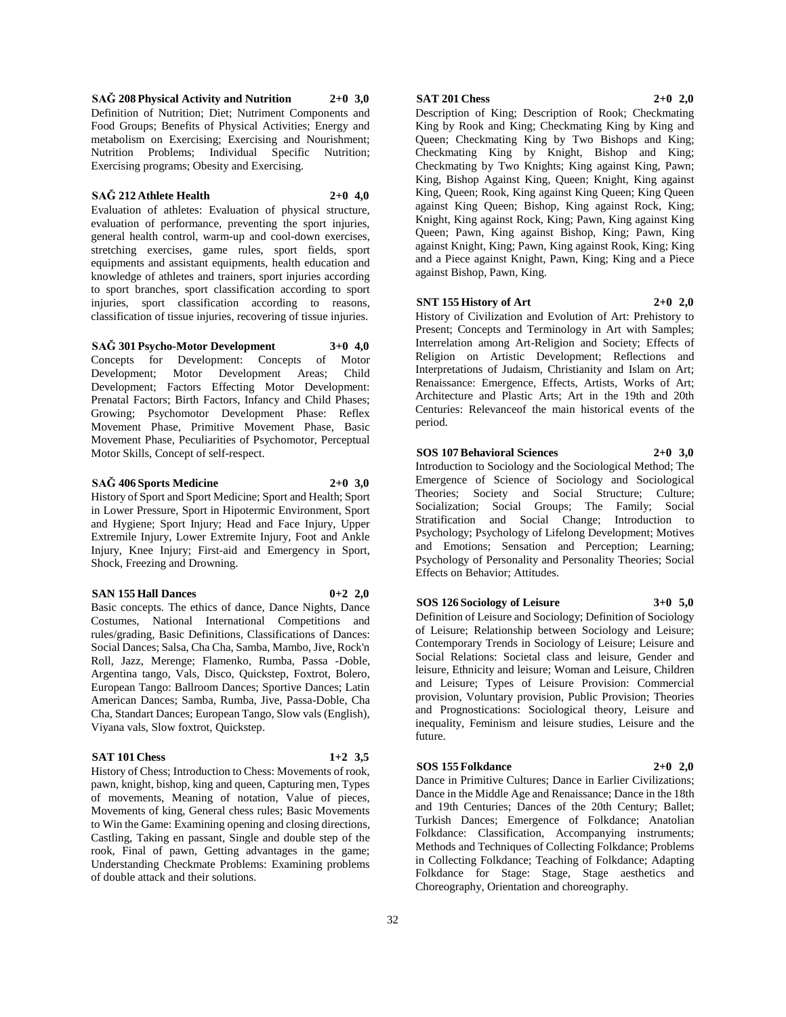**SAĞ 208 Physical Activity and Nutrition 2+0 3,0** Definition of Nutrition; Diet; Nutriment Components and Food Groups; Benefits of Physical Activities; Energy and metabolism on Exercising; Exercising and Nourishment; Nutrition Problems; Individual Specific Nutrition; Exercising programs; Obesity and Exercising.

## **SAĞ 212 Athlete Health 2+0 4,0**

Evaluation of athletes: Evaluation of physical structure, evaluation of performance, preventing the sport injuries, general health control, warm-up and cool-down exercises, stretching exercises, game rules, sport fields, sport equipments and assistant equipments, health education and knowledge of athletes and trainers, sport injuries according to sport branches, sport classification according to sport injuries, sport classification according to reasons, classification of tissue injuries, recovering of tissue injuries.

#### **SAĞ 301 Psycho-Motor Development 3+0 4,0**

Concepts for Development: Concepts of Motor Development; Motor Development Areas; Child Development; Factors Effecting Motor Development: Prenatal Factors; Birth Factors, Infancy and Child Phases; Growing; Psychomotor Development Phase: Reflex Movement Phase, Primitive Movement Phase, Basic Movement Phase, Peculiarities of Psychomotor, Perceptual Motor Skills, Concept of self-respect.

#### **SAĞ 406 Sports Medicine 2+0 3,0**

History of Sport and Sport Medicine; Sport and Health; Sport in Lower Pressure, Sport in Hipotermic Environment, Sport and Hygiene; Sport Injury; Head and Face Injury, Upper Extremile Injury, Lower Extremite Injury, Foot and Ankle Injury, Knee Injury; First-aid and Emergency in Sport, Shock, Freezing and Drowning.

## **SAN 155 Hall Dances 0+2 2,0**

Basic concepts. The ethics of dance, Dance Nights, Dance Costumes, National International Competitions and rules/grading, Basic Definitions, Classifications of Dances: Social Dances; Salsa, Cha Cha, Samba, Mambo, Jive, Rock'n Roll, Jazz, Merenge; Flamenko, Rumba, Passa -Doble, Argentina tango, Vals, Disco, Quickstep, Foxtrot, Bolero, European Tango: Ballroom Dances; Sportive Dances; Latin American Dances; Samba, Rumba, Jive, Passa-Doble, Cha Cha, Standart Dances; European Tango, Slow vals (English), Viyana vals, Slow foxtrot, Quickstep.

## **SAT 101 Chess 1+2 3,5**

History of Chess; Introduction to Chess: Movements of rook, pawn, knight, bishop, king and queen, Capturing men, Types of movements, Meaning of notation, Value of pieces, Movements of king, General chess rules; Basic Movements to Win the Game: Examining opening and closing directions, Castling, Taking en passant, Single and double step of the rook, Final of pawn, Getting advantages in the game; Understanding Checkmate Problems: Examining problems of double attack and their solutions.

### **SAT 201 Chess 2+0 2,0**

Description of King; Description of Rook; Checkmating King by Rook and King; Checkmating King by King and Queen; Checkmating King by Two Bishops and King; Checkmating King by Knight, Bishop and King; Checkmating by Two Knights; King against King, Pawn; King, Bishop Against King, Queen; Knight, King against King, Queen; Rook, King against King Queen; King Queen against King Queen; Bishop, King against Rock, King; Knight, King against Rock, King; Pawn, King against King Queen; Pawn, King against Bishop, King; Pawn, King against Knight, King; Pawn, King against Rook, King; King and a Piece against Knight, Pawn, King; King and a Piece against Bishop, Pawn, King.

## **SNT 155 History of Art 2+0 2,0**

History of Civilization and Evolution of Art: Prehistory to Present; Concepts and Terminology in Art with Samples; Interrelation among Art-Religion and Society; Effects of Religion on Artistic Development; Reflections and Interpretations of Judaism, Christianity and Islam on Art; Renaissance: Emergence, Effects, Artists, Works of Art; Architecture and Plastic Arts; Art in the 19th and 20th Centuries: Relevanceof the main historical events of the period.

## **SOS 107 Behavioral Sciences 2+0 3,0**

Introduction to Sociology and the Sociological Method; The Emergence of Science of Sociology and Sociological Theories; Society and Social Structure; Culture; Socialization; Social Groups; The Family; Social Stratification and Social Change; Introduction to Psychology; Psychology of Lifelong Development; Motives and Emotions; Sensation and Perception; Learning; Psychology of Personality and Personality Theories; Social Effects on Behavior; Attitudes.

#### **SOS 126 Sociology of Leisure 3+0 5,0**

Definition of Leisure and Sociology; Definition of Sociology of Leisure; Relationship between Sociology and Leisure; Contemporary Trends in Sociology of Leisure; Leisure and Social Relations: Societal class and leisure, Gender and leisure, Ethnicity and leisure; Woman and Leisure, Children and Leisure; Types of Leisure Provision: Commercial provision, Voluntary provision, Public Provision; Theories and Prognostications: Sociological theory, Leisure and inequality, Feminism and leisure studies, Leisure and the future.

#### **SOS 155 Folkdance 2+0 2,0**

Dance in Primitive Cultures; Dance in Earlier Civilizations; Dance in the Middle Age and Renaissance; Dance in the 18th and 19th Centuries; Dances of the 20th Century; Ballet; Turkish Dances; Emergence of Folkdance; Anatolian Folkdance: Classification, Accompanying instruments; Methods and Techniques of Collecting Folkdance; Problems in Collecting Folkdance; Teaching of Folkdance; Adapting Folkdance for Stage: Stage, Stage aesthetics and Choreography, Orientation and choreography.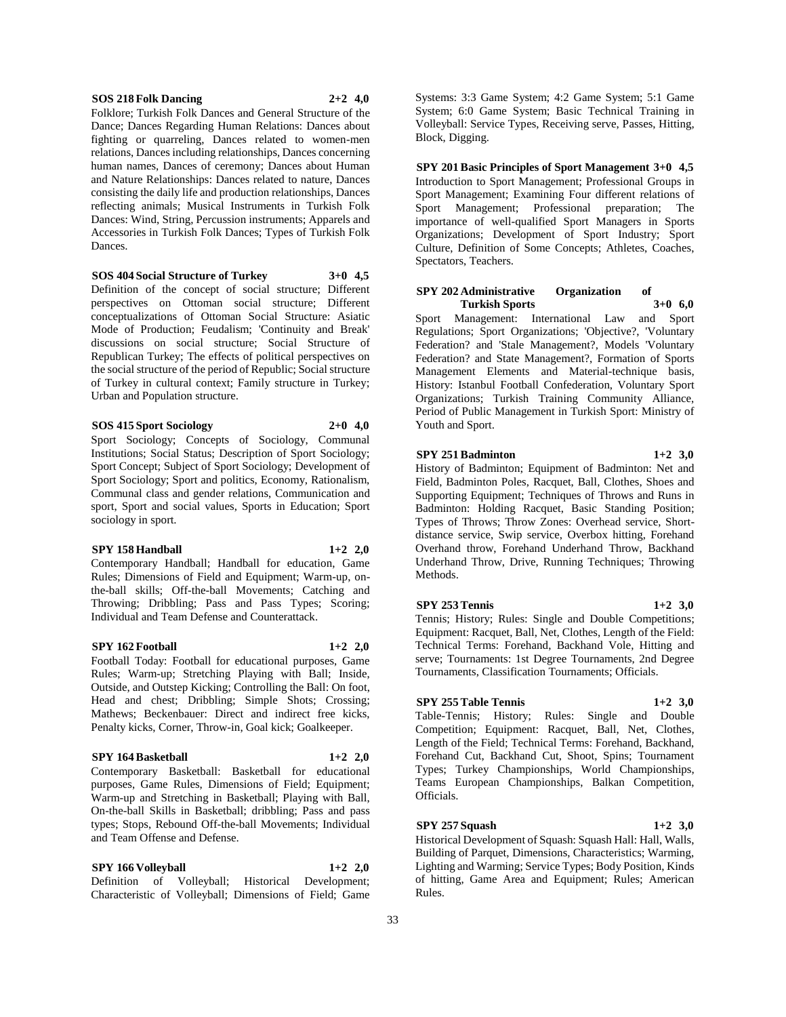#### **SOS 218 Folk Dancing 2+2 4,0**

Folklore; Turkish Folk Dances and General Structure of the Dance; Dances Regarding Human Relations: Dances about fighting or quarreling, Dances related to women-men relations, Dances including relationships, Dances concerning human names, Dances of ceremony; Dances about Human and Nature Relationships: Dances related to nature, Dances consisting the daily life and production relationships, Dances reflecting animals; Musical Instruments in Turkish Folk Dances: Wind, String, Percussion instruments; Apparels and Accessories in Turkish Folk Dances; Types of Turkish Folk Dances.

## **SOS 404 Social Structure of Turkey 3+0 4,5**

Definition of the concept of social structure; Different perspectives on Ottoman social structure; Different conceptualizations of Ottoman Social Structure: Asiatic Mode of Production; Feudalism; 'Continuity and Break' discussions on social structure; Social Structure of Republican Turkey; The effects of political perspectives on the social structure of the period of Republic; Social structure of Turkey in cultural context; Family structure in Turkey; Urban and Population structure.

#### **SOS 415 Sport Sociology 2+0 4,0**

Sport Sociology; Concepts of Sociology, Communal Institutions; Social Status; Description of Sport Sociology; Sport Concept; Subject of Sport Sociology; Development of Sport Sociology; Sport and politics, Economy, Rationalism, Communal class and gender relations, Communication and sport, Sport and social values, Sports in Education; Sport sociology in sport.

#### **SPY 158 Handball 1+2 2,0**

Contemporary Handball; Handball for education, Game Rules; Dimensions of Field and Equipment; Warm-up, onthe-ball skills; Off-the-ball Movements; Catching and Throwing; Dribbling; Pass and Pass Types; Scoring; Individual and Team Defense and Counterattack.

#### **SPY 162 Football 1+2 2,0**

Football Today: Football for educational purposes, Game Rules; Warm-up; Stretching Playing with Ball; Inside, Outside, and Outstep Kicking; Controlling the Ball: On foot, Head and chest; Dribbling; Simple Shots; Crossing; Mathews; Beckenbauer: Direct and indirect free kicks, Penalty kicks, Corner, Throw-in, Goal kick; Goalkeeper.

## **SPY 164 Basketball 1+2 2,0**

Contemporary Basketball: Basketball for educational purposes, Game Rules, Dimensions of Field; Equipment; Warm-up and Stretching in Basketball; Playing with Ball, On-the-ball Skills in Basketball; dribbling; Pass and pass types; Stops, Rebound Off-the-ball Movements; Individual and Team Offense and Defense.

**SPY 166 Volleyball 1+2 2,0** Definition of Volleyball; Historical Development; Characteristic of Volleyball; Dimensions of Field; Game

Systems: 3:3 Game System; 4:2 Game System; 5:1 Game System; 6:0 Game System; Basic Technical Training in Volleyball: Service Types, Receiving serve, Passes, Hitting, Block, Digging.

**SPY 201 Basic Principles of Sport Management 3+0 4,5** Introduction to Sport Management; Professional Groups in Sport Management; Examining Four different relations of Sport Management; Professional preparation; The importance of well-qualified Sport Managers in Sports Organizations; Development of Sport Industry; Sport Culture, Definition of Some Concepts; Athletes, Coaches, Spectators, Teachers.

#### **SPY 202 Administrative Organization of Turkish Sports 3+0 6,0**

Sport Management: International Law and Sport Regulations; Sport Organizations; 'Objective?, 'Voluntary Federation? and 'Stale Management?, Models 'Voluntary Federation? and State Management?, Formation of Sports Management Elements and Material-technique basis, History: Istanbul Football Confederation, Voluntary Sport Organizations; Turkish Training Community Alliance, Period of Public Management in Turkish Sport: Ministry of Youth and Sport.

#### **SPY 251 Badminton 1+2 3,0**

History of Badminton; Equipment of Badminton: Net and Field, Badminton Poles, Racquet, Ball, Clothes, Shoes and Supporting Equipment; Techniques of Throws and Runs in Badminton: Holding Racquet, Basic Standing Position; Types of Throws; Throw Zones: Overhead service, Shortdistance service, Swip service, Overbox hitting, Forehand Overhand throw, Forehand Underhand Throw, Backhand Underhand Throw, Drive, Running Techniques; Throwing Methods.

#### **SPY 253 Tennis 1+2 3,0**

Tennis; History; Rules: Single and Double Competitions; Equipment: Racquet, Ball, Net, Clothes, Length of the Field: Technical Terms: Forehand, Backhand Vole, Hitting and serve; Tournaments: 1st Degree Tournaments, 2nd Degree Tournaments, Classification Tournaments; Officials.

## **SPY 255 Table Tennis 1+2 3,0**

Table-Tennis; History; Rules: Single and Double Competition; Equipment: Racquet, Ball, Net, Clothes, Length of the Field; Technical Terms: Forehand, Backhand, Forehand Cut, Backhand Cut, Shoot, Spins; Tournament Types; Turkey Championships, World Championships, Teams European Championships, Balkan Competition, Officials.

#### **SPY 257 Squash 1+2 3,0**

Historical Development of Squash: Squash Hall: Hall, Walls, Building of Parquet, Dimensions, Characteristics; Warming, Lighting and Warming; Service Types; Body Position, Kinds of hitting, Game Area and Equipment; Rules; American Rules.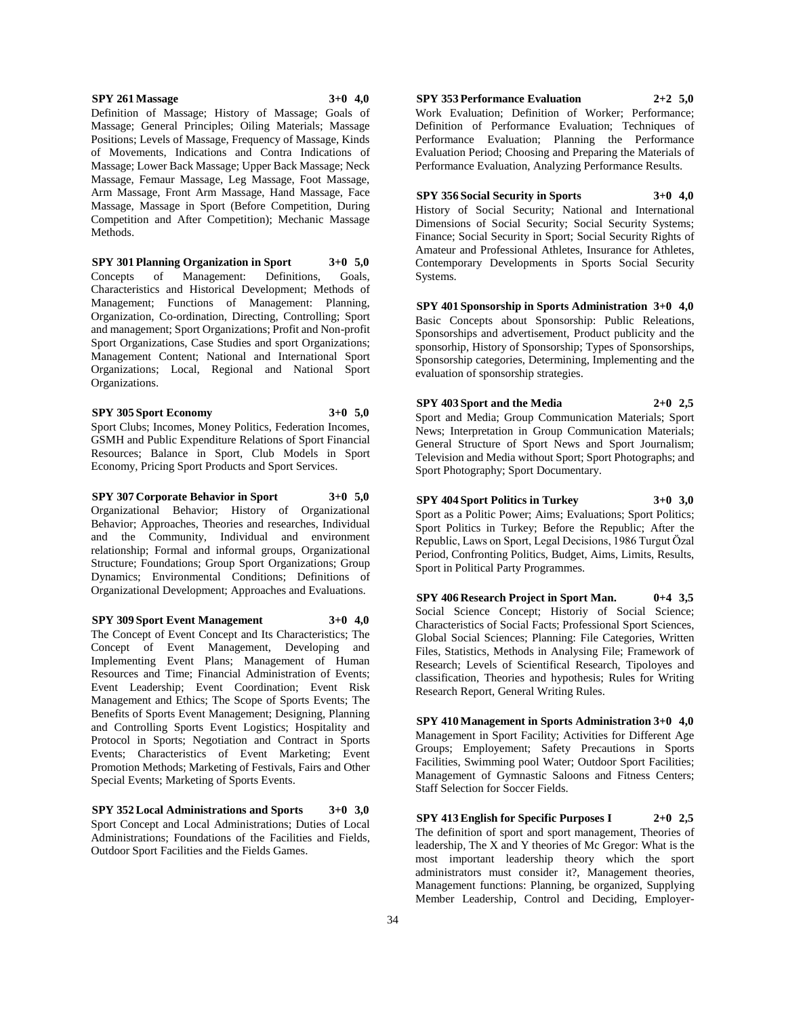#### **SPY 261 Massage 3+0 4,0**

Definition of Massage; History of Massage; Goals of Massage; General Principles; Oiling Materials; Massage Positions; Levels of Massage, Frequency of Massage, Kinds of Movements, Indications and Contra Indications of Massage; Lower Back Massage; Upper Back Massage; Neck Massage, Femaur Massage, Leg Massage, Foot Massage, Arm Massage, Front Arm Massage, Hand Massage, Face Massage, Massage in Sport (Before Competition, During Competition and After Competition); Mechanic Massage Methods.

**SPY 301 Planning Organization in Sport 3+0 5,0** Concepts of Management: Definitions, Goals, Characteristics and Historical Development; Methods of Management; Functions of Management: Planning, Organization, Co-ordination, Directing, Controlling; Sport and management; Sport Organizations; Profit and Non-profit Sport Organizations, Case Studies and sport Organizations; Management Content; National and International Sport Organizations; Local, Regional and National Sport Organizations.

**SPY 305 Sport Economy 3+0 5,0** Sport Clubs; Incomes, Money Politics, Federation Incomes, GSMH and Public Expenditure Relations of Sport Financial Resources; Balance in Sport, Club Models in Sport Economy, Pricing Sport Products and Sport Services.

**SPY 307 Corporate Behavior in Sport 3+0 5,0** Organizational Behavior; History of Organizational Behavior; Approaches, Theories and researches, Individual and the Community, Individual and environment relationship; Formal and informal groups, Organizational Structure; Foundations; Group Sport Organizations; Group Dynamics; Environmental Conditions; Definitions of Organizational Development; Approaches and Evaluations.

**SPY 309 Sport Event Management 3+0 4,0** The Concept of Event Concept and Its Characteristics; The Concept of Event Management, Developing and Implementing Event Plans; Management of Human Resources and Time; Financial Administration of Events; Event Leadership; Event Coordination; Event Risk Management and Ethics; The Scope of Sports Events; The Benefits of Sports Event Management; Designing, Planning and Controlling Sports Event Logistics; Hospitality and Protocol in Sports; Negotiation and Contract in Sports Events; Characteristics of Event Marketing; Event Promotion Methods; Marketing of Festivals, Fairs and Other Special Events; Marketing of Sports Events.

**SPY 352 Local Administrations and Sports 3+0 3,0** Sport Concept and Local Administrations; Duties of Local Administrations; Foundations of the Facilities and Fields, Outdoor Sport Facilities and the Fields Games.

# **SPY 353 Performance Evaluation 2+2 5,0**

Work Evaluation; Definition of Worker; Performance; Definition of Performance Evaluation; Techniques of Performance Evaluation; Planning the Performance Evaluation Period; Choosing and Preparing the Materials of Performance Evaluation, Analyzing Performance Results.

#### **SPY 356 Social Security in Sports 3+0 4,0**

History of Social Security; National and International Dimensions of Social Security; Social Security Systems; Finance; Social Security in Sport; Social Security Rights of Amateur and Professional Athletes, Insurance for Athletes, Contemporary Developments in Sports Social Security Systems.

**SPY 401 Sponsorship in Sports Administration 3+0 4,0** Basic Concepts about Sponsorship: Public Releations, Sponsorships and advertisement, Product publicity and the sponsorhip, History of Sponsorship; Types of Sponsorships, Sponsorship categories, Determining, Implementing and the evaluation of sponsorship strategies.

# **SPY 403 Sport and the Media 2+0 2,5**

Sport and Media; Group Communication Materials; Sport News; Interpretation in Group Communication Materials; General Structure of Sport News and Sport Journalism; Television and Media without Sport; Sport Photographs; and Sport Photography; Sport Documentary.

## **SPY 404 Sport Politics in Turkey 3+0 3,0**

Sport as a Politic Power; Aims; Evaluations; Sport Politics; Sport Politics in Turkey; Before the Republic; After the Republic, Laws on Sport, Legal Decisions, 1986 Turgut Özal Period, Confronting Politics, Budget, Aims, Limits, Results, Sport in Political Party Programmes.

**SPY 406 Research Project in Sport Man. 0+4 3,5** Social Science Concept; Historiy of Social Science; Characteristics of Social Facts; Professional Sport Sciences, Global Social Sciences; Planning: File Categories, Written Files, Statistics, Methods in Analysing File; Framework of Research; Levels of Scientifical Research, Tipoloyes and classification, Theories and hypothesis; Rules for Writing Research Report, General Writing Rules.

**SPY 410 Management in Sports Administration 3+0 4,0** Management in Sport Facility; Activities for Different Age Groups; Employement; Safety Precautions in Sports Facilities, Swimming pool Water; Outdoor Sport Facilities; Management of Gymnastic Saloons and Fitness Centers; Staff Selection for Soccer Fields.

**SPY 413 English for Specific Purposes I 2+0 2,5** The definition of sport and sport management, Theories of leadership, The X and Y theories of Mc Gregor: What is the most important leadership theory which the sport administrators must consider it?, Management theories, Management functions: Planning, be organized, Supplying Member Leadership, Control and Deciding, Employer-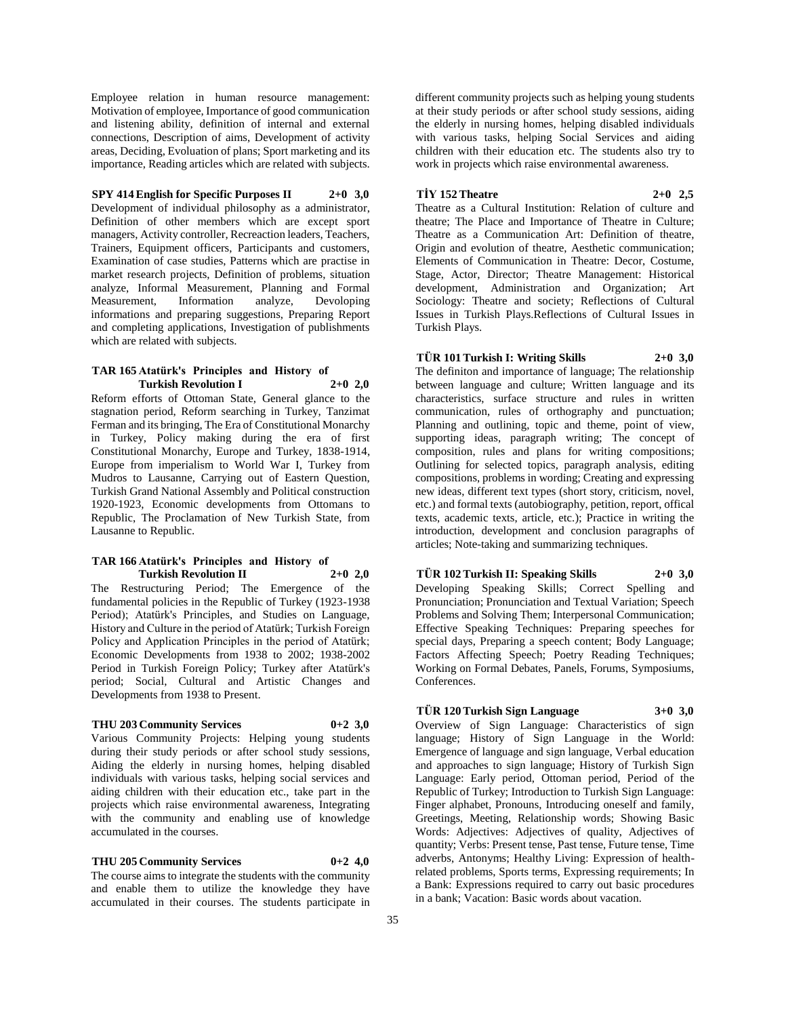Employee relation in human resource management: Motivation of employee, Importance of good communication and listening ability, definition of internal and external connections, Description of aims, Development of activity areas, Deciding, Evoluation of plans; Sport marketing and its importance, Reading articles which are related with subjects.

## **SPY 414 English for Specific Purposes II 2+0 3,0**

Development of individual philosophy as a administrator, Definition of other members which are except sport managers, Activity controller, Recreaction leaders, Teachers, Trainers, Equipment officers, Participants and customers, Examination of case studies, Patterns which are practise in market research projects, Definition of problems, situation analyze, Informal Measurement, Planning and Formal Measurement, Information analyze, Devoloping informations and preparing suggestions, Preparing Report and completing applications, Investigation of publishments which are related with subjects.

## **TAR 165 Atatürk's Principles and History of Turkish Revolution I 2+0 2,0**

Reform efforts of Ottoman State, General glance to the stagnation period, Reform searching in Turkey, Tanzimat Ferman and its bringing, The Era of Constitutional Monarchy in Turkey, Policy making during the era of first Constitutional Monarchy, Europe and Turkey, 1838-1914, Europe from imperialism to World War I, Turkey from Mudros to Lausanne, Carrying out of Eastern Question, Turkish Grand National Assembly and Political construction 1920-1923, Economic developments from Ottomans to Republic, The Proclamation of New Turkish State, from Lausanne to Republic.

#### **TAR 166 Atatürk's Principles and History of Turkish Revolution II 2+0 2,0**

The Restructuring Period; The Emergence of the fundamental policies in the Republic of Turkey (1923-1938 Period); Atatürk's Principles, and Studies on Language, History and Culture in the period of Atatürk; Turkish Foreign Policy and Application Principles in the period of Atatürk; Economic Developments from 1938 to 2002; 1938-2002 Period in Turkish Foreign Policy; Turkey after Atatürk's period; Social, Cultural and Artistic Changes and Developments from 1938 to Present.

#### **THU 203 Community Services 0+2 3,0**

Various Community Projects: Helping young students during their study periods or after school study sessions, Aiding the elderly in nursing homes, helping disabled individuals with various tasks, helping social services and aiding children with their education etc., take part in the projects which raise environmental awareness, Integrating with the community and enabling use of knowledge accumulated in the courses.

#### **THU 205 Community Services 0+2 4,0**

The course aims to integrate the students with the community and enable them to utilize the knowledge they have accumulated in their courses. The students participate in different community projects such as helping young students at their study periods or after school study sessions, aiding the elderly in nursing homes, helping disabled individuals with various tasks, helping Social Services and aiding children with their education etc. The students also try to work in projects which raise environmental awareness.

## **TİY 152 Theatre 2+0 2,5**

Theatre as a Cultural Institution: Relation of culture and theatre; The Place and Importance of Theatre in Culture; Theatre as a Communication Art: Definition of theatre, Origin and evolution of theatre, Aesthetic communication; Elements of Communication in Theatre: Decor, Costume, Stage, Actor, Director; Theatre Management: Historical development, Administration and Organization; Art Sociology: Theatre and society; Reflections of Cultural Issues in Turkish Plays.Reflections of Cultural Issues in Turkish Plays.

## **TÜR 101 Turkish I: Writing Skills 2+0 3,0**

The definiton and importance of language; The relationship between language and culture; Written language and its characteristics, surface structure and rules in written communication, rules of orthography and punctuation; Planning and outlining, topic and theme, point of view, supporting ideas, paragraph writing; The concept of composition, rules and plans for writing compositions; Outlining for selected topics, paragraph analysis, editing compositions, problems in wording; Creating and expressing new ideas, different text types (short story, criticism, novel, etc.) and formal texts (autobiography, petition, report, offical texts, academic texts, article, etc.); Practice in writing the introduction, development and conclusion paragraphs of articles; Note-taking and summarizing techniques.

**TÜR 102 Turkish II: Speaking Skills 2+0 3,0** Developing Speaking Skills; Correct Spelling and Pronunciation; Pronunciation and Textual Variation; Speech Problems and Solving Them; Interpersonal Communication;

Effective Speaking Techniques: Preparing speeches for special days, Preparing a speech content; Body Language; Factors Affecting Speech; Poetry Reading Techniques; Working on Formal Debates, Panels, Forums, Symposiums, Conferences.

**TÜR 120 Turkish Sign Language 3+0 3,0** Overview of Sign Language: Characteristics of sign language; History of Sign Language in the World: Emergence of language and sign language, Verbal education and approaches to sign language; History of Turkish Sign Language: Early period, Ottoman period, Period of the Republic of Turkey; Introduction to Turkish Sign Language: Finger alphabet, Pronouns, Introducing oneself and family, Greetings, Meeting, Relationship words; Showing Basic Words: Adjectives: Adjectives of quality, Adjectives of quantity; Verbs: Present tense, Past tense, Future tense, Time adverbs, Antonyms; Healthy Living: Expression of healthrelated problems, Sports terms, Expressing requirements; In a Bank: Expressions required to carry out basic procedures in a bank; Vacation: Basic words about vacation.